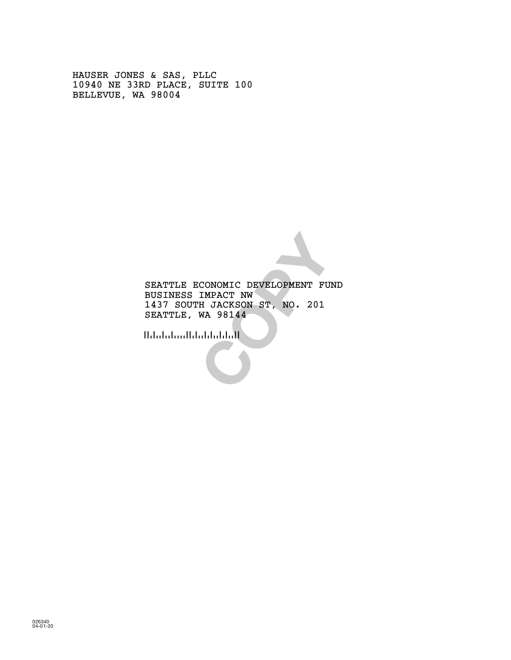HAUSER JONES & SAS, PLLC 10940 NE 33RD PLACE, SUITE 100 BELLEVUE, WA 98004

> **COPY** SEATTLE ECONOMIC DEVELOPMENT FUND BUSINESS IMPACT NW 1437 SOUTH JACKSON ST, NO. 201 SEATTLE, WA 98144

!981444!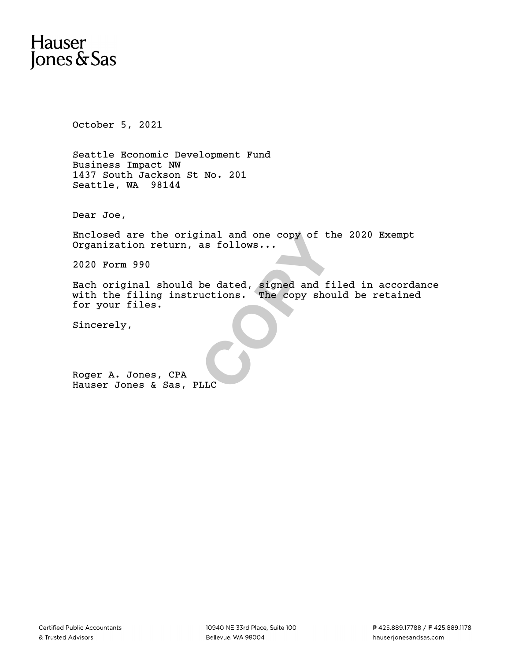# Hauser Jones  $\&$  Sas

October 5, 2021

Seattle Economic Development Fund Business Impact NW 1437 South Jackson St No. 201 Seattle, WA 98144

Dear Joe,

Enclosed are the original and one copy of the 2020 Exempt Organization return, as follows...

2020 Form 990

inal and one copy of the 20<br>as follows...<br>be dated, signed and filed<br>uctions. The copy should b Each original should be dated, signed and filed in accordance with the filing instructions. The copy should be retained for your files.

Sincerely,

Roger A. Jones, CPA Hauser Jones & Sas, PLLC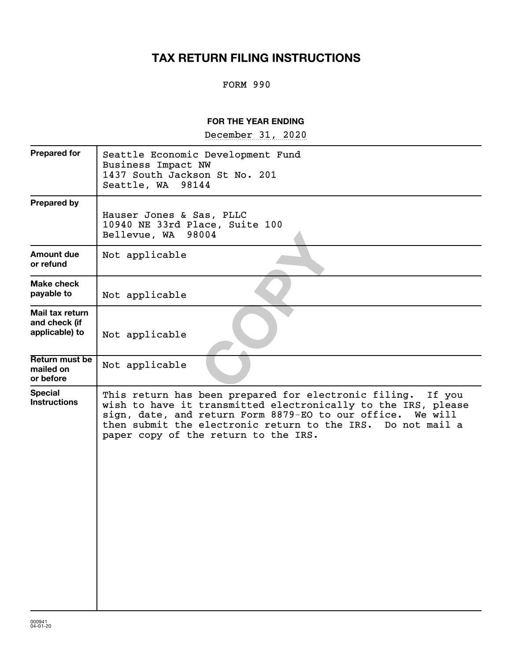## **TAX RETURN FILING INSTRUCTIONS**

#### FORM 990

#### **FOR THE YEAR ENDING**

~~~~~~~~~~~~~~~~~ December 31, 2020

| <b>Prepared for</b>                                | Seattle Economic Development Fund<br>Business Impact NW<br>1437 South Jackson St No. 201<br>Seattle, WA 98144                                                                                                                                                                                        |
|----------------------------------------------------|------------------------------------------------------------------------------------------------------------------------------------------------------------------------------------------------------------------------------------------------------------------------------------------------------|
| <b>Prepared by</b>                                 | Hauser Jones & Sas, PLLC<br>10940 NE 33rd Place, Suite 100<br>Bellevue, WA 98004                                                                                                                                                                                                                     |
| <b>Amount due</b><br>or refund                     | Not applicable                                                                                                                                                                                                                                                                                       |
| <b>Make check</b><br>payable to                    | Not applicable                                                                                                                                                                                                                                                                                       |
| Mail tax return<br>and check (if<br>applicable) to | Not applicable                                                                                                                                                                                                                                                                                       |
| <b>Return must be</b><br>mailed on<br>or before    | Not applicable                                                                                                                                                                                                                                                                                       |
| <b>Special</b><br><b>Instructions</b>              | This return has been prepared for electronic filing.<br>If you<br>wish to have it transmitted electronically to the IRS, please<br>sign, date, and return Form 8879-EO to our office. We will<br>then submit the electronic return to the IRS. Do not mail a<br>paper copy of the return to the IRS. |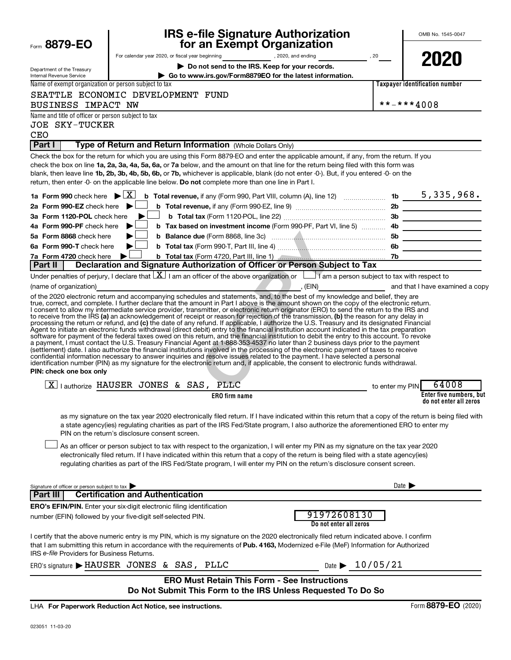|                                                           | IRS e-file Signature Authorization                                                                                                                                                                                                                                                                                                                                                                                                                                                                                                                                                                                                                                                                                                                                                                                                                                                                                                                                                              |                                       | OMB No. 1545-0047                                 |
|-----------------------------------------------------------|-------------------------------------------------------------------------------------------------------------------------------------------------------------------------------------------------------------------------------------------------------------------------------------------------------------------------------------------------------------------------------------------------------------------------------------------------------------------------------------------------------------------------------------------------------------------------------------------------------------------------------------------------------------------------------------------------------------------------------------------------------------------------------------------------------------------------------------------------------------------------------------------------------------------------------------------------------------------------------------------------|---------------------------------------|---------------------------------------------------|
| Form 8879-EO                                              | for an Exempt Organization                                                                                                                                                                                                                                                                                                                                                                                                                                                                                                                                                                                                                                                                                                                                                                                                                                                                                                                                                                      |                                       |                                                   |
|                                                           | For calendar year 2020, or fiscal year beginning (3020, 2020, and ending state of the set of the set of the set of the set of the set of the set of the set of the set of the set of the set of the set of the set of the set                                                                                                                                                                                                                                                                                                                                                                                                                                                                                                                                                                                                                                                                                                                                                                   |                                       | 2020                                              |
| Department of the Treasury<br>Internal Revenue Service    | Do not send to the IRS. Keep for your records.<br>Go to www.irs.gov/Form8879EO for the latest information.                                                                                                                                                                                                                                                                                                                                                                                                                                                                                                                                                                                                                                                                                                                                                                                                                                                                                      |                                       |                                                   |
| Name of exempt organization or person subject to tax      |                                                                                                                                                                                                                                                                                                                                                                                                                                                                                                                                                                                                                                                                                                                                                                                                                                                                                                                                                                                                 |                                       | Taxpayer identification number                    |
|                                                           | SEATTLE ECONOMIC DEVELOPMENT FUND                                                                                                                                                                                                                                                                                                                                                                                                                                                                                                                                                                                                                                                                                                                                                                                                                                                                                                                                                               |                                       |                                                   |
| BUSINESS IMPACT NW                                        |                                                                                                                                                                                                                                                                                                                                                                                                                                                                                                                                                                                                                                                                                                                                                                                                                                                                                                                                                                                                 |                                       | **-***4008                                        |
| Name and title of officer or person subject to tax        |                                                                                                                                                                                                                                                                                                                                                                                                                                                                                                                                                                                                                                                                                                                                                                                                                                                                                                                                                                                                 |                                       |                                                   |
| <b>JOE SKY-TUCKER</b>                                     |                                                                                                                                                                                                                                                                                                                                                                                                                                                                                                                                                                                                                                                                                                                                                                                                                                                                                                                                                                                                 |                                       |                                                   |
| <b>CEO</b>                                                |                                                                                                                                                                                                                                                                                                                                                                                                                                                                                                                                                                                                                                                                                                                                                                                                                                                                                                                                                                                                 |                                       |                                                   |
|                                                           | <b>Part I   Type of Return and Return Information</b> (Whole Dollars Only)                                                                                                                                                                                                                                                                                                                                                                                                                                                                                                                                                                                                                                                                                                                                                                                                                                                                                                                      |                                       |                                                   |
|                                                           | Check the box for the return for which you are using this Form 8879-EO and enter the applicable amount, if any, from the return. If you<br>check the box on line 1a, 2a, 3a, 4a, 5a, 6a, or 7a below, and the amount on that line for the return being filed with this form was<br>blank, then leave line 1b, 2b, 3b, 4b, 5b, 6b, or 7b, whichever is applicable, blank (do not enter -0-). But, if you entered -0- on the<br>return, then enter -0- on the applicable line below. Do not complete more than one line in Part I.                                                                                                                                                                                                                                                                                                                                                                                                                                                                |                                       |                                                   |
| 1a Form 990 check here $\blacktriangleright \boxed{X}$    | <b>b</b> Total revenue, if any (Form 990, Part VIII, column (A), line 12) <b>contain the the set of <math>5,335,968</math>.</b>                                                                                                                                                                                                                                                                                                                                                                                                                                                                                                                                                                                                                                                                                                                                                                                                                                                                 |                                       |                                                   |
| 2a Form 990-EZ check here $\blacktriangleright$           |                                                                                                                                                                                                                                                                                                                                                                                                                                                                                                                                                                                                                                                                                                                                                                                                                                                                                                                                                                                                 |                                       |                                                   |
| 3a Form 1120-POL check here                               | ▶                                                                                                                                                                                                                                                                                                                                                                                                                                                                                                                                                                                                                                                                                                                                                                                                                                                                                                                                                                                               |                                       |                                                   |
| 4a Form 990-PF check here                                 | b Tax based on investment income (Form 990-PF, Part VI, line 5)  4b<br>▶                                                                                                                                                                                                                                                                                                                                                                                                                                                                                                                                                                                                                                                                                                                                                                                                                                                                                                                        |                                       |                                                   |
| 5a Form 8868 check here                                   |                                                                                                                                                                                                                                                                                                                                                                                                                                                                                                                                                                                                                                                                                                                                                                                                                                                                                                                                                                                                 |                                       |                                                   |
| 6a Form 990-T check here                                  |                                                                                                                                                                                                                                                                                                                                                                                                                                                                                                                                                                                                                                                                                                                                                                                                                                                                                                                                                                                                 |                                       |                                                   |
| 7a Form 4720 check here<br>Part II                        | Declaration and Signature Authorization of Officer or Person Subject to Tax                                                                                                                                                                                                                                                                                                                                                                                                                                                                                                                                                                                                                                                                                                                                                                                                                                                                                                                     |                                       |                                                   |
|                                                           | Under penalties of perjury, I declare that $ X $ I am an officer of the above organization or $\Box$ I am a person subject to tax with respect to                                                                                                                                                                                                                                                                                                                                                                                                                                                                                                                                                                                                                                                                                                                                                                                                                                               |                                       |                                                   |
| (name of organization)                                    | and that I have examined a copy (EIN) (EIN)                                                                                                                                                                                                                                                                                                                                                                                                                                                                                                                                                                                                                                                                                                                                                                                                                                                                                                                                                     |                                       |                                                   |
|                                                           | of the 2020 electronic return and accompanying schedules and statements, and, to the best of my knowledge and belief, they are                                                                                                                                                                                                                                                                                                                                                                                                                                                                                                                                                                                                                                                                                                                                                                                                                                                                  |                                       |                                                   |
| PIN: check one box only                                   | processing the return or refund, and (c) the date of any refund. If applicable, I authorize the U.S. Treasury and its designated Financial<br>Agent to initiate an electronic funds withdrawal (direct debit) entry to the financial institution account indicated in the tax preparation<br>software for payment of the federal taxes owed on this return, and the financial institution to debit the entry to this account. To revoke<br>a payment, I must contact the U.S. Treasury Financial Agent at 1-888-353-4537 no later than 2 business days prior to the payment<br>(settlement) date. I also authorize the financial institutions involved in the processing of the electronic payment of taxes to receive<br>confidential information necessary to answer inquiries and resolve issues related to the payment. I have selected a personal<br>identification number (PIN) as my signature for the electronic return and, if applicable, the consent to electronic funds withdrawal. |                                       |                                                   |
|                                                           | $X$   authorize HAUSER JONES & SAS, PLLC                                                                                                                                                                                                                                                                                                                                                                                                                                                                                                                                                                                                                                                                                                                                                                                                                                                                                                                                                        | to enter my PIN                       | 64008                                             |
|                                                           | <b>ERO</b> firm name                                                                                                                                                                                                                                                                                                                                                                                                                                                                                                                                                                                                                                                                                                                                                                                                                                                                                                                                                                            |                                       | Enter five numbers, but<br>do not enter all zeros |
|                                                           | as my signature on the tax year 2020 electronically filed return. If I have indicated within this return that a copy of the return is being filed with<br>a state agency(ies) regulating charities as part of the IRS Fed/State program, I also authorize the aforementioned ERO to enter my<br>PIN on the return's disclosure consent screen.<br>As an officer or person subject to tax with respect to the organization, I will enter my PIN as my signature on the tax year 2020<br>electronically filed return. If I have indicated within this return that a copy of the return is being filed with a state agency(ies)<br>regulating charities as part of the IRS Fed/State program, I will enter my PIN on the return's disclosure consent screen.                                                                                                                                                                                                                                       |                                       |                                                   |
| Signature of officer or person subject to tax<br>Part III | <b>Certification and Authentication</b>                                                                                                                                                                                                                                                                                                                                                                                                                                                                                                                                                                                                                                                                                                                                                                                                                                                                                                                                                         |                                       | Date $\blacktriangleright$                        |
|                                                           | <b>ERO's EFIN/PIN.</b> Enter your six-digit electronic filing identification                                                                                                                                                                                                                                                                                                                                                                                                                                                                                                                                                                                                                                                                                                                                                                                                                                                                                                                    |                                       |                                                   |
|                                                           | number (EFIN) followed by your five-digit self-selected PIN.                                                                                                                                                                                                                                                                                                                                                                                                                                                                                                                                                                                                                                                                                                                                                                                                                                                                                                                                    | 91972608130<br>Do not enter all zeros |                                                   |
| IRS e-file Providers for Business Returns.                | I certify that the above numeric entry is my PIN, which is my signature on the 2020 electronically filed return indicated above. I confirm<br>that I am submitting this return in accordance with the requirements of Pub. 4163, Modernized e-File (MeF) Information for Authorized                                                                                                                                                                                                                                                                                                                                                                                                                                                                                                                                                                                                                                                                                                             |                                       |                                                   |
|                                                           | ERO's signature $\blacktriangleright$ HAUSER JONES & SAS, PLLC                                                                                                                                                                                                                                                                                                                                                                                                                                                                                                                                                                                                                                                                                                                                                                                                                                                                                                                                  | Date $\geq 10/05/21$                  |                                                   |
|                                                           | <b>ERO Must Retain This Form - See Instructions</b><br>Do Not Submit This Form to the IRS Unless Requested To Do So                                                                                                                                                                                                                                                                                                                                                                                                                                                                                                                                                                                                                                                                                                                                                                                                                                                                             |                                       |                                                   |

**For Paperwork Reduction Act Notice, see instructions.** LHA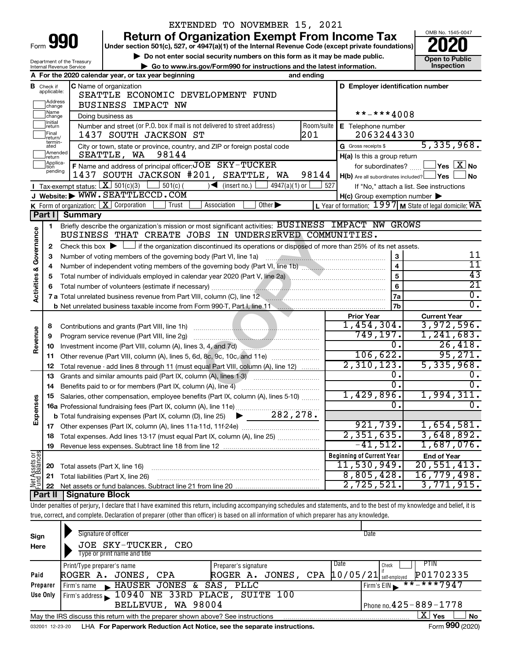|                         |                            |                                                | EXTENDED TO NOVEMBER 15, 2021                                                                                                                                                  |            |                                                     |                                                         |
|-------------------------|----------------------------|------------------------------------------------|--------------------------------------------------------------------------------------------------------------------------------------------------------------------------------|------------|-----------------------------------------------------|---------------------------------------------------------|
|                         |                            | Form 990                                       | <b>Return of Organization Exempt From Income Tax</b>                                                                                                                           |            |                                                     | OMB No. 1545-0047                                       |
|                         |                            |                                                | Under section 501(c), 527, or 4947(a)(1) of the Internal Revenue Code (except private foundations)                                                                             |            |                                                     |                                                         |
|                         |                            | Department of the Treasury                     | Do not enter social security numbers on this form as it may be made public.                                                                                                    |            |                                                     | <b>Open to Public</b><br>Inspection                     |
|                         |                            | Internal Revenue Service                       | Go to www.irs.gov/Form990 for instructions and the latest information.<br>A For the 2020 calendar year, or tax year beginning                                                  | and ending |                                                     |                                                         |
|                         | <b>B</b> Check if          |                                                | C Name of organization                                                                                                                                                         |            | D Employer identification number                    |                                                         |
|                         | applicable:                |                                                | SEATTLE ECONOMIC DEVELOPMENT FUND                                                                                                                                              |            |                                                     |                                                         |
|                         | Address<br>change          |                                                | BUSINESS IMPACT NW                                                                                                                                                             |            |                                                     |                                                         |
|                         | Name<br>change             |                                                | Doing business as                                                                                                                                                              |            | **-***4008                                          |                                                         |
|                         | Initial<br>return          |                                                | Number and street (or P.O. box if mail is not delivered to street address)                                                                                                     | Room/suite | E Telephone number                                  |                                                         |
|                         | Final<br>return/           |                                                | 1437 SOUTH JACKSON ST                                                                                                                                                          | 201        | 2063244330                                          |                                                         |
|                         | termin-<br>ated<br>Amended |                                                | City or town, state or province, country, and ZIP or foreign postal code                                                                                                       |            | G Gross receipts \$                                 | 5,335,968.                                              |
|                         | return<br>Applica-         |                                                | 98144<br>SEATTLE, WA                                                                                                                                                           |            | H(a) Is this a group return                         |                                                         |
|                         | pending                    |                                                | F Name and address of principal officer: JOE SKY-TUCKER<br>1437 SOUTH JACKSON #201, SEATTLE, WA                                                                                | 98144      | for subordinates?                                   | $\,$ Yes $\,$ $\rm X$ No $\,$                           |
|                         |                            | Tax-exempt status: $X \over 301(c)(3)$         | $501(c)$ (<br>$\sqrt{\frac{1}{1}}$ (insert no.)                                                                                                                                | 527        | $H(b)$ Are all subordinates included? $\Box$ Yes    | <b>No</b>                                               |
|                         |                            |                                                | $4947(a)(1)$ or<br>J Website: WWW.SEATTLECCD.COM                                                                                                                               |            | $H(c)$ Group exemption number $\blacktriangleright$ | If "No," attach a list. See instructions                |
|                         |                            | <b>K</b> Form of organization: $X$ Corporation | Other $\blacktriangleright$<br>Association<br>Trust                                                                                                                            |            |                                                     | L Year of formation: 1997 M State of legal domicile: WA |
|                         | Part I                     | <b>Summary</b>                                 |                                                                                                                                                                                |            |                                                     |                                                         |
|                         | 1                          |                                                | Briefly describe the organization's mission or most significant activities: BUSINESS IMPACT NW GROWS                                                                           |            |                                                     |                                                         |
|                         |                            |                                                | BUSINESS THAT CREATE JOBS IN UNDERSERVED COMMUNITIES.                                                                                                                          |            |                                                     |                                                         |
|                         | 2                          |                                                | Check this box $\blacktriangleright$ $\Box$ if the organization discontinued its operations or disposed of more than 25% of its net assets.                                    |            |                                                     |                                                         |
|                         | з                          |                                                | Number of voting members of the governing body (Part VI, line 1a)                                                                                                              |            | 3                                                   | 11                                                      |
|                         | 4                          |                                                |                                                                                                                                                                                |            | $\overline{\mathbf{4}}$                             | 11                                                      |
| Activities & Governance | 5                          |                                                |                                                                                                                                                                                |            | 5                                                   | 43                                                      |
|                         | 6                          |                                                |                                                                                                                                                                                |            | 6                                                   | $\overline{21}$                                         |
|                         |                            |                                                | 7 a Total unrelated business revenue from Part VIII, column (C), line 12 <b>Column COVID 12</b>                                                                                |            | 7a                                                  | $\overline{0}$ .                                        |
|                         |                            |                                                | b Net unrelated business taxable income from Form 990-T, Part I, line 11 \\minimum materials and the US Net unrelated business taxable income from Form 990-T, Part I, line 11 |            | 7b                                                  | σ.                                                      |
|                         |                            |                                                |                                                                                                                                                                                |            | <b>Prior Year</b><br>1,454,304.                     | <b>Current Year</b><br>3,972,596.                       |
|                         | 8                          |                                                | Contributions and grants (Part VIII, line 1h)                                                                                                                                  |            | 749,197.                                            | 1,241,683.                                              |
| Revenue                 | 9<br>10                    |                                                | Investment income (Part VIII, column (A), lines 3, 4, and 7d)                                                                                                                  |            | 0.                                                  | 26,418.                                                 |
|                         | 11                         |                                                | Other revenue (Part VIII, column (A), lines 5, 6d, 8c, 9c, 10c, and 11e)                                                                                                       |            | 106,622.                                            | 95, 271.                                                |
|                         | 12                         |                                                | Total revenue - add lines 8 through 11 (must equal Part VIII, column (A), line 12)                                                                                             |            | 2,310,123.                                          | 5,335,968.                                              |
|                         | 13                         |                                                | Grants and similar amounts paid (Part IX, column (A), lines 1-3)                                                                                                               |            | 0.                                                  |                                                         |
|                         | 14                         |                                                | Benefits paid to or for members (Part IX, column (A), line 4)                                                                                                                  |            | $\overline{0}$                                      | $\overline{0}$ .                                        |
|                         | 15                         |                                                | Salaries, other compensation, employee benefits (Part IX, column (A), lines 5-10)                                                                                              |            | 1,429,896.                                          | 1,994,311.                                              |
|                         |                            |                                                |                                                                                                                                                                                |            | 0                                                   | Ο.                                                      |
| Expenses                |                            |                                                |                                                                                                                                                                                |            |                                                     |                                                         |
|                         | 17                         |                                                |                                                                                                                                                                                |            | 921,739.                                            | 1,654,581.                                              |
|                         | 18                         |                                                | Total expenses. Add lines 13-17 (must equal Part IX, column (A), line 25)                                                                                                      |            | 2,351,635.                                          | 3,648,892.                                              |
|                         | 19                         |                                                |                                                                                                                                                                                |            | $-41,512.$                                          | 1,687,076.                                              |
| Net Assets or           |                            |                                                |                                                                                                                                                                                |            | <b>Beginning of Current Year</b><br>11,530,949.     | <b>End of Year</b><br>20,551,413.                       |
|                         | 20<br>21                   | Total assets (Part X, line 16)                 | Total liabilities (Part X, line 26)                                                                                                                                            |            | 8,805,428.                                          | 16,779,498.                                             |
|                         | 22                         |                                                |                                                                                                                                                                                |            | 2,725,521                                           | 3,771,915.                                              |
|                         | Part II                    | <b>Signature Block</b>                         |                                                                                                                                                                                |            |                                                     |                                                         |
|                         |                            |                                                | Under penalties of perjury, I declare that I have examined this return, including accompanying schedules and statements, and to the best of my knowledge and belief, it is     |            |                                                     |                                                         |
|                         |                            |                                                | true, correct, and complete. Declaration of preparer (other than officer) is based on all information of which preparer has any knowledge.                                     |            |                                                     |                                                         |

| Sign<br>Here | Signature of officer<br>JOE SKY-TUCKER, CEO<br>Type or print name and title     |                                                             | Date |                              |
|--------------|---------------------------------------------------------------------------------|-------------------------------------------------------------|------|------------------------------|
|              | Print/Type preparer's name                                                      | Preparer's signature                                        | Date | PTIN<br>Check                |
| Paid         | ROGER A. JONES, CPA                                                             | ROGER A. JONES, CPA $ 10/05/21 $ <sup>"</sup> self-employed |      | P01702335                    |
| Preparer     | HAUSER JONES & SAS, PLLC<br>Firm's name<br>$\blacksquare$                       |                                                             |      | $***$ -***7947<br>Firm's EIN |
| Use Only     | Firm's address 10940 NE 33RD PLACE, SUITE 100                                   |                                                             |      |                              |
|              | BELLEVUE, WA 98004                                                              |                                                             |      | Phone no. $425 - 889 - 1778$ |
|              | May the IRS discuss this return with the preparer shown above? See instructions |                                                             |      | XI<br>No<br>Yes              |
|              |                                                                                 |                                                             |      | $0.00 \div 0.00$             |

032001 12-23-20 LHA **For Paperwork Reduction Act Notice, see the separate instructions.** Form 990 (2020)

Form **990** (2020)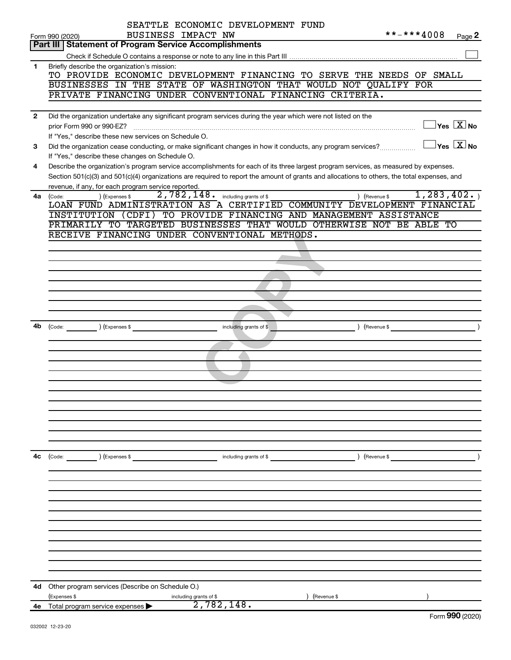|                | SEATTLE ECONOMIC DEVELOPMENT FUND                                                                                                            |                               |                                         |
|----------------|----------------------------------------------------------------------------------------------------------------------------------------------|-------------------------------|-----------------------------------------|
|                | BUSINESS IMPACT NW<br>Form 990 (2020)                                                                                                        | **-***4008                    | Page 2                                  |
|                | Part III   Statement of Program Service Accomplishments                                                                                      |                               |                                         |
|                |                                                                                                                                              |                               |                                         |
| 1              | Briefly describe the organization's mission:<br>TO PROVIDE ECONOMIC DEVELOPMENT FINANCING TO SERVE THE NEEDS OF SMALL                        |                               |                                         |
|                | BUSINESSES IN THE STATE OF WASHINGTON THAT WOULD NOT QUALIFY FOR                                                                             |                               |                                         |
|                | PRIVATE FINANCING UNDER CONVENTIONAL FINANCING CRITERIA.                                                                                     |                               |                                         |
|                |                                                                                                                                              |                               |                                         |
| $\overline{2}$ | Did the organization undertake any significant program services during the year which were not listed on the                                 |                               |                                         |
|                |                                                                                                                                              |                               | $\Box$ Yes $[\overline{\mathrm{X}}]$ No |
|                | If "Yes," describe these new services on Schedule O.                                                                                         |                               |                                         |
| 3              | Did the organization cease conducting, or make significant changes in how it conducts, any program services?                                 |                               | $\Box$ Yes $[\,\mathbf{X}\,]$ No        |
|                | If "Yes," describe these changes on Schedule O.                                                                                              |                               |                                         |
| 4              | Describe the organization's program service accomplishments for each of its three largest program services, as measured by expenses.         |                               |                                         |
|                | Section 501(c)(3) and 501(c)(4) organizations are required to report the amount of grants and allocations to others, the total expenses, and |                               |                                         |
|                | revenue, if any, for each program service reported.                                                                                          |                               |                                         |
| 4a             | 2,782,148. including grants of \$<br>) (Expenses \$<br>(Code:                                                                                | 1, 283, 402.<br>) (Revenue \$ |                                         |
|                | LOAN FUND ADMINISTRATION AS A CERTIFIED COMMUNITY DEVELOPMENT FINANCIAL                                                                      |                               |                                         |
|                | INSTITUTION (CDFI) TO PROVIDE FINANCING AND MANAGEMENT ASSISTANCE                                                                            |                               |                                         |
|                | PRIMARILY TO TARGETED BUSINESSES THAT WOULD OTHERWISE NOT BE ABLE TO                                                                         |                               |                                         |
|                | RECEIVE FINANCING UNDER CONVENTIONAL METHODS.                                                                                                |                               |                                         |
|                |                                                                                                                                              |                               |                                         |
|                |                                                                                                                                              |                               |                                         |
|                |                                                                                                                                              |                               |                                         |
|                |                                                                                                                                              |                               |                                         |
|                |                                                                                                                                              |                               |                                         |
|                |                                                                                                                                              |                               |                                         |
|                |                                                                                                                                              |                               |                                         |
| 4b             | (Code: ) (Expenses \$<br>including grants of \$                                                                                              | $($ Revenue \$                |                                         |
|                |                                                                                                                                              |                               |                                         |
|                |                                                                                                                                              |                               |                                         |
|                |                                                                                                                                              |                               |                                         |
|                |                                                                                                                                              |                               |                                         |
|                |                                                                                                                                              |                               |                                         |
|                |                                                                                                                                              |                               |                                         |
|                |                                                                                                                                              |                               |                                         |
|                |                                                                                                                                              |                               |                                         |
|                |                                                                                                                                              |                               |                                         |
|                |                                                                                                                                              |                               |                                         |
|                |                                                                                                                                              |                               |                                         |
|                |                                                                                                                                              |                               |                                         |
| 4c             | (Code: ) (Expenses \$ including grants of \$                                                                                                 | $($ Revenue \$                |                                         |
|                |                                                                                                                                              |                               |                                         |
|                |                                                                                                                                              |                               |                                         |
|                |                                                                                                                                              |                               |                                         |
|                |                                                                                                                                              |                               |                                         |
|                |                                                                                                                                              |                               |                                         |
|                |                                                                                                                                              |                               |                                         |
|                |                                                                                                                                              |                               |                                         |
|                |                                                                                                                                              |                               |                                         |
|                |                                                                                                                                              |                               |                                         |
|                |                                                                                                                                              |                               |                                         |
|                |                                                                                                                                              |                               |                                         |
| 4d             | Other program services (Describe on Schedule O.)                                                                                             |                               |                                         |
|                | (Expenses \$<br>) (Revenue \$<br>including grants of \$                                                                                      |                               |                                         |
| 4е             | 2,782,148.<br>Total program service expenses >                                                                                               |                               | $F_{\text{arm}}$ 000 (2020)             |
|                |                                                                                                                                              |                               |                                         |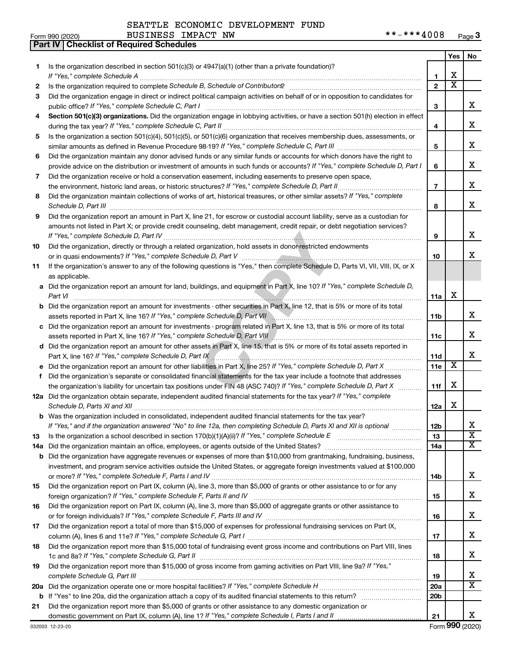| SEATTLE ECONOMIC DEVELOPMENT FUND |  |  |
|-----------------------------------|--|--|
|-----------------------------------|--|--|

**Part IV Checklist of Required Schedules**

|    |                                                                                                                                       |                 | Yes | No                           |
|----|---------------------------------------------------------------------------------------------------------------------------------------|-----------------|-----|------------------------------|
| 1. | Is the organization described in section $501(c)(3)$ or $4947(a)(1)$ (other than a private foundation)?                               |                 |     |                              |
|    | If "Yes," complete Schedule A                                                                                                         | 1               | х   |                              |
| 2  |                                                                                                                                       | $\mathbf{2}$    | х   |                              |
| 3  | Did the organization engage in direct or indirect political campaign activities on behalf of or in opposition to candidates for       |                 |     |                              |
|    | public office? If "Yes," complete Schedule C, Part I                                                                                  | 3               |     | х                            |
| 4  | Section 501(c)(3) organizations. Did the organization engage in lobbying activities, or have a section 501(h) election in effect      |                 |     |                              |
|    |                                                                                                                                       | 4               |     | х                            |
| 5  | Is the organization a section 501(c)(4), 501(c)(5), or 501(c)(6) organization that receives membership dues, assessments, or          |                 |     |                              |
|    |                                                                                                                                       | 5               |     | х                            |
| 6  | Did the organization maintain any donor advised funds or any similar funds or accounts for which donors have the right to             |                 |     | X.                           |
|    | provide advice on the distribution or investment of amounts in such funds or accounts? If "Yes," complete Schedule D, Part I          | 6               |     |                              |
| 7  | Did the organization receive or hold a conservation easement, including easements to preserve open space,                             |                 |     | X.                           |
|    |                                                                                                                                       | $\overline{7}$  |     |                              |
| 8  | Did the organization maintain collections of works of art, historical treasures, or other similar assets? If "Yes," complete          |                 |     | х                            |
|    | Schedule D, Part III                                                                                                                  | 8               |     |                              |
| 9  | Did the organization report an amount in Part X, line 21, for escrow or custodial account liability, serve as a custodian for         |                 |     |                              |
|    | amounts not listed in Part X; or provide credit counseling, debt management, credit repair, or debt negotiation services?             |                 |     | X.                           |
|    |                                                                                                                                       | 9               |     |                              |
| 10 | Did the organization, directly or through a related organization, hold assets in donor-restricted endowments                          | 10              |     | x.                           |
|    | If the organization's answer to any of the following questions is "Yes," then complete Schedule D, Parts VI, VII, VIII, IX, or X      |                 |     |                              |
| 11 | as applicable.                                                                                                                        |                 |     |                              |
|    | a Did the organization report an amount for land, buildings, and equipment in Part X, line 10? If "Yes," complete Schedule D,         |                 |     |                              |
|    | Part VI                                                                                                                               | 11a             | х   |                              |
|    | <b>b</b> Did the organization report an amount for investments - other securities in Part X, line 12, that is 5% or more of its total |                 |     |                              |
|    |                                                                                                                                       | 11b             |     | х                            |
|    | c Did the organization report an amount for investments - program related in Part X, line 13, that is 5% or more of its total         |                 |     |                              |
|    |                                                                                                                                       | 11c             |     | х                            |
|    | d Did the organization report an amount for other assets in Part X, line 15, that is 5% or more of its total assets reported in       |                 |     |                              |
|    |                                                                                                                                       | 11d             |     | х                            |
|    |                                                                                                                                       | 11e             | х   |                              |
| f  | Did the organization's separate or consolidated financial statements for the tax year include a footnote that addresses               |                 |     |                              |
|    | the organization's liability for uncertain tax positions under FIN 48 (ASC 740)? If "Yes," complete Schedule D, Part X                | 11f             | х   |                              |
|    | 12a Did the organization obtain separate, independent audited financial statements for the tax year? If "Yes," complete               |                 |     |                              |
|    |                                                                                                                                       | 12a             | х   |                              |
|    | b Was the organization included in consolidated, independent audited financial statements for the tax year?                           |                 |     |                              |
|    | If "Yes," and if the organization answered "No" to line 12a, then completing Schedule D, Parts XI and XII is optional                 | 12 <sub>b</sub> |     | х                            |
| 13 |                                                                                                                                       | 13              |     | $\overline{\textbf{x}}$      |
|    |                                                                                                                                       | 14a             |     | X                            |
|    | <b>b</b> Did the organization have aggregate revenues or expenses of more than \$10,000 from grantmaking, fundraising, business,      |                 |     |                              |
|    | investment, and program service activities outside the United States, or aggregate foreign investments valued at \$100,000            |                 |     |                              |
|    |                                                                                                                                       | 14b             |     | x                            |
| 15 | Did the organization report on Part IX, column (A), line 3, more than \$5,000 of grants or other assistance to or for any             |                 |     |                              |
|    |                                                                                                                                       | 15              |     | x                            |
| 16 | Did the organization report on Part IX, column (A), line 3, more than \$5,000 of aggregate grants or other assistance to              |                 |     |                              |
|    |                                                                                                                                       | 16              |     | x                            |
| 17 | Did the organization report a total of more than \$15,000 of expenses for professional fundraising services on Part IX,               |                 |     |                              |
|    |                                                                                                                                       | 17              |     | х                            |
| 18 | Did the organization report more than \$15,000 total of fundraising event gross income and contributions on Part VIII, lines          |                 |     |                              |
|    |                                                                                                                                       | 18              |     | х                            |
| 19 | Did the organization report more than \$15,000 of gross income from gaming activities on Part VIII, line 9a? If "Yes,"                |                 |     |                              |
|    |                                                                                                                                       | 19              |     | х<br>$\overline{\mathtt{x}}$ |
|    |                                                                                                                                       | 20a             |     |                              |
|    |                                                                                                                                       | 20 <sub>b</sub> |     |                              |
| 21 | Did the organization report more than \$5,000 of grants or other assistance to any domestic organization or                           | 21              |     | x                            |
|    |                                                                                                                                       |                 |     |                              |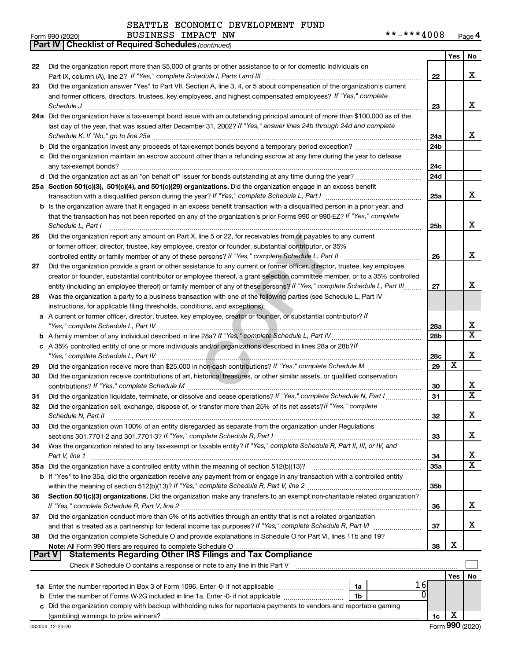| 22     | Did the organization report more than \$5,000 of grants or other assistance to or for domestic individuals on                                                                                                                                |                 |     | х                       |
|--------|----------------------------------------------------------------------------------------------------------------------------------------------------------------------------------------------------------------------------------------------|-----------------|-----|-------------------------|
|        | Part IX, column (A), line 2? If "Yes," complete Schedule I, Parts I and III                                                                                                                                                                  | 22              |     |                         |
| 23     | Did the organization answer "Yes" to Part VII, Section A, line 3, 4, or 5 about compensation of the organization's current<br>and former officers, directors, trustees, key employees, and highest compensated employees? If "Yes," complete |                 |     |                         |
|        |                                                                                                                                                                                                                                              | 23              |     | х                       |
|        | $\textit{Schedule J} \label{eq:1}$<br>24a Did the organization have a tax-exempt bond issue with an outstanding principal amount of more than \$100,000 as of the                                                                            |                 |     |                         |
|        | last day of the year, that was issued after December 31, 2002? If "Yes," answer lines 24b through 24d and complete                                                                                                                           |                 |     |                         |
|        | Schedule K. If "No," go to line 25a                                                                                                                                                                                                          | 24a             |     | х                       |
|        |                                                                                                                                                                                                                                              | 24 <sub>b</sub> |     |                         |
|        | c Did the organization maintain an escrow account other than a refunding escrow at any time during the year to defease                                                                                                                       |                 |     |                         |
|        |                                                                                                                                                                                                                                              | 24c             |     |                         |
|        |                                                                                                                                                                                                                                              | 24 <sub>d</sub> |     |                         |
|        | 25a Section 501(c)(3), 501(c)(4), and 501(c)(29) organizations. Did the organization engage in an excess benefit                                                                                                                             |                 |     |                         |
|        |                                                                                                                                                                                                                                              | 25a             |     | x                       |
|        | b Is the organization aware that it engaged in an excess benefit transaction with a disqualified person in a prior year, and                                                                                                                 |                 |     |                         |
|        | that the transaction has not been reported on any of the organization's prior Forms 990 or 990-EZ? If "Yes," complete                                                                                                                        |                 |     |                         |
|        | Schedule L, Part I                                                                                                                                                                                                                           | 25b             |     | х                       |
| 26     | Did the organization report any amount on Part X, line 5 or 22, for receivables from or payables to any current                                                                                                                              |                 |     |                         |
|        | or former officer, director, trustee, key employee, creator or founder, substantial contributor, or 35%                                                                                                                                      |                 |     |                         |
|        | controlled entity or family member of any of these persons? If "Yes," complete Schedule L, Part II                                                                                                                                           | 26              |     | х                       |
| 27     | Did the organization provide a grant or other assistance to any current or former officer, director, trustee, key employee,                                                                                                                  |                 |     |                         |
|        | creator or founder, substantial contributor or employee thereof, a grant selection committee member, or to a 35% controlled                                                                                                                  |                 |     |                         |
|        | entity (including an employee thereof) or family member of any of these persons? If "Yes," complete Schedule L, Part III                                                                                                                     | 27              |     | х                       |
| 28     | Was the organization a party to a business transaction with one of the following parties (see Schedule L, Part IV                                                                                                                            |                 |     |                         |
|        | instructions, for applicable filing thresholds, conditions, and exceptions):                                                                                                                                                                 |                 |     |                         |
|        | a A current or former officer, director, trustee, key employee, creator or founder, or substantial contributor? If                                                                                                                           |                 |     |                         |
|        |                                                                                                                                                                                                                                              | 28a             |     | х                       |
|        |                                                                                                                                                                                                                                              | 28b             |     | X                       |
|        | c A 35% controlled entity of one or more individuals and/or organizations described in lines 28a or 28b?If                                                                                                                                   |                 |     | X                       |
|        |                                                                                                                                                                                                                                              | 28c<br>29       | X   |                         |
| 29     |                                                                                                                                                                                                                                              |                 |     |                         |
| 30     | Did the organization receive contributions of art, historical treasures, or other similar assets, or qualified conservation                                                                                                                  | 30              |     | х                       |
| 31     | Did the organization liquidate, terminate, or dissolve and cease operations? If "Yes," complete Schedule N, Part I                                                                                                                           | 31              |     | $\overline{\textbf{X}}$ |
| 32     | Did the organization sell, exchange, dispose of, or transfer more than 25% of its net assets? If "Yes," complete                                                                                                                             |                 |     |                         |
|        | Schedule N, Part II                                                                                                                                                                                                                          | 32              |     | x                       |
| 33     | Did the organization own 100% of an entity disregarded as separate from the organization under Regulations                                                                                                                                   |                 |     |                         |
|        | sections 301.7701-2 and 301.7701-3? If "Yes," complete Schedule R, Part I                                                                                                                                                                    | 33              |     | х                       |
| 34     | Was the organization related to any tax-exempt or taxable entity? If "Yes," complete Schedule R, Part II, III, or IV, and                                                                                                                    |                 |     |                         |
|        | Part V, line 1                                                                                                                                                                                                                               | 34              |     | х                       |
|        | 35a Did the organization have a controlled entity within the meaning of section 512(b)(13)?                                                                                                                                                  | 35a             |     | $\overline{\text{X}}$   |
|        | b If "Yes" to line 35a, did the organization receive any payment from or engage in any transaction with a controlled entity                                                                                                                  |                 |     |                         |
|        |                                                                                                                                                                                                                                              | 35b             |     |                         |
| 36     | Section 501(c)(3) organizations. Did the organization make any transfers to an exempt non-charitable related organization?                                                                                                                   |                 |     |                         |
|        |                                                                                                                                                                                                                                              | 36              |     | х                       |
| 37     | Did the organization conduct more than 5% of its activities through an entity that is not a related organization                                                                                                                             |                 |     |                         |
|        |                                                                                                                                                                                                                                              | 37              |     | х                       |
| 38     | Did the organization complete Schedule O and provide explanations in Schedule O for Part VI, lines 11b and 19?                                                                                                                               |                 |     |                         |
|        |                                                                                                                                                                                                                                              | 38              | х   |                         |
| Part V | <b>Statements Regarding Other IRS Filings and Tax Compliance</b>                                                                                                                                                                             |                 |     |                         |
|        |                                                                                                                                                                                                                                              |                 |     |                         |
|        | 16                                                                                                                                                                                                                                           |                 | Yes | No                      |
|        | 1a<br>$\Omega$<br><b>b</b> Enter the number of Forms W-2G included in line 1a. Enter -0- if not applicable <i>manumanomanom</i><br>1b                                                                                                        |                 |     |                         |
|        | c Did the organization comply with backup withholding rules for reportable payments to vendors and reportable gaming                                                                                                                         |                 |     |                         |
|        |                                                                                                                                                                                                                                              | 1c              | х   |                         |
|        |                                                                                                                                                                                                                                              |                 |     |                         |

 $\lceil$ 

**Yes No**

| UIIII 990 (ZUZU) | ---------------------                                 |  |
|------------------|-------------------------------------------------------|--|
|                  | Part IV   Checklist of Required Schedules (continued) |  |

|  | <b>BUSINESS</b> | IJ |
|--|-----------------|----|
|  |                 |    |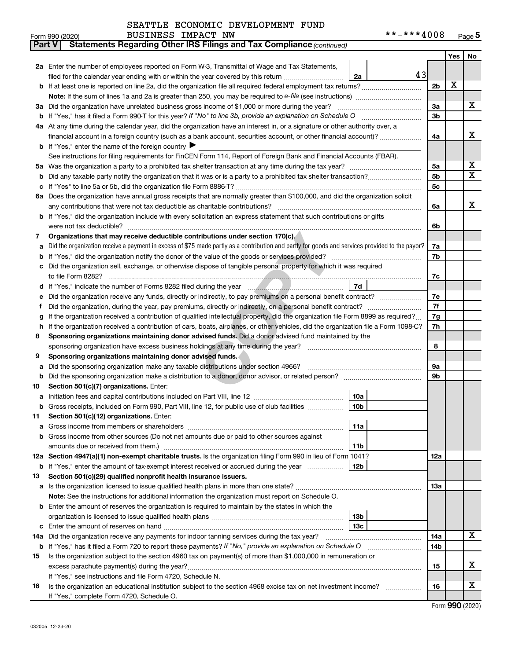| Form 990 (2020) | IMPACT<br><b>BUSINESS</b><br>NW | **-***4008 | Page 5 |
|-----------------|---------------------------------|------------|--------|
|-----------------|---------------------------------|------------|--------|

| Part V | Statements Regarding Other IRS Filings and Tax Compliance (continued)                                                                           |                |     |                       |
|--------|-------------------------------------------------------------------------------------------------------------------------------------------------|----------------|-----|-----------------------|
|        |                                                                                                                                                 |                | Yes | No                    |
|        | 2a Enter the number of employees reported on Form W-3, Transmittal of Wage and Tax Statements,                                                  |                |     |                       |
|        | 43<br>filed for the calendar year ending with or within the year covered by this return<br>2a                                                   |                |     |                       |
|        | b If at least one is reported on line 2a, did the organization file all required federal employment tax returns?                                | 2 <sub>b</sub> | х   |                       |
|        |                                                                                                                                                 |                |     |                       |
|        | 3a Did the organization have unrelated business gross income of \$1,000 or more during the year?                                                | 3a             |     | X.                    |
| b      | If "Yes," has it filed a Form 990 T for this year? If "No" to line 3b, provide an explanation on Schedule O manumerrous                         | 3b             |     |                       |
|        | 4a At any time during the calendar year, did the organization have an interest in, or a signature or other authority over, a                    |                |     |                       |
|        | financial account in a foreign country (such as a bank account, securities account, or other financial account)?                                | 4a             |     | x                     |
|        | <b>b</b> If "Yes," enter the name of the foreign country $\blacktriangleright$                                                                  |                |     |                       |
|        | See instructions for filing requirements for FinCEN Form 114, Report of Foreign Bank and Financial Accounts (FBAR).                             |                |     |                       |
|        |                                                                                                                                                 | 5a             |     | x                     |
| b      |                                                                                                                                                 | 5b             |     | $\overline{\text{x}}$ |
| c      |                                                                                                                                                 | 5c             |     |                       |
|        | 6a Does the organization have annual gross receipts that are normally greater than \$100,000, and did the organization solicit                  |                |     |                       |
|        | any contributions that were not tax deductible as charitable contributions?                                                                     | 6a             |     | x                     |
|        | b If "Yes," did the organization include with every solicitation an express statement that such contributions or gifts                          |                |     |                       |
|        | were not tax deductible?                                                                                                                        | 6b             |     |                       |
| 7      | Organizations that may receive deductible contributions under section 170(c).                                                                   |                |     |                       |
| a      | Did the organization receive a payment in excess of \$75 made partly as a contribution and partly for goods and services provided to the payor? | 7a             |     |                       |
| b      |                                                                                                                                                 | 7b             |     |                       |
| с      | Did the organization sell, exchange, or otherwise dispose of tangible personal property for which it was required                               |                |     |                       |
|        | to file Form 8282?                                                                                                                              | 7c             |     |                       |
| d      | 7d                                                                                                                                              |                |     |                       |
| е      | Did the organization receive any funds, directly or indirectly, to pay premiums on a personal benefit contract?                                 | 7е             |     |                       |
| t      |                                                                                                                                                 |                |     |                       |
| g      | If the organization received a contribution of qualified intellectual property, did the organization file Form 8899 as required?                |                |     |                       |
| h      | If the organization received a contribution of cars, boats, airplanes, or other vehicles, did the organization file a Form 1098-C?              |                |     |                       |
| 8      | Sponsoring organizations maintaining donor advised funds. Did a donor advised fund maintained by the                                            |                |     |                       |
|        | sponsoring organization have excess business holdings at any time during the year?                                                              |                |     |                       |
| 9      | Sponsoring organizations maintaining donor advised funds.                                                                                       |                |     |                       |
| а      |                                                                                                                                                 | <b>9a</b>      |     |                       |
| b      | Did the sponsoring organization make a distribution to a donor, donor advisor, or related person? [[[[[[[[[[[                                   | 9b             |     |                       |
| 10     | Section 501(c)(7) organizations. Enter:                                                                                                         |                |     |                       |
| а      | 10a                                                                                                                                             |                |     |                       |
| b      | Gross receipts, included on Form 990, Part VIII, line 12, for public use of club facilities <i></i><br>10b                                      |                |     |                       |
| 11     | Section 501(c)(12) organizations. Enter:                                                                                                        |                |     |                       |
|        | 11a                                                                                                                                             |                |     |                       |
|        | Gross income from other sources (Do not net amounts due or paid to other sources against                                                        |                |     |                       |
|        | amounts due or received from them.)<br>11b                                                                                                      |                |     |                       |
|        | 12a Section 4947(a)(1) non-exempt charitable trusts. Is the organization filing Form 990 in lieu of Form 1041?                                  | 12a            |     |                       |
|        | <b>b</b> If "Yes," enter the amount of tax-exempt interest received or accrued during the year<br>12b                                           |                |     |                       |
| 13     | Section 501(c)(29) qualified nonprofit health insurance issuers.                                                                                |                |     |                       |
|        |                                                                                                                                                 | 13a            |     |                       |
|        | Note: See the instructions for additional information the organization must report on Schedule O.                                               |                |     |                       |
|        | <b>b</b> Enter the amount of reserves the organization is required to maintain by the states in which the                                       |                |     |                       |
|        | 13b                                                                                                                                             |                |     |                       |
| с      | 13c                                                                                                                                             |                |     |                       |
|        | 14a Did the organization receive any payments for indoor tanning services during the tax year?                                                  | 14a            |     | x                     |
|        | <b>b</b> If "Yes," has it filed a Form 720 to report these payments? If "No," provide an explanation on Schedule O                              | 14b            |     |                       |
| 15     | Is the organization subject to the section 4960 tax on payment(s) of more than \$1,000,000 in remuneration or                                   |                |     |                       |
|        |                                                                                                                                                 | 15             |     | x.                    |
|        | If "Yes," see instructions and file Form 4720, Schedule N.                                                                                      |                |     |                       |
| 16     | Is the organization an educational institution subject to the section 4968 excise tax on net investment income?                                 | 16             |     | х                     |
|        | If "Yes," complete Form 4720, Schedule O.                                                                                                       |                |     |                       |

Form (2020) **990**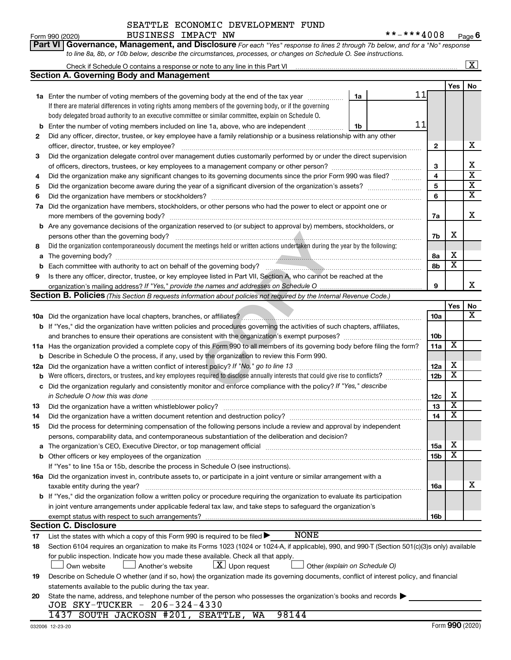|  |  |  | Part VI   Governance, Management, and Disclosure For each "Yes" response to lines 2 through 7b below, and for a "No" response |  |  |
|--|--|--|-------------------------------------------------------------------------------------------------------------------------------|--|--|
|  |  |  | to line 8a, 8b, or 10b below, describe the circumstances, processes, or changes on Schedule O. See instructions.              |  |  |

|     | Check if Schedule O contains a response or note to any line in this Part VI [11] [12] Check if Schedule O contains a response or note to any line in this Part VI                                                              |    |    |                 |                         | $\mathbf{X}$            |
|-----|--------------------------------------------------------------------------------------------------------------------------------------------------------------------------------------------------------------------------------|----|----|-----------------|-------------------------|-------------------------|
|     | <b>Section A. Governing Body and Management</b>                                                                                                                                                                                |    |    |                 |                         |                         |
|     |                                                                                                                                                                                                                                |    |    |                 | Yes                     | No                      |
|     | <b>1a</b> Enter the number of voting members of the governing body at the end of the tax year                                                                                                                                  | 1a | 11 |                 |                         |                         |
|     | If there are material differences in voting rights among members of the governing body, or if the governing                                                                                                                    |    |    |                 |                         |                         |
|     | body delegated broad authority to an executive committee or similar committee, explain on Schedule O.                                                                                                                          |    |    |                 |                         |                         |
| b   | Enter the number of voting members included on line 1a, above, who are independent                                                                                                                                             | 1b | 11 |                 |                         |                         |
| 2   | Did any officer, director, trustee, or key employee have a family relationship or a business relationship with any other                                                                                                       |    |    |                 |                         |                         |
|     | officer, director, trustee, or key employee?                                                                                                                                                                                   |    |    | 2               |                         | X                       |
| 3   | Did the organization delegate control over management duties customarily performed by or under the direct supervision                                                                                                          |    |    |                 |                         |                         |
|     |                                                                                                                                                                                                                                |    |    | З               |                         | x                       |
| 4   | Did the organization make any significant changes to its governing documents since the prior Form 990 was filed?                                                                                                               |    |    | 4               |                         | $\overline{\mathtt{x}}$ |
| 5   |                                                                                                                                                                                                                                |    |    | 5               |                         | $\overline{\mathbf{x}}$ |
| 6   | Did the organization have members or stockholders?                                                                                                                                                                             |    |    | 6               |                         | $\overline{\mathbf{x}}$ |
| 7a  | Did the organization have members, stockholders, or other persons who had the power to elect or appoint one or                                                                                                                 |    |    |                 |                         |                         |
|     |                                                                                                                                                                                                                                |    |    | 7a              |                         | X                       |
|     | <b>b</b> Are any governance decisions of the organization reserved to (or subject to approval by) members, stockholders, or                                                                                                    |    |    |                 |                         |                         |
|     | persons other than the governing body?                                                                                                                                                                                         |    |    | 7b              | x                       |                         |
| 8   | Did the organization contemporaneously document the meetings held or written actions undertaken during the year by the following:                                                                                              |    |    |                 |                         |                         |
| a   | The governing body? [[11] matter and the contract of the contract of the contract of the contract of the contract of the contract of the contract of the contract of the contract of the contract of the contract of the contr |    |    | 8а              | X                       |                         |
| b   | Each committee with authority to act on behalf of the governing body?                                                                                                                                                          |    |    | 8b              | $\overline{\textbf{x}}$ |                         |
| 9   | Is there any officer, director, trustee, or key employee listed in Part VII, Section A, who cannot be reached at the                                                                                                           |    |    |                 |                         |                         |
|     |                                                                                                                                                                                                                                |    |    | 9               |                         | x                       |
|     | <b>Section B. Policies</b> (This Section B requests information about policies not required by the Internal Revenue Code.)                                                                                                     |    |    |                 |                         |                         |
|     |                                                                                                                                                                                                                                |    |    |                 | Yes                     | No                      |
|     |                                                                                                                                                                                                                                |    |    | 10a             |                         | X                       |
|     | b If "Yes," did the organization have written policies and procedures governing the activities of such chapters, affiliates,                                                                                                   |    |    |                 |                         |                         |
|     |                                                                                                                                                                                                                                |    |    | 10 <sub>b</sub> |                         |                         |
|     | 11a Has the organization provided a complete copy of this Form 990 to all members of its governing body before filing the form?                                                                                                |    |    | 11a             | $\overline{\mathbf{X}}$ |                         |
| b   | Describe in Schedule O the process, if any, used by the organization to review this Form 990.                                                                                                                                  |    |    |                 |                         |                         |
| 12a | Did the organization have a written conflict of interest policy? If "No," go to line 13                                                                                                                                        |    |    | 12a             | X                       |                         |
| b   | Were officers, directors, or trustees, and key employees required to disclose annually interests that could give rise to conflicts?                                                                                            |    |    | 12 <sub>b</sub> | $\overline{\textbf{X}}$ |                         |
| с   | Did the organization regularly and consistently monitor and enforce compliance with the policy? If "Yes," describe                                                                                                             |    |    |                 |                         |                         |
|     | in Schedule O how this was done                                                                                                                                                                                                |    |    | 12c             | X                       |                         |
| 13  | Did the organization have a written whistleblower policy?                                                                                                                                                                      |    |    | 13              | $\overline{\mathbf{X}}$ |                         |
| 14  | Did the organization have a written document retention and destruction policy? [11] manuscription matter in the struction policy?                                                                                              |    |    | 14              | $\overline{\mathbf{X}}$ |                         |
| 15  | Did the process for determining compensation of the following persons include a review and approval by independent                                                                                                             |    |    |                 |                         |                         |
|     | persons, comparability data, and contemporaneous substantiation of the deliberation and decision?                                                                                                                              |    |    |                 |                         |                         |
| а   |                                                                                                                                                                                                                                |    |    | 15a             | X                       |                         |
|     | <b>b</b> Other officers or key employees of the organization                                                                                                                                                                   |    |    | 15 <sub>b</sub> | $\overline{\mathbf{X}}$ |                         |
|     | If "Yes" to line 15a or 15b, describe the process in Schedule O (see instructions).                                                                                                                                            |    |    |                 |                         |                         |
|     | 16a Did the organization invest in, contribute assets to, or participate in a joint venture or similar arrangement with a                                                                                                      |    |    |                 |                         |                         |
|     | taxable entity during the year?                                                                                                                                                                                                |    |    | 16a             |                         | X                       |
|     | b If "Yes," did the organization follow a written policy or procedure requiring the organization to evaluate its participation                                                                                                 |    |    |                 |                         |                         |
|     | in joint venture arrangements under applicable federal tax law, and take steps to safeguard the organization's                                                                                                                 |    |    |                 |                         |                         |
|     | exempt status with respect to such arrangements?                                                                                                                                                                               |    |    | 16b             |                         |                         |
|     | <b>Section C. Disclosure</b>                                                                                                                                                                                                   |    |    |                 |                         |                         |
| 17  | <b>NONE</b><br>List the states with which a copy of this Form 990 is required to be filed $\blacktriangleright$                                                                                                                |    |    |                 |                         |                         |
| 18  | Section 6104 requires an organization to make its Forms 1023 (1024 or 1024-A, if applicable), 990, and 990-T (Section 501(c)(3)s only) available                                                                               |    |    |                 |                         |                         |
|     | for public inspection. Indicate how you made these available. Check all that apply.                                                                                                                                            |    |    |                 |                         |                         |
|     | $ \underline{X} $ Upon request<br>Own website<br>Another's website<br>Other (explain on Schedule O)                                                                                                                            |    |    |                 |                         |                         |
| 19  | Describe on Schedule O whether (and if so, how) the organization made its governing documents, conflict of interest policy, and financial                                                                                      |    |    |                 |                         |                         |
|     | statements available to the public during the tax year.                                                                                                                                                                        |    |    |                 |                         |                         |
| 20  | State the name, address, and telephone number of the person who possesses the organization's books and records                                                                                                                 |    |    |                 |                         |                         |
|     | JOE SKY-TUCKER - 206-324-4330                                                                                                                                                                                                  |    |    |                 |                         |                         |
|     | 1437 SOUTH JACKOSN #201, SEATTLE,<br>98144<br>WA                                                                                                                                                                               |    |    |                 |                         |                         |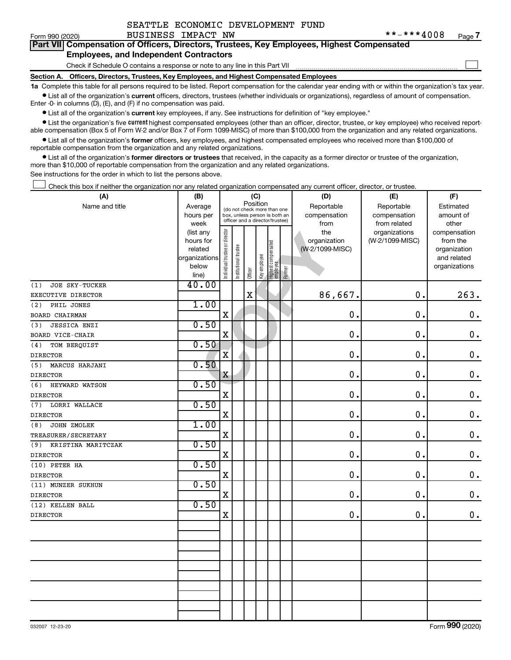$\Box$ 

|  |                                               |  | Part VII Compensation of Officers, Directors, Trustees, Key Employees, Highest Compensated |  |  |
|--|-----------------------------------------------|--|--------------------------------------------------------------------------------------------|--|--|
|  | <b>Employees, and Independent Contractors</b> |  |                                                                                            |  |  |

#### Check if Schedule O contains a response or note to any line in this Part VII

**Section A. Officers, Directors, Trustees, Key Employees, and Highest Compensated Employees**

**1a**  Complete this table for all persons required to be listed. Report compensation for the calendar year ending with or within the organization's tax year.  $\bullet$  List all of the organization's current officers, directors, trustees (whether individuals or organizations), regardless of amount of compensation.

Enter -0- in columns (D), (E), and (F) if no compensation was paid.

**•** List all of the organization's current key employees, if any. See instructions for definition of "key employee."

• List the organization's five *current* highest compensated employees (other than an officer, director, trustee, or key employee) who received reportable compensation (Box 5 of Form W-2 and/or Box 7 of Form 1099-MISC) of more than \$100,000 from the organization and any related organizations.

 $\bullet$  List all of the organization's former officers, key employees, and highest compensated employees who received more than \$100,000 of reportable compensation from the organization and any related organizations.

**•** List all of the organization's former directors or trustees that received, in the capacity as a former director or trustee of the organization, more than \$10,000 of reportable compensation from the organization and any related organizations.

See instructions for the order in which to list the persons above.

Check this box if neither the organization nor any related organization compensated any current officer, director, or trustee.  $\Box$ 

| (A)                          | (B)                    | (C)                           |                                 |                                         |              |                                   |        | (D)             | (E)             | (F)                          |
|------------------------------|------------------------|-------------------------------|---------------------------------|-----------------------------------------|--------------|-----------------------------------|--------|-----------------|-----------------|------------------------------|
| Name and title               | Average                |                               |                                 | Position<br>(do not check more than one |              |                                   |        | Reportable      | Reportable      | Estimated                    |
|                              | hours per              |                               |                                 | box, unless person is both an           |              |                                   |        | compensation    | compensation    | amount of                    |
|                              | week                   |                               | officer and a director/trustee) |                                         |              |                                   |        | from            | from related    | other                        |
|                              | (list any              |                               |                                 |                                         |              |                                   |        | the             | organizations   | compensation                 |
|                              | hours for              |                               |                                 |                                         |              |                                   |        | organization    | (W-2/1099-MISC) | from the                     |
|                              | related                |                               |                                 |                                         |              |                                   |        | (W-2/1099-MISC) |                 | organization                 |
|                              | organizations<br>below |                               |                                 |                                         |              |                                   |        |                 |                 | and related<br>organizations |
|                              | line)                  | ndividual trustee or director | Institutional trustee           | Officer                                 | Key employee | Highest compensated<br>  employee | Former |                 |                 |                              |
| <b>JOE SKY-TUCKER</b><br>(1) | 40.00                  |                               |                                 |                                         |              |                                   |        |                 |                 |                              |
| EXECUTIVE DIRECTOR           |                        |                               |                                 | $\rm X$                                 |              |                                   |        | 86,667.         | $\mathbf 0$ .   | 263.                         |
| PHIL JONES<br>(2)            | 1.00                   |                               |                                 |                                         |              |                                   |        |                 |                 |                              |
| BOARD CHAIRMAN               |                        | X                             |                                 |                                         |              |                                   |        | $\mathbf 0$ .   | $\mathbf 0$ .   | $\mathbf 0$ .                |
| (3)<br><b>JESSICA ENZI</b>   | 0.50                   |                               |                                 |                                         |              |                                   |        |                 |                 |                              |
| BOARD VICE-CHAIR             |                        | X                             |                                 |                                         |              |                                   |        | $\mathbf 0$ .   | 0.              | $\mathbf 0$ .                |
| (4)<br>TOM BERQUIST          | 0.50                   |                               |                                 |                                         |              |                                   |        |                 |                 |                              |
| <b>DIRECTOR</b>              |                        | $\overline{\mathbf{X}}$       |                                 |                                         |              |                                   |        | 0.              | $\mathbf 0$ .   | $\mathbf 0$ .                |
| MARCUS HARJANI<br>(5)        | 0.50                   |                               |                                 |                                         |              |                                   |        |                 |                 |                              |
| <b>DIRECTOR</b>              |                        | X                             |                                 |                                         |              |                                   |        | 0.              | $\mathbf 0$ .   | $\mathbf 0$ .                |
| (6)<br>HEYWARD WATSON        | 0.50                   |                               |                                 |                                         |              |                                   |        |                 |                 |                              |
| <b>DIRECTOR</b>              |                        | $\mathbf X$                   |                                 |                                         |              |                                   |        | 0.              | $\mathbf 0$ .   | $\mathbf 0$ .                |
| LORRI WALLACE<br>(7)         | 0.50                   |                               |                                 |                                         |              |                                   |        |                 |                 |                              |
| <b>DIRECTOR</b>              |                        | $\mathbf X$                   |                                 |                                         |              |                                   |        | 0.              | 0.              | $\mathbf 0$ .                |
| JOHN ZMOLEK<br>(8)           | 1.00                   |                               |                                 |                                         |              |                                   |        |                 |                 |                              |
| TREASURER/SECRETARY          |                        | $\rm X$                       |                                 |                                         |              |                                   |        | 0.              | 0.              | $\mathbf 0$ .                |
| (9)<br>KRISTINA MARITCZAK    | 0.50                   |                               |                                 |                                         |              |                                   |        |                 |                 |                              |
| <b>DIRECTOR</b>              |                        | $\mathbf X$                   |                                 |                                         |              |                                   |        | 0.              | 0.              | $\mathbf 0$ .                |
| (10) PETER HA                | 0.50                   |                               |                                 |                                         |              |                                   |        |                 |                 |                              |
| <b>DIRECTOR</b>              |                        | $\mathbf X$                   |                                 |                                         |              |                                   |        | 0.              | 0.              | $\mathbf 0$ .                |
| (11) MUNZER SUKHUN           | 0.50                   |                               |                                 |                                         |              |                                   |        |                 |                 |                              |
| <b>DIRECTOR</b>              |                        | $\mathbf X$                   |                                 |                                         |              |                                   |        | 0.              | 0.              | $\mathbf 0$ .                |
| (12) KELLEN BALL             | 0.50                   |                               |                                 |                                         |              |                                   |        |                 |                 |                              |
| <b>DIRECTOR</b>              |                        | $\mathbf X$                   |                                 |                                         |              |                                   |        | 0.              | 0.              | $\mathbf 0$ .                |
|                              |                        |                               |                                 |                                         |              |                                   |        |                 |                 |                              |
|                              |                        |                               |                                 |                                         |              |                                   |        |                 |                 |                              |
|                              |                        |                               |                                 |                                         |              |                                   |        |                 |                 |                              |
|                              |                        |                               |                                 |                                         |              |                                   |        |                 |                 |                              |
|                              |                        |                               |                                 |                                         |              |                                   |        |                 |                 |                              |
|                              |                        |                               |                                 |                                         |              |                                   |        |                 |                 |                              |
|                              |                        |                               |                                 |                                         |              |                                   |        |                 |                 |                              |
|                              |                        |                               |                                 |                                         |              |                                   |        |                 |                 |                              |
|                              |                        |                               |                                 |                                         |              |                                   |        |                 |                 |                              |
|                              |                        |                               |                                 |                                         |              |                                   |        |                 |                 |                              |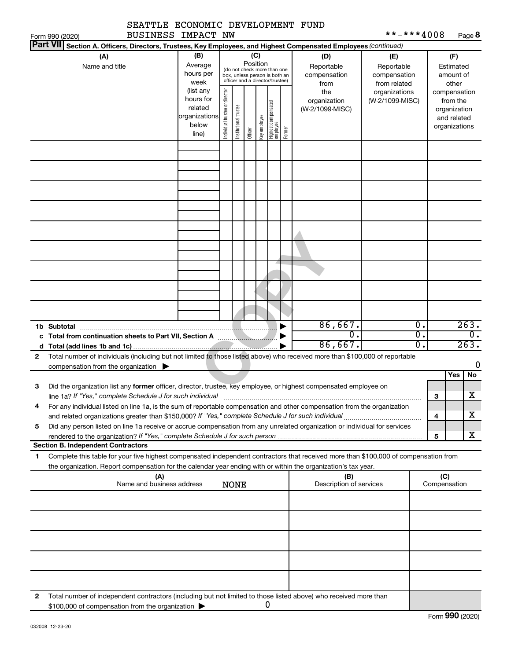|                   |                                                                                                                                                                                                                                                                                                             | SEATTLE ECONOMIC DEVELOPMENT FUND                                                                  |                                |                                                                                                                          |                 |              |                                 |        |                                                                                     |                                                                                       |                              |                                                                                                   |                                  |
|-------------------|-------------------------------------------------------------------------------------------------------------------------------------------------------------------------------------------------------------------------------------------------------------------------------------------------------------|----------------------------------------------------------------------------------------------------|--------------------------------|--------------------------------------------------------------------------------------------------------------------------|-----------------|--------------|---------------------------------|--------|-------------------------------------------------------------------------------------|---------------------------------------------------------------------------------------|------------------------------|---------------------------------------------------------------------------------------------------|----------------------------------|
|                   | Form 990 (2020)                                                                                                                                                                                                                                                                                             | BUSINESS IMPACT NW                                                                                 |                                |                                                                                                                          |                 |              |                                 |        |                                                                                     | **-***4008                                                                            |                              |                                                                                                   | Page 8                           |
|                   | <b>Part VII</b><br>Section A. Officers, Directors, Trustees, Key Employees, and Highest Compensated Employees (continued)                                                                                                                                                                                   |                                                                                                    |                                |                                                                                                                          |                 |              |                                 |        |                                                                                     |                                                                                       |                              |                                                                                                   |                                  |
|                   | (A)<br>Name and title                                                                                                                                                                                                                                                                                       | (B)<br>Average<br>hours per<br>week<br>(list any<br>hours for<br>related<br>organizations<br>below | Individual trustee or director | (do not check more than one<br>box, unless person is both an<br>officer and a director/trustee)<br>Institutional trustee | (C)<br>Position |              | Highest compensated<br>employee |        | (D)<br>Reportable<br>compensation<br>from<br>the<br>organization<br>(W-2/1099-MISC) | (E)<br>Reportable<br>compensation<br>from related<br>organizations<br>(W-2/1099-MISC) |                              | (F)<br>Estimated<br>amount of<br>other<br>compensation<br>from the<br>organization<br>and related |                                  |
|                   |                                                                                                                                                                                                                                                                                                             | line)                                                                                              |                                |                                                                                                                          | Officer         | Key employee |                                 | Former |                                                                                     |                                                                                       |                              | organizations                                                                                     |                                  |
|                   |                                                                                                                                                                                                                                                                                                             |                                                                                                    |                                |                                                                                                                          |                 |              |                                 |        |                                                                                     |                                                                                       |                              |                                                                                                   |                                  |
|                   |                                                                                                                                                                                                                                                                                                             |                                                                                                    |                                |                                                                                                                          |                 |              |                                 |        |                                                                                     |                                                                                       |                              |                                                                                                   |                                  |
|                   |                                                                                                                                                                                                                                                                                                             |                                                                                                    |                                |                                                                                                                          |                 |              |                                 |        |                                                                                     |                                                                                       |                              |                                                                                                   |                                  |
| d<br>$\mathbf{2}$ | 1b Subtotal<br>Total number of individuals (including but not limited to those listed above) who received more than \$100,000 of reportable                                                                                                                                                                 |                                                                                                    |                                |                                                                                                                          |                 |              |                                 |        | 86,667.<br>$\overline{0}$ .<br>86,667.                                              |                                                                                       | $\overline{0}$ .<br>σ.<br>σ. |                                                                                                   | 263.<br>$\overline{0}$ .<br>263. |
|                   | compensation from the organization $\blacktriangleright$                                                                                                                                                                                                                                                    |                                                                                                    |                                |                                                                                                                          |                 |              |                                 |        |                                                                                     |                                                                                       |                              |                                                                                                   | 0                                |
| З<br>4            | Did the organization list any former officer, director, trustee, key employee, or highest compensated employee on<br>line 1a? If "Yes," complete Schedule J for such individual<br>For any individual listed on line 1a, is the sum of reportable compensation and other compensation from the organization |                                                                                                    |                                |                                                                                                                          |                 |              |                                 |        |                                                                                     |                                                                                       |                              | Yes<br>3<br>4                                                                                     | No<br>X<br>x                     |
| 5                 | Did any person listed on line 1a receive or accrue compensation from any unrelated organization or individual for services                                                                                                                                                                                  |                                                                                                    |                                |                                                                                                                          |                 |              |                                 |        |                                                                                     |                                                                                       |                              |                                                                                                   |                                  |
|                   |                                                                                                                                                                                                                                                                                                             |                                                                                                    |                                |                                                                                                                          |                 |              |                                 |        |                                                                                     |                                                                                       |                              | 5                                                                                                 | x                                |
| 1                 | <b>Section B. Independent Contractors</b><br>Complete this table for your five highest compensated independent contractors that received more than \$100,000 of compensation from<br>the organization. Report compensation for the calendar year ending with or within the organization's tax year.         |                                                                                                    |                                |                                                                                                                          |                 |              |                                 |        |                                                                                     |                                                                                       |                              |                                                                                                   |                                  |
|                   |                                                                                                                                                                                                                                                                                                             | (A)<br>Name and business address                                                                   |                                | <b>NONE</b>                                                                                                              |                 |              |                                 |        | (B)<br>Description of services                                                      |                                                                                       |                              | (C)<br>Compensation                                                                               |                                  |
|                   |                                                                                                                                                                                                                                                                                                             |                                                                                                    |                                |                                                                                                                          |                 |              |                                 |        |                                                                                     |                                                                                       |                              |                                                                                                   |                                  |
|                   |                                                                                                                                                                                                                                                                                                             |                                                                                                    |                                |                                                                                                                          |                 |              |                                 |        |                                                                                     |                                                                                       |                              |                                                                                                   |                                  |
| 2                 | Total number of independent contractors (including but not limited to those listed above) who received more than<br>\$100,000 of compensation from the organization                                                                                                                                         |                                                                                                    |                                |                                                                                                                          |                 |              | 0                               |        |                                                                                     |                                                                                       |                              |                                                                                                   |                                  |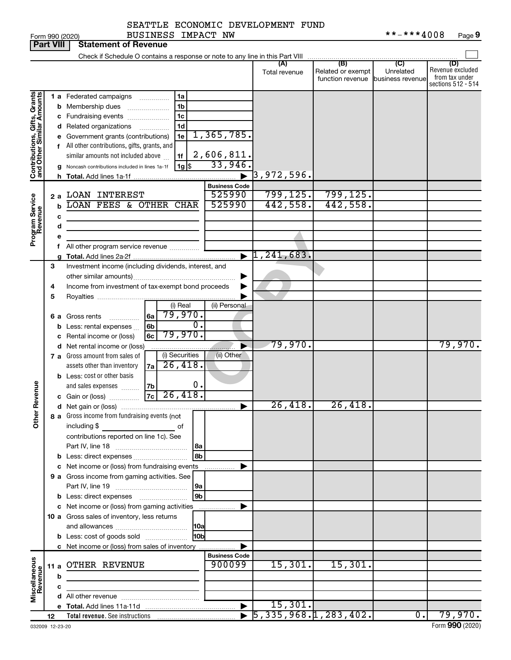**Part VIII Statement Statement** 

### SEATTLE ECONOMIC DEVELOPMENT FUND

|                                                           | Part VIII   | Statement of Revenue                                                                 |                      |                                        |                                   |                |                                      |
|-----------------------------------------------------------|-------------|--------------------------------------------------------------------------------------|----------------------|----------------------------------------|-----------------------------------|----------------|--------------------------------------|
|                                                           |             | Check if Schedule O contains a response or note to any line in this Part VIII        |                      | (A)                                    | (B)                               | $\overline{C}$ | (D)                                  |
|                                                           |             |                                                                                      |                      | Total revenue                          | Related or exempt                 | Unrelated      | Revenue excluded                     |
|                                                           |             |                                                                                      |                      |                                        | function revenue business revenue |                | from tax under<br>sections 512 - 514 |
|                                                           |             |                                                                                      |                      |                                        |                                   |                |                                      |
|                                                           |             | 1a<br>1 a Federated campaigns                                                        |                      |                                        |                                   |                |                                      |
|                                                           |             | 1 <sub>b</sub><br><b>b</b> Membership dues<br>1 <sub>c</sub>                         |                      |                                        |                                   |                |                                      |
|                                                           |             | c Fundraising events<br>1 <sub>d</sub>                                               |                      |                                        |                                   |                |                                      |
| Contributions, Gifts, Grants<br>and Other Similar Amounts |             | d Related organizations<br>1e                                                        | 1,365,785.           |                                        |                                   |                |                                      |
|                                                           |             | e Government grants (contributions)<br>f All other contributions, gifts, grants, and |                      |                                        |                                   |                |                                      |
|                                                           |             | similar amounts not included above<br>1f                                             | 2,606,811.           |                                        |                                   |                |                                      |
|                                                           |             | 1g <br>g Noncash contributions included in lines 1a-1f                               | 33,946.              |                                        |                                   |                |                                      |
|                                                           |             |                                                                                      |                      | 3,972,596.                             |                                   |                |                                      |
|                                                           |             |                                                                                      | <b>Business Code</b> |                                        |                                   |                |                                      |
|                                                           |             | 2 a LOAN INTEREST                                                                    | 525990               | 799, 125.                              | 799, 125.                         |                |                                      |
| Program Service<br>Revenue                                | $\mathbf b$ | LOAN FEES & OTHER CHAR                                                               | 525990               | 442,558.                               | 442,558.                          |                |                                      |
|                                                           | с           |                                                                                      |                      |                                        |                                   |                |                                      |
|                                                           | d           |                                                                                      |                      |                                        |                                   |                |                                      |
|                                                           | е           |                                                                                      |                      |                                        |                                   |                |                                      |
|                                                           |             |                                                                                      |                      |                                        |                                   |                |                                      |
|                                                           |             |                                                                                      |                      | $\blacktriangleright$ 1,241,683.       |                                   |                |                                      |
|                                                           | З           | Investment income (including dividends, interest, and                                |                      |                                        |                                   |                |                                      |
|                                                           |             |                                                                                      |                      |                                        |                                   |                |                                      |
|                                                           | 4           | Income from investment of tax-exempt bond proceeds                                   |                      |                                        |                                   |                |                                      |
|                                                           | 5           |                                                                                      |                      |                                        |                                   |                |                                      |
|                                                           |             | (i) Real                                                                             | (ii) Personal        |                                        |                                   |                |                                      |
|                                                           |             |                                                                                      |                      |                                        |                                   |                |                                      |
|                                                           |             | $\overline{0}$ .<br>6 <sub>b</sub><br><b>b</b> Less: rental expenses $\ldots$        |                      |                                        |                                   |                |                                      |
|                                                           |             | 79,970.<br>6c<br>c Rental income or (loss)                                           |                      |                                        |                                   |                |                                      |
|                                                           |             | d Net rental income or (loss)                                                        |                      | 79,970.                                |                                   |                | 79,970.                              |
|                                                           |             | (i) Securities<br>7 a Gross amount from sales of                                     | (ii) Other           |                                        |                                   |                |                                      |
|                                                           |             | $7a$ 26, 418.<br>assets other than inventory                                         |                      |                                        |                                   |                |                                      |
|                                                           |             | <b>b</b> Less: cost or other basis                                                   |                      |                                        |                                   |                |                                      |
| Revenue                                                   |             | 0.<br>and sales expenses<br> 7 <sub>b</sub>                                          |                      |                                        |                                   |                |                                      |
|                                                           |             | c Gain or (loss) $\overline{7c}$ 26, 418.                                            |                      |                                        |                                   |                |                                      |
| ð                                                         |             |                                                                                      |                      | 26,418.                                | 26,418.                           |                |                                      |
| 흉                                                         |             | 8 a Gross income from fundraising events (not                                        |                      |                                        |                                   |                |                                      |
|                                                           |             | including \$<br>оf                                                                   |                      |                                        |                                   |                |                                      |
|                                                           |             | contributions reported on line 1c). See                                              |                      |                                        |                                   |                |                                      |
|                                                           |             | 8a<br>8b                                                                             |                      |                                        |                                   |                |                                      |
|                                                           |             | b Less: direct expenses<br>c Net income or (loss) from fundraising events            |                      |                                        |                                   |                |                                      |
|                                                           |             | 9 a Gross income from gaming activities. See                                         |                      |                                        |                                   |                |                                      |
|                                                           |             | 9a                                                                                   |                      |                                        |                                   |                |                                      |
|                                                           |             | 9 <sub>b</sub>                                                                       |                      |                                        |                                   |                |                                      |
|                                                           |             | c Net income or (loss) from gaming activities                                        |                      |                                        |                                   |                |                                      |
|                                                           |             | 10 a Gross sales of inventory, less returns                                          |                      |                                        |                                   |                |                                      |
|                                                           |             | 10a                                                                                  |                      |                                        |                                   |                |                                      |
|                                                           |             | 10b<br><b>b</b> Less: cost of goods sold                                             |                      |                                        |                                   |                |                                      |
|                                                           |             | c Net income or (loss) from sales of inventory                                       |                      |                                        |                                   |                |                                      |
|                                                           |             |                                                                                      | <b>Business Code</b> |                                        |                                   |                |                                      |
|                                                           |             | 11 a OTHER REVENUE                                                                   | 900099               | 15,301.                                | 15,301.                           |                |                                      |
| Miscellaneous<br>Revenue                                  | b           |                                                                                      |                      |                                        |                                   |                |                                      |
|                                                           | c           |                                                                                      |                      |                                        |                                   |                |                                      |
|                                                           |             |                                                                                      |                      |                                        |                                   |                |                                      |
|                                                           |             |                                                                                      |                      | 15,301.                                |                                   |                |                                      |
|                                                           | 12          |                                                                                      |                      | $\overline{5, 335, 968.}$ 1, 283, 402. |                                   | $0$ .          | 79,970.                              |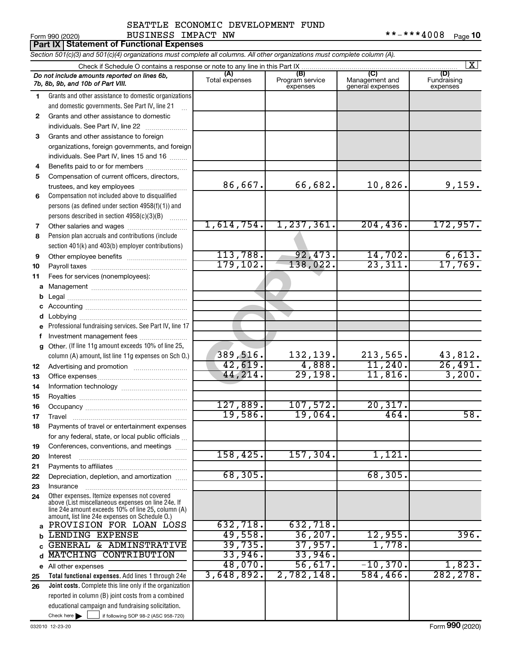|              | BUSINESS IMPACT NW<br>Form 990 (2020)                                                                                                                                                                      | SEATTLE ECONOMIC DEVELOPMENT FUND |                                    | **-***4008                                | Page 10                        |
|--------------|------------------------------------------------------------------------------------------------------------------------------------------------------------------------------------------------------------|-----------------------------------|------------------------------------|-------------------------------------------|--------------------------------|
|              | <b>Part IX   Statement of Functional Expenses</b>                                                                                                                                                          |                                   |                                    |                                           |                                |
|              | Section 501(c)(3) and 501(c)(4) organizations must complete all columns. All other organizations must complete column (A).                                                                                 |                                   |                                    |                                           |                                |
|              |                                                                                                                                                                                                            |                                   |                                    |                                           | X                              |
|              | Do not include amounts reported on lines 6b,<br>7b, 8b, 9b, and 10b of Part VIII.                                                                                                                          | (A)<br>Total expenses             | (B)<br>Program service<br>expenses | (C)<br>Management and<br>general expenses | (D)<br>Fundraising<br>expenses |
| 1.           | Grants and other assistance to domestic organizations                                                                                                                                                      |                                   |                                    |                                           |                                |
|              | and domestic governments. See Part IV, line 21                                                                                                                                                             |                                   |                                    |                                           |                                |
| $\mathbf{2}$ | Grants and other assistance to domestic                                                                                                                                                                    |                                   |                                    |                                           |                                |
|              | individuals. See Part IV, line 22                                                                                                                                                                          |                                   |                                    |                                           |                                |
| 3            | Grants and other assistance to foreign<br>organizations, foreign governments, and foreign<br>individuals. See Part IV, lines 15 and 16                                                                     |                                   |                                    |                                           |                                |
| 4            | Benefits paid to or for members                                                                                                                                                                            |                                   |                                    |                                           |                                |
| 5            | Compensation of current officers, directors,<br>trustees, and key employees                                                                                                                                | 86,667.                           | 66,682.                            | 10,826.                                   | 9,159.                         |
| 6            | Compensation not included above to disqualified<br>persons (as defined under section 4958(f)(1)) and<br>persons described in section 4958(c)(3)(B)                                                         |                                   |                                    |                                           |                                |
| 7            |                                                                                                                                                                                                            | 1,614,754.                        | 1, 237, 361.                       | 204, 436.                                 | 172,957.                       |
| 8            | Pension plan accruals and contributions (include<br>section 401(k) and 403(b) employer contributions)                                                                                                      |                                   |                                    |                                           |                                |
| 9            |                                                                                                                                                                                                            | 113,788.                          | 92,473.                            | 14,702.                                   | 6,613.                         |
| 10           |                                                                                                                                                                                                            | 179, 102.                         | 138,022.                           | 23,311.                                   | 17,769.                        |
| 11           | Fees for services (nonemployees):                                                                                                                                                                          |                                   |                                    |                                           |                                |
| a            |                                                                                                                                                                                                            |                                   |                                    |                                           |                                |
| b            |                                                                                                                                                                                                            |                                   |                                    |                                           |                                |
| с            |                                                                                                                                                                                                            |                                   |                                    |                                           |                                |
| d            |                                                                                                                                                                                                            |                                   |                                    |                                           |                                |
| е            | Professional fundraising services. See Part IV, line 17                                                                                                                                                    |                                   |                                    |                                           |                                |
| f            | Investment management fees<br>Other. (If line 11g amount exceeds 10% of line 25,                                                                                                                           |                                   |                                    |                                           |                                |
| g            | column (A) amount, list line 11g expenses on Sch 0.)                                                                                                                                                       | 389,516.                          | 132,139.                           | 213,565.                                  | 43,812.                        |
| 12           |                                                                                                                                                                                                            | 42,619.                           | 4,888.                             | 11,240.                                   | 26,491.                        |
| 13           |                                                                                                                                                                                                            | 44,214.                           | 29,198.                            | 11,816.                                   | 3,200.                         |
| 14           |                                                                                                                                                                                                            |                                   |                                    |                                           |                                |
| 15           |                                                                                                                                                                                                            |                                   |                                    |                                           |                                |
| 16           |                                                                                                                                                                                                            | 127,889.                          | 107,572.                           | 20, 317.                                  |                                |
| 17           |                                                                                                                                                                                                            | 19,586.                           | 19,064.                            | 464.                                      | 58.                            |
| 18           | Payments of travel or entertainment expenses                                                                                                                                                               |                                   |                                    |                                           |                                |
|              | for any federal, state, or local public officials                                                                                                                                                          |                                   |                                    |                                           |                                |
| 19           | Conferences, conventions, and meetings                                                                                                                                                                     |                                   |                                    |                                           |                                |
| 20           | Interest                                                                                                                                                                                                   | 158,425.                          | 157, 304.                          | 1,121.                                    |                                |
| 21           |                                                                                                                                                                                                            |                                   |                                    |                                           |                                |
| 22           | Depreciation, depletion, and amortization                                                                                                                                                                  | 68, 305.                          |                                    | 68, 305.                                  |                                |
| 23           | Insurance                                                                                                                                                                                                  |                                   |                                    |                                           |                                |
| 24           | Other expenses. Itemize expenses not covered<br>above (List miscellaneous expenses on line 24e. If<br>line 24e amount exceeds 10% of line 25, column (A)<br>amount, list line 24e expenses on Schedule O.) |                                   |                                    |                                           |                                |
| a            | PROVISION FOR LOAN LOSS                                                                                                                                                                                    | 632,718.                          | 632,718.                           |                                           |                                |
| b            | LENDING EXPENSE                                                                                                                                                                                            | 49,558.                           | 36, 207.                           | 12,955.                                   | 396.                           |
|              | GENERAL & ADMINSTRATIVE                                                                                                                                                                                    | 39,735.                           | 37,957.                            | 1,778.                                    |                                |
| d            | MATCHING CONTRIBUTION                                                                                                                                                                                      | 33,946.<br>48,070.                | 33,946.                            |                                           |                                |
| е            | All other expenses                                                                                                                                                                                         | 3,648,892.                        | 56,617.<br>2,782,148.              | $-10,370.$<br>584, 466.                   | 1,823.<br>282, 278.            |
| 25<br>26     | Total functional expenses. Add lines 1 through 24e<br>Joint costs. Complete this line only if the organization                                                                                             |                                   |                                    |                                           |                                |
|              | reported in column (B) joint costs from a combined                                                                                                                                                         |                                   |                                    |                                           |                                |
|              |                                                                                                                                                                                                            |                                   |                                    |                                           |                                |

Check here |

Check here  $\begin{array}{c} \begin{array}{|c} \hline \end{array} \end{array}$  if following SOP 98-2 (ASC 958-720)

educational campaign and fundraising solicitation.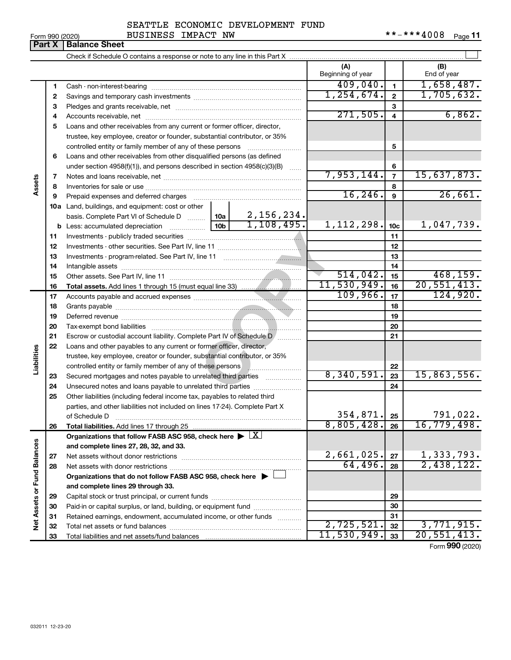#### Form 990 (2020) BUSINESS IMPACT NW \*\*-\*\*\*4008 Page SEATTLE ECONOMIC DEVELOPMENT FUND

**Part X Balance Sheet**

|                             |                          |                                                                                                                                                                                                                                   |            |                | (A)<br>Beginning of year |                         | (B)<br>End of year            |
|-----------------------------|--------------------------|-----------------------------------------------------------------------------------------------------------------------------------------------------------------------------------------------------------------------------------|------------|----------------|--------------------------|-------------------------|-------------------------------|
|                             | 1                        |                                                                                                                                                                                                                                   |            |                | 409,040.                 | $\mathbf{1}$            | 1,658,487.                    |
|                             | 2                        |                                                                                                                                                                                                                                   |            |                | 1, 254, 674.             | $\mathbf{2}$            | 1,705,632.                    |
|                             | З                        |                                                                                                                                                                                                                                   |            |                |                          | 3                       |                               |
|                             | 4                        |                                                                                                                                                                                                                                   |            |                | 271,505.                 | $\overline{\mathbf{4}}$ | 6,862.                        |
|                             | 5                        | Loans and other receivables from any current or former officer, director,                                                                                                                                                         |            |                |                          |                         |                               |
|                             |                          | trustee, key employee, creator or founder, substantial contributor, or 35%                                                                                                                                                        |            |                |                          |                         |                               |
|                             |                          | controlled entity or family member of any of these persons                                                                                                                                                                        |            |                |                          | 5                       |                               |
|                             | 6                        | Loans and other receivables from other disqualified persons (as defined                                                                                                                                                           |            |                |                          |                         |                               |
|                             |                          | under section $4958(f)(1)$ , and persons described in section $4958(c)(3)(B)$                                                                                                                                                     |            |                |                          | 6                       |                               |
|                             | $\overline{\phantom{a}}$ |                                                                                                                                                                                                                                   | 7,953,144. | $\overline{7}$ | 15,637,873.              |                         |                               |
| Assets                      | 8                        |                                                                                                                                                                                                                                   |            |                |                          |                         |                               |
|                             | 9                        |                                                                                                                                                                                                                                   |            |                | 16, 246.                 | $\boldsymbol{9}$        | 26,661.                       |
|                             |                          | <b>10a</b> Land, buildings, and equipment: cost or other                                                                                                                                                                          |            |                |                          |                         |                               |
|                             |                          |                                                                                                                                                                                                                                   |            |                |                          |                         |                               |
|                             |                          | basis. Complete Part VI of Schedule D $\begin{array}{ c c c c c }\n\hline\n1.156,234.156,234.156,235.156,236.156,235.156,235.156,235.156,235.156,235.156,235.156,235.156,235.156,235.156,235.156,235.156,235.156,235.156,235.156$ |            |                | 1, 112, 298.             | 10 <sub>c</sub>         | 1,047,739.                    |
|                             | 11                       |                                                                                                                                                                                                                                   |            |                |                          | 11                      |                               |
|                             | 12                       |                                                                                                                                                                                                                                   |            |                |                          | 12                      |                               |
|                             | 13                       |                                                                                                                                                                                                                                   |            |                |                          | 13                      |                               |
|                             | 14                       |                                                                                                                                                                                                                                   |            |                |                          | 14                      |                               |
|                             | 15                       |                                                                                                                                                                                                                                   |            |                | 514,042.                 | 15                      | 468, 159.                     |
|                             | 16                       |                                                                                                                                                                                                                                   |            |                | 11,530,949.              | 16                      | 20,551,413.                   |
|                             | 17                       |                                                                                                                                                                                                                                   |            |                | 109,966.                 | 17                      | 124,920.                      |
|                             | 18                       |                                                                                                                                                                                                                                   |            | 18             |                          |                         |                               |
|                             | 19                       |                                                                                                                                                                                                                                   |            | 19             |                          |                         |                               |
|                             | 20                       |                                                                                                                                                                                                                                   |            |                |                          | 20                      |                               |
|                             | 21                       | Escrow or custodial account liability. Complete Part IV of Schedule D /                                                                                                                                                           |            |                |                          | 21                      |                               |
|                             | 22                       | Loans and other payables to any current or former officer, director,                                                                                                                                                              |            |                |                          |                         |                               |
| Liabilities                 |                          | trustee, key employee, creator or founder, substantial contributor, or 35%                                                                                                                                                        |            |                |                          |                         |                               |
|                             |                          |                                                                                                                                                                                                                                   |            |                |                          | 22                      |                               |
|                             | 23                       | Secured mortgages and notes payable to unrelated third parties                                                                                                                                                                    |            |                | 8,340,591.               | 23                      | 15,863,556.                   |
|                             | 24                       |                                                                                                                                                                                                                                   |            |                |                          | 24                      |                               |
|                             | 25                       | Other liabilities (including federal income tax, payables to related third                                                                                                                                                        |            |                |                          |                         |                               |
|                             |                          | parties, and other liabilities not included on lines 17-24). Complete Part X                                                                                                                                                      |            |                | $354,871$ $ 25$          |                         |                               |
|                             |                          | of Schedule D                                                                                                                                                                                                                     |            |                | $8,805,428.$ 26          |                         | .022, 791<br>.498, 16, 779    |
|                             | 26                       | <b>Total liabilities.</b> Add lines 17 through 25<br>Organizations that follow FASB ASC 958, check here $\blacktriangleright \lfloor \underline{X} \rfloor$                                                                       |            |                |                          |                         |                               |
|                             |                          | and complete lines 27, 28, 32, and 33.                                                                                                                                                                                            |            |                |                          |                         |                               |
|                             | 27                       |                                                                                                                                                                                                                                   |            |                | 2,661,025.               | 27                      |                               |
|                             | 28                       |                                                                                                                                                                                                                                   |            |                | 64,496.                  | 28                      | $\frac{1,333,793}{2,438,122}$ |
|                             |                          | Organizations that do not follow FASB ASC 958, check here $\blacktriangleright$                                                                                                                                                   |            |                |                          |                         |                               |
|                             |                          | and complete lines 29 through 33.                                                                                                                                                                                                 |            |                |                          |                         |                               |
|                             | 29                       |                                                                                                                                                                                                                                   |            | 29             |                          |                         |                               |
| Net Assets or Fund Balances | 30                       | Paid-in or capital surplus, or land, building, or equipment fund                                                                                                                                                                  |            |                |                          | 30                      |                               |
|                             | 31                       | Retained earnings, endowment, accumulated income, or other funds                                                                                                                                                                  |            |                |                          | 31                      |                               |
|                             | 32                       |                                                                                                                                                                                                                                   |            |                | 2,725,521.               | 32                      | 3,771,915.                    |
|                             | 33                       |                                                                                                                                                                                                                                   |            |                | 11,530,949.              | 33                      | 20,551,413.                   |
|                             |                          |                                                                                                                                                                                                                                   |            |                |                          |                         |                               |

Form (2020) **990**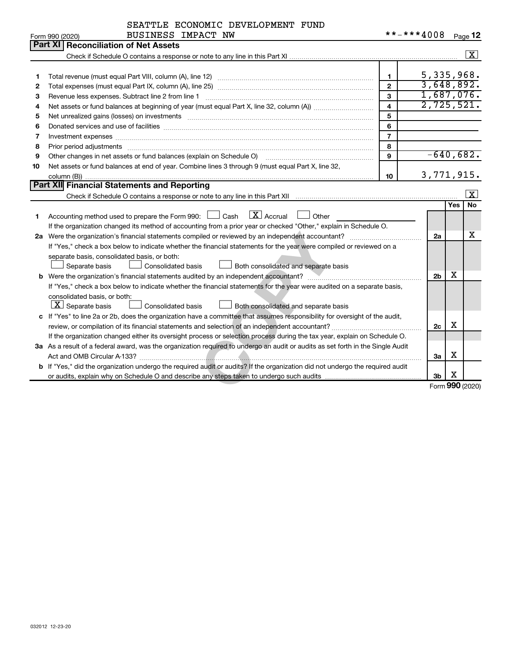|                        | SEATTLE ECONOMIC DEVELOPMENT FUND |  |
|------------------------|-----------------------------------|--|
| DIIATNINAA TIIDIAM IKJ |                                   |  |

|    | Form 990 (2020)<br>BUSINESS IMPACT NW                                                                                                                                                                                                                        |                         |                 |            | Page 12             |
|----|--------------------------------------------------------------------------------------------------------------------------------------------------------------------------------------------------------------------------------------------------------------|-------------------------|-----------------|------------|---------------------|
|    | <b>Part XI Reconciliation of Net Assets</b>                                                                                                                                                                                                                  |                         |                 |            |                     |
|    |                                                                                                                                                                                                                                                              |                         |                 |            | $\boxed{\text{X}}$  |
|    |                                                                                                                                                                                                                                                              |                         |                 |            |                     |
| 1  |                                                                                                                                                                                                                                                              | $\mathbf{1}$            | 5,335,968.      |            |                     |
| 2  |                                                                                                                                                                                                                                                              | $\overline{2}$          | 3,648,892.      |            |                     |
| 3  | Revenue less expenses. Subtract line 2 from line 1                                                                                                                                                                                                           | $\mathbf{3}$            | 1,687,076.      |            |                     |
| 4  |                                                                                                                                                                                                                                                              | $\overline{\mathbf{4}}$ | 2,725,521.      |            |                     |
| 5  | Net unrealized gains (losses) on investments [11] matter intervention in the unrealized gains (losses) on investments                                                                                                                                        | 5                       |                 |            |                     |
| 6  |                                                                                                                                                                                                                                                              | 6                       |                 |            |                     |
| 7  | Investment expenses www.communication.com/www.communication.com/www.communication.com/www.com                                                                                                                                                                | $\overline{7}$          |                 |            |                     |
| 8  | Prior period adjustments [111] matter contract and adjustments and contract and contract and contract and contract and contract and contract and contract and contract and contract and contract and contract and contract and                               | 8                       |                 |            |                     |
| 9  | Other changes in net assets or fund balances (explain on Schedule O) manufactured controller changes in net assets or fund balances (explain on Schedule O)                                                                                                  | $\mathbf{Q}$            | $-640,682.$     |            |                     |
| 10 | Net assets or fund balances at end of year. Combine lines 3 through 9 (must equal Part X, line 32,                                                                                                                                                           |                         |                 |            |                     |
|    |                                                                                                                                                                                                                                                              | 10                      | 3,771,915.      |            |                     |
|    | Part XII Financial Statements and Reporting                                                                                                                                                                                                                  |                         |                 |            |                     |
|    |                                                                                                                                                                                                                                                              |                         |                 |            | $\lfloor x \rfloor$ |
|    |                                                                                                                                                                                                                                                              |                         |                 | <b>Yes</b> | No                  |
| 1  | $\lfloor x \rfloor$ Accrual<br>Accounting method used to prepare the Form 990: $\Box$ Cash<br>Other                                                                                                                                                          |                         |                 |            |                     |
|    | If the organization changed its method of accounting from a prior year or checked "Other," explain in Schedule O.                                                                                                                                            |                         |                 |            |                     |
|    | 2a Were the organization's financial statements compiled or reviewed by an independent accountant?                                                                                                                                                           |                         | 2a              |            | x                   |
|    | If "Yes," check a box below to indicate whether the financial statements for the year were compiled or reviewed on a                                                                                                                                         |                         |                 |            |                     |
|    | separate basis, consolidated basis, or both:                                                                                                                                                                                                                 |                         |                 |            |                     |
|    | Separate basis<br><b>Consolidated basis</b><br>Both consolidated and separate basis                                                                                                                                                                          |                         |                 | X          |                     |
|    | <b>b</b> Were the organization's financial statements audited by an independent accountant? <b>Conserverse in the statement of the statements</b> and the statements and the statements are the statements of the statements are the sta                     |                         | 2 <sub>b</sub>  |            |                     |
|    | If "Yes," check a box below to indicate whether the financial statements for the year were audited on a separate basis,                                                                                                                                      |                         |                 |            |                     |
|    | consolidated basis, or both:<br>$\lfloor x \rfloor$ Separate basis<br>Consolidated basis                                                                                                                                                                     |                         |                 |            |                     |
|    | Both consolidated and separate basis                                                                                                                                                                                                                         |                         |                 |            |                     |
|    | c If "Yes" to line 2a or 2b, does the organization have a committee that assumes responsibility for oversight of the audit,                                                                                                                                  |                         | 2c              | х          |                     |
|    |                                                                                                                                                                                                                                                              |                         |                 |            |                     |
|    | If the organization changed either its oversight process or selection process during the tax year, explain on Schedule O.<br>3a As a result of a federal award, was the organization required to undergo an audit or audits as set forth in the Single Audit |                         |                 |            |                     |
|    |                                                                                                                                                                                                                                                              |                         |                 | х          |                     |
|    |                                                                                                                                                                                                                                                              |                         | За              |            |                     |
|    | b If "Yes," did the organization undergo the required audit or audits? If the organization did not undergo the required audit                                                                                                                                |                         | 3 <sub>b</sub>  | X          |                     |
|    |                                                                                                                                                                                                                                                              |                         | Form 990 (2020) |            |                     |
|    |                                                                                                                                                                                                                                                              |                         |                 |            |                     |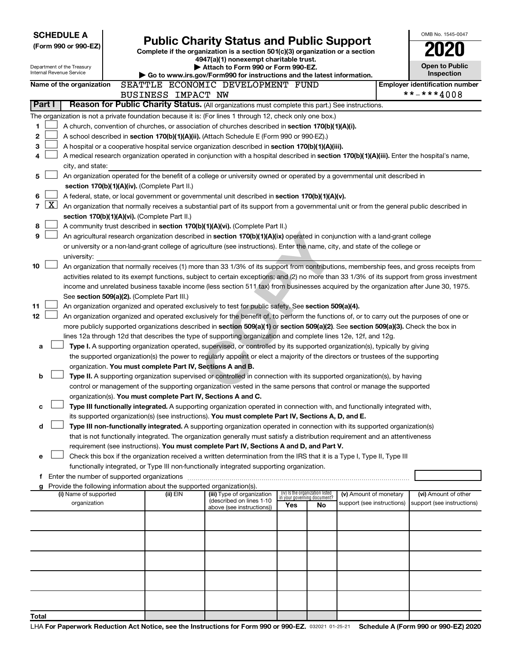| <b>SCHEDULE A</b>              |                                                                                                                                                                                                                                                 | <b>Public Charity Status and Public Support</b>                               |                                                                |    |                            | OMB No. 1545-0047                                  |
|--------------------------------|-------------------------------------------------------------------------------------------------------------------------------------------------------------------------------------------------------------------------------------------------|-------------------------------------------------------------------------------|----------------------------------------------------------------|----|----------------------------|----------------------------------------------------|
| (Form 990 or 990-EZ)           |                                                                                                                                                                                                                                                 | Complete if the organization is a section 501(c)(3) organization or a section |                                                                |    |                            |                                                    |
| Department of the Treasury     |                                                                                                                                                                                                                                                 | 4947(a)(1) nonexempt charitable trust.<br>Attach to Form 990 or Form 990-EZ.  |                                                                |    |                            | <b>Open to Public</b>                              |
| Internal Revenue Service       |                                                                                                                                                                                                                                                 | Go to www.irs.gov/Form990 for instructions and the latest information.        |                                                                |    |                            | Inspection                                         |
| Name of the organization       | SEATTLE ECONOMIC DEVELOPMENT FUND                                                                                                                                                                                                               |                                                                               |                                                                |    |                            | <b>Employer identification number</b>              |
|                                | BUSINESS IMPACT NW                                                                                                                                                                                                                              |                                                                               |                                                                |    |                            | **-***4008                                         |
| Part I                         | Reason for Public Charity Status. (All organizations must complete this part.) See instructions.                                                                                                                                                |                                                                               |                                                                |    |                            |                                                    |
|                                | The organization is not a private foundation because it is: (For lines 1 through 12, check only one box.)                                                                                                                                       |                                                                               |                                                                |    |                            |                                                    |
| 1                              | A church, convention of churches, or association of churches described in section 170(b)(1)(A)(i).                                                                                                                                              |                                                                               |                                                                |    |                            |                                                    |
| 2                              | A school described in section 170(b)(1)(A)(ii). (Attach Schedule E (Form 990 or 990-EZ).)                                                                                                                                                       |                                                                               |                                                                |    |                            |                                                    |
| 3<br>4                         | A hospital or a cooperative hospital service organization described in section 170(b)(1)(A)(iii).<br>A medical research organization operated in conjunction with a hospital described in section 170(b)(1)(A)(iii). Enter the hospital's name, |                                                                               |                                                                |    |                            |                                                    |
| city, and state:               |                                                                                                                                                                                                                                                 |                                                                               |                                                                |    |                            |                                                    |
| 5                              | An organization operated for the benefit of a college or university owned or operated by a governmental unit described in                                                                                                                       |                                                                               |                                                                |    |                            |                                                    |
|                                | section 170(b)(1)(A)(iv). (Complete Part II.)                                                                                                                                                                                                   |                                                                               |                                                                |    |                            |                                                    |
| 6                              | A federal, state, or local government or governmental unit described in section 170(b)(1)(A)(v).                                                                                                                                                |                                                                               |                                                                |    |                            |                                                    |
| $\mathbf{X}$<br>$\overline{7}$ | An organization that normally receives a substantial part of its support from a governmental unit or from the general public described in                                                                                                       |                                                                               |                                                                |    |                            |                                                    |
|                                | section 170(b)(1)(A)(vi). (Complete Part II.)                                                                                                                                                                                                   |                                                                               |                                                                |    |                            |                                                    |
| 8                              | A community trust described in section 170(b)(1)(A)(vi). (Complete Part II.)                                                                                                                                                                    |                                                                               |                                                                |    |                            |                                                    |
| 9                              | An agricultural research organization described in section 170(b)(1)(A)(ix) operated in conjunction with a land-grant college                                                                                                                   |                                                                               |                                                                |    |                            |                                                    |
|                                | or university or a non-land-grant college of agriculture (see instructions). Enter the name, city, and state of the college or                                                                                                                  |                                                                               |                                                                |    |                            |                                                    |
| university:                    |                                                                                                                                                                                                                                                 |                                                                               |                                                                |    |                            |                                                    |
| 10                             | An organization that normally receives (1) more than 33 1/3% of its support from contributions, membership fees, and gross receipts from                                                                                                        |                                                                               |                                                                |    |                            |                                                    |
|                                | activities related to its exempt functions, subject to certain exceptions; and (2) no more than 33 1/3% of its support from gross investment                                                                                                    |                                                                               |                                                                |    |                            |                                                    |
|                                | income and unrelated business taxable income (less section 511 tax) from businesses acquired by the organization after June 30, 1975.                                                                                                           |                                                                               |                                                                |    |                            |                                                    |
| 11                             | See section 509(a)(2). (Complete Part III.)<br>An organization organized and operated exclusively to test for public safety. See section 509(a)(4).                                                                                             |                                                                               |                                                                |    |                            |                                                    |
| 12                             | An organization organized and operated exclusively for the benefit of, to perform the functions of, or to carry out the purposes of one or                                                                                                      |                                                                               |                                                                |    |                            |                                                    |
|                                | more publicly supported organizations described in section 509(a)(1) or section 509(a)(2). See section 509(a)(3). Check the box in                                                                                                              |                                                                               |                                                                |    |                            |                                                    |
|                                | lines 12a through 12d that describes the type of supporting organization and complete lines 12e, 12f, and 12g.                                                                                                                                  |                                                                               |                                                                |    |                            |                                                    |
| a                              | Type I. A supporting organization operated, supervised, or controlled by its supported organization(s), typically by giving                                                                                                                     |                                                                               |                                                                |    |                            |                                                    |
|                                | the supported organization(s) the power to regularly appoint or elect a majority of the directors or trustees of the supporting                                                                                                                 |                                                                               |                                                                |    |                            |                                                    |
|                                | organization. You must complete Part IV, Sections A and B.                                                                                                                                                                                      |                                                                               |                                                                |    |                            |                                                    |
| b                              | Type II. A supporting organization supervised or controlled in connection with its supported organization(s), by having                                                                                                                         |                                                                               |                                                                |    |                            |                                                    |
|                                | control or management of the supporting organization vested in the same persons that control or manage the supported                                                                                                                            |                                                                               |                                                                |    |                            |                                                    |
|                                | organization(s). You must complete Part IV, Sections A and C.                                                                                                                                                                                   |                                                                               |                                                                |    |                            |                                                    |
| с                              | Type III functionally integrated. A supporting organization operated in connection with, and functionally integrated with,                                                                                                                      |                                                                               |                                                                |    |                            |                                                    |
|                                | its supported organization(s) (see instructions). You must complete Part IV, Sections A, D, and E.<br>Type III non-functionally integrated. A supporting organization operated in connection with its supported organization(s)                 |                                                                               |                                                                |    |                            |                                                    |
| d                              | that is not functionally integrated. The organization generally must satisfy a distribution requirement and an attentiveness                                                                                                                    |                                                                               |                                                                |    |                            |                                                    |
|                                | requirement (see instructions). You must complete Part IV, Sections A and D, and Part V.                                                                                                                                                        |                                                                               |                                                                |    |                            |                                                    |
| е                              | Check this box if the organization received a written determination from the IRS that it is a Type I, Type II, Type III                                                                                                                         |                                                                               |                                                                |    |                            |                                                    |
|                                | functionally integrated, or Type III non-functionally integrated supporting organization.                                                                                                                                                       |                                                                               |                                                                |    |                            |                                                    |
|                                |                                                                                                                                                                                                                                                 |                                                                               |                                                                |    |                            |                                                    |
| g                              | Provide the following information about the supported organization(s).                                                                                                                                                                          |                                                                               |                                                                |    |                            |                                                    |
| (i) Name of supported          | (ii) EIN                                                                                                                                                                                                                                        | (iii) Type of organization<br>(described on lines 1-10                        | (iv) Is the organization listed<br>in your governing document? |    | (v) Amount of monetary     | (vi) Amount of other<br>support (see instructions) |
| organization                   |                                                                                                                                                                                                                                                 | above (see instructions))                                                     | Yes                                                            | No | support (see instructions) |                                                    |
|                                |                                                                                                                                                                                                                                                 |                                                                               |                                                                |    |                            |                                                    |
|                                |                                                                                                                                                                                                                                                 |                                                                               |                                                                |    |                            |                                                    |
|                                |                                                                                                                                                                                                                                                 |                                                                               |                                                                |    |                            |                                                    |
|                                |                                                                                                                                                                                                                                                 |                                                                               |                                                                |    |                            |                                                    |
|                                |                                                                                                                                                                                                                                                 |                                                                               |                                                                |    |                            |                                                    |
|                                |                                                                                                                                                                                                                                                 |                                                                               |                                                                |    |                            |                                                    |
|                                |                                                                                                                                                                                                                                                 |                                                                               |                                                                |    |                            |                                                    |
|                                |                                                                                                                                                                                                                                                 |                                                                               |                                                                |    |                            |                                                    |
|                                |                                                                                                                                                                                                                                                 |                                                                               |                                                                |    |                            |                                                    |
| Total                          |                                                                                                                                                                                                                                                 |                                                                               |                                                                |    |                            |                                                    |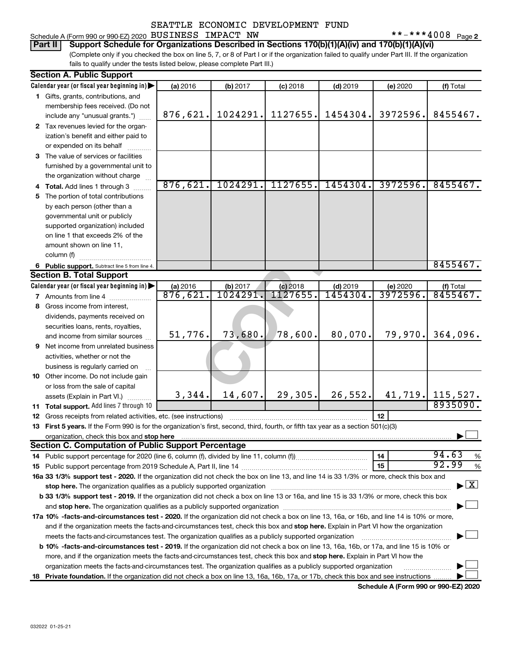#### Schedule A (Form 990 or 990-EZ) 2020 BUSINESS IMPACT NW  $***-****4008$  Page SEATTLE ECONOMIC DEVELOPMENT FUND

 $***$   $***$   $4008$  Page 2

| Part II Support Schedule for Organizations Described in Sections 170(b)(1)(A)(iv) and 170(b)(1)(A)(vi)                                          |
|-------------------------------------------------------------------------------------------------------------------------------------------------|
| (Complete only if you checked the box on line 5, 7, or 8 of Part I or if the organization failed to qualify under Part III. If the organization |

fails to qualify under the tests listed below, please complete Part III.)

|    | <b>Section A. Public Support</b>                                                                                                                                                                                               |          |          |            |            |          |                                |
|----|--------------------------------------------------------------------------------------------------------------------------------------------------------------------------------------------------------------------------------|----------|----------|------------|------------|----------|--------------------------------|
|    | Calendar year (or fiscal year beginning in)                                                                                                                                                                                    | (a) 2016 | (b) 2017 | $(c)$ 2018 | $(d)$ 2019 | (e) 2020 | (f) Total                      |
|    | 1 Gifts, grants, contributions, and                                                                                                                                                                                            |          |          |            |            |          |                                |
|    | membership fees received. (Do not                                                                                                                                                                                              |          |          |            |            |          |                                |
|    | include any "unusual grants.")                                                                                                                                                                                                 | 876,621. | 1024291. | 1127655.   | 1454304.   | 3972596. | 8455467.                       |
|    | 2 Tax revenues levied for the organ-                                                                                                                                                                                           |          |          |            |            |          |                                |
|    | ization's benefit and either paid to                                                                                                                                                                                           |          |          |            |            |          |                                |
|    | or expended on its behalf                                                                                                                                                                                                      |          |          |            |            |          |                                |
|    | 3 The value of services or facilities                                                                                                                                                                                          |          |          |            |            |          |                                |
|    | furnished by a governmental unit to                                                                                                                                                                                            |          |          |            |            |          |                                |
|    | the organization without charge                                                                                                                                                                                                |          |          |            |            |          |                                |
|    | Total. Add lines 1 through 3                                                                                                                                                                                                   | 876,621. | 1024291. | 1127655.   | 1454304.   | 3972596. | 8455467.                       |
| 5. | The portion of total contributions                                                                                                                                                                                             |          |          |            |            |          |                                |
|    | by each person (other than a                                                                                                                                                                                                   |          |          |            |            |          |                                |
|    | governmental unit or publicly                                                                                                                                                                                                  |          |          |            |            |          |                                |
|    | supported organization) included                                                                                                                                                                                               |          |          |            |            |          |                                |
|    | on line 1 that exceeds 2% of the                                                                                                                                                                                               |          |          |            |            |          |                                |
|    | amount shown on line 11,                                                                                                                                                                                                       |          |          |            |            |          |                                |
|    | column (f)                                                                                                                                                                                                                     |          |          |            |            |          |                                |
|    | 6 Public support. Subtract line 5 from line 4.                                                                                                                                                                                 |          |          |            |            |          | 8455467.                       |
|    | <b>Section B. Total Support</b>                                                                                                                                                                                                |          |          |            |            |          |                                |
|    | Calendar year (or fiscal year beginning in)                                                                                                                                                                                    | (a) 2016 | (b) 2017 | $(c)$ 2018 | $(d)$ 2019 | (e) 2020 | (f) Total                      |
|    | 7 Amounts from line 4                                                                                                                                                                                                          | 876,621. | 1024291  | 1127655    | 1454304    | 3972596. | 8455467.                       |
| 8  | Gross income from interest,                                                                                                                                                                                                    |          |          |            |            |          |                                |
|    | dividends, payments received on                                                                                                                                                                                                |          |          |            |            |          |                                |
|    | securities loans, rents, royalties,                                                                                                                                                                                            |          |          |            |            |          |                                |
|    | and income from similar sources                                                                                                                                                                                                | 51,776.  | 73,680.  | $78,600$ . | 80,070.    | 79,970.  | 364,096.                       |
| 9  | Net income from unrelated business                                                                                                                                                                                             |          |          |            |            |          |                                |
|    | activities, whether or not the                                                                                                                                                                                                 |          |          |            |            |          |                                |
|    | business is regularly carried on                                                                                                                                                                                               |          |          |            |            |          |                                |
|    | 10 Other income. Do not include gain                                                                                                                                                                                           |          |          |            |            |          |                                |
|    | or loss from the sale of capital                                                                                                                                                                                               |          |          |            |            |          |                                |
|    | assets (Explain in Part VI.)                                                                                                                                                                                                   | 3,344.   | 14,607.  | 29,305.    | 26,552.    |          | 41,719. 115,527.               |
|    | 11 Total support. Add lines 7 through 10                                                                                                                                                                                       |          |          |            |            |          | 8935090.                       |
|    | <b>12</b> Gross receipts from related activities, etc. (see instructions)                                                                                                                                                      |          |          |            |            | 12       |                                |
|    | 13 First 5 years. If the Form 990 is for the organization's first, second, third, fourth, or fifth tax year as a section 501(c)(3)                                                                                             |          |          |            |            |          |                                |
|    | organization, check this box and stop here                                                                                                                                                                                     |          |          |            |            |          |                                |
|    | <b>Section C. Computation of Public Support Percentage</b>                                                                                                                                                                     |          |          |            |            |          |                                |
|    | 14 Public support percentage for 2020 (line 6, column (f), divided by line 11, column (f)                                                                                                                                      |          |          |            |            | 14       | 94.63<br>%                     |
|    |                                                                                                                                                                                                                                |          |          |            |            | 15       | 92.99<br>$\%$                  |
|    | 16a 33 1/3% support test - 2020. If the organization did not check the box on line 13, and line 14 is 33 1/3% or more, check this box and                                                                                      |          |          |            |            |          |                                |
|    | stop here. The organization qualifies as a publicly supported organization manufactured content and the content of the state of the state of the state of the state of the state of the state of the state of the state of the |          |          |            |            |          | $\blacktriangleright$ $\mid$ X |
|    | b 33 1/3% support test - 2019. If the organization did not check a box on line 13 or 16a, and line 15 is 33 1/3% or more, check this box                                                                                       |          |          |            |            |          |                                |
|    |                                                                                                                                                                                                                                |          |          |            |            |          |                                |
|    | 17a 10% -facts-and-circumstances test - 2020. If the organization did not check a box on line 13, 16a, or 16b, and line 14 is 10% or more,                                                                                     |          |          |            |            |          |                                |
|    | and if the organization meets the facts-and-circumstances test, check this box and stop here. Explain in Part VI how the organization                                                                                          |          |          |            |            |          |                                |
|    | meets the facts-and-circumstances test. The organization qualifies as a publicly supported organization                                                                                                                        |          |          |            |            |          |                                |
|    | b 10% -facts-and-circumstances test - 2019. If the organization did not check a box on line 13, 16a, 16b, or 17a, and line 15 is 10% or                                                                                        |          |          |            |            |          |                                |
|    | more, and if the organization meets the facts-and-circumstances test, check this box and stop here. Explain in Part VI how the                                                                                                 |          |          |            |            |          |                                |
|    | organization meets the facts-and-circumstances test. The organization qualifies as a publicly supported organization                                                                                                           |          |          |            |            |          |                                |
| 18 | Private foundation. If the organization did not check a box on line 13, 16a, 16b, 17a, or 17b, check this box and see instructions                                                                                             |          |          |            |            |          |                                |
|    |                                                                                                                                                                                                                                |          |          |            |            |          |                                |

**Schedule A (Form 990 or 990-EZ) 2020**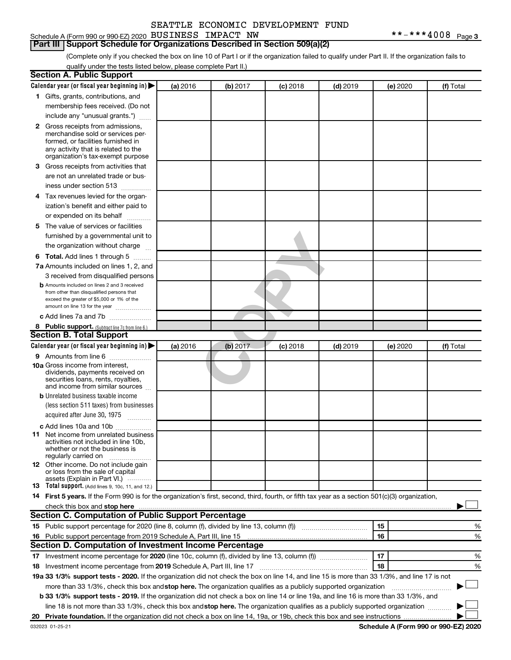#### Schedule A (Form 990 or 990-EZ) 2020 BUSINESS IMPACT NW  $***-****4008$  Page

#### **Part III Support Schedule for Organizations Described in Section 509(a)(2)**

(Complete only if you checked the box on line 10 of Part I or if the organization failed to qualify under Part II. If the organization fails to qualify under the tests listed below, please complete Part II.)

|    | <b>Section A. Public Support</b>                                                                                                                 |          |          |            |            |          |           |
|----|--------------------------------------------------------------------------------------------------------------------------------------------------|----------|----------|------------|------------|----------|-----------|
|    | Calendar year (or fiscal year beginning in)                                                                                                      | (a) 2016 | (b) 2017 | (c) 2018   | $(d)$ 2019 | (e) 2020 | (f) Total |
|    | 1 Gifts, grants, contributions, and                                                                                                              |          |          |            |            |          |           |
|    | membership fees received. (Do not                                                                                                                |          |          |            |            |          |           |
|    | include any "unusual grants.")                                                                                                                   |          |          |            |            |          |           |
|    | 2 Gross receipts from admissions,                                                                                                                |          |          |            |            |          |           |
|    | merchandise sold or services per-                                                                                                                |          |          |            |            |          |           |
|    | formed, or facilities furnished in                                                                                                               |          |          |            |            |          |           |
|    | any activity that is related to the<br>organization's tax-exempt purpose                                                                         |          |          |            |            |          |           |
|    | 3 Gross receipts from activities that                                                                                                            |          |          |            |            |          |           |
|    | are not an unrelated trade or bus-                                                                                                               |          |          |            |            |          |           |
|    | iness under section 513                                                                                                                          |          |          |            |            |          |           |
|    | 4 Tax revenues levied for the organ-                                                                                                             |          |          |            |            |          |           |
|    | ization's benefit and either paid to                                                                                                             |          |          |            |            |          |           |
|    | or expended on its behalf<br>.                                                                                                                   |          |          |            |            |          |           |
|    | 5 The value of services or facilities                                                                                                            |          |          |            |            |          |           |
|    | furnished by a governmental unit to                                                                                                              |          |          |            |            |          |           |
|    | the organization without charge                                                                                                                  |          |          |            |            |          |           |
|    | <b>6 Total.</b> Add lines 1 through 5                                                                                                            |          |          |            |            |          |           |
|    | 7a Amounts included on lines 1, 2, and                                                                                                           |          |          |            |            |          |           |
|    | 3 received from disqualified persons                                                                                                             |          |          |            |            |          |           |
|    | <b>b</b> Amounts included on lines 2 and 3 received                                                                                              |          |          |            |            |          |           |
|    | from other than disqualified persons that                                                                                                        |          |          |            |            |          |           |
|    | exceed the greater of \$5,000 or 1% of the<br>amount on line 13 for the year                                                                     |          |          |            |            |          |           |
|    | c Add lines 7a and 7b                                                                                                                            |          |          |            |            |          |           |
|    | 8 Public support. (Subtract line 7c from line 6.)                                                                                                |          |          |            |            |          |           |
|    | <b>Section B. Total Support</b>                                                                                                                  |          |          |            |            |          |           |
|    | Calendar year (or fiscal year beginning in)                                                                                                      | (a) 2016 | (b) 2017 | $(c)$ 2018 | $(d)$ 2019 | (e) 2020 | (f) Total |
|    | <b>9</b> Amounts from line 6                                                                                                                     |          |          |            |            |          |           |
|    | <b>10a</b> Gross income from interest,                                                                                                           |          |          |            |            |          |           |
|    | dividends, payments received on                                                                                                                  |          |          |            |            |          |           |
|    | securities loans, rents, royalties,<br>and income from similar sources                                                                           |          |          |            |            |          |           |
|    | <b>b</b> Unrelated business taxable income                                                                                                       |          |          |            |            |          |           |
|    | (less section 511 taxes) from businesses                                                                                                         |          |          |            |            |          |           |
|    | acquired after June 30, 1975                                                                                                                     |          |          |            |            |          |           |
|    |                                                                                                                                                  |          |          |            |            |          |           |
| 11 | c Add lines 10a and 10b<br>Net income from unrelated business                                                                                    |          |          |            |            |          |           |
|    | activities not included in line 10b.                                                                                                             |          |          |            |            |          |           |
|    | whether or not the business is                                                                                                                   |          |          |            |            |          |           |
|    | regularly carried on<br><b>12</b> Other income. Do not include gain                                                                              |          |          |            |            |          |           |
|    | or loss from the sale of capital                                                                                                                 |          |          |            |            |          |           |
|    | assets (Explain in Part VI.)                                                                                                                     |          |          |            |            |          |           |
|    | <b>13</b> Total support. (Add lines 9, 10c, 11, and 12.)                                                                                         |          |          |            |            |          |           |
|    | 14 First 5 years. If the Form 990 is for the organization's first, second, third, fourth, or fifth tax year as a section 501(c)(3) organization, |          |          |            |            |          |           |
|    |                                                                                                                                                  |          |          |            |            |          |           |
|    | Section C. Computation of Public Support Percentage                                                                                              |          |          |            |            |          |           |
|    |                                                                                                                                                  |          |          |            |            | 15       | %         |
|    | 16 Public support percentage from 2019 Schedule A, Part III, line 15                                                                             |          |          |            |            | 16       | %         |
|    | Section D. Computation of Investment Income Percentage                                                                                           |          |          |            |            |          |           |
|    | 17 Investment income percentage for 2020 (line 10c, column (f), divided by line 13, column (f) <i>manameronium</i>                               |          |          |            |            | 17       | %         |
|    | 18 Investment income percentage from 2019 Schedule A, Part III, line 17                                                                          |          |          |            |            | 18       | %         |
|    | 19a 33 1/3% support tests - 2020. If the organization did not check the box on line 14, and line 15 is more than 33 1/3%, and line 17 is not     |          |          |            |            |          |           |
|    | more than 33 1/3%, check this box and stop here. The organization qualifies as a publicly supported organization                                 |          |          |            |            |          |           |
|    | b 33 1/3% support tests - 2019. If the organization did not check a box on line 14 or line 19a, and line 16 is more than 33 1/3%, and            |          |          |            |            |          |           |
|    | line 18 is not more than 33 1/3%, check this box and stop here. The organization qualifies as a publicly supported organization                  |          |          |            |            |          |           |
|    |                                                                                                                                                  |          |          |            |            |          |           |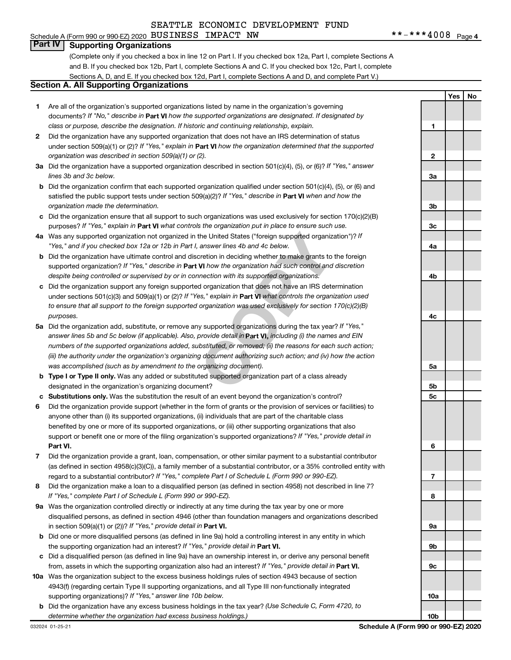### Schedule A (Form 990 or 990-EZ) 2020 BUSINESS IMPACT NW  $***-****4008$  Page

**Part IV Supporting Organizations**

(Complete only if you checked a box in line 12 on Part I. If you checked box 12a, Part I, complete Sections A and B. If you checked box 12b, Part I, complete Sections A and C. If you checked box 12c, Part I, complete Sections A, D, and E. If you checked box 12d, Part I, complete Sections A and D, and complete Part V.)

#### **Section A. All Supporting Organizations**

- **1** Are all of the organization's supported organizations listed by name in the organization's governing documents? If "No," describe in Part VI how the supported organizations are designated. If designated by *class or purpose, describe the designation. If historic and continuing relationship, explain.*
- **2** Did the organization have any supported organization that does not have an IRS determination of status under section 509(a)(1) or (2)? If "Yes," explain in Part **VI** how the organization determined that the supported *organization was described in section 509(a)(1) or (2).*
- **3a** Did the organization have a supported organization described in section 501(c)(4), (5), or (6)? If "Yes," answer *lines 3b and 3c below.*
- **b** Did the organization confirm that each supported organization qualified under section 501(c)(4), (5), or (6) and satisfied the public support tests under section 509(a)(2)? If "Yes," describe in Part VI when and how the *organization made the determination.*
- **c** Did the organization ensure that all support to such organizations was used exclusively for section 170(c)(2)(B) purposes? If "Yes," explain in Part VI what controls the organization put in place to ensure such use.
- **4 a** *If* Was any supported organization not organized in the United States ("foreign supported organization")? *"Yes," and if you checked box 12a or 12b in Part I, answer lines 4b and 4c below.*
- **b** Did the organization have ultimate control and discretion in deciding whether to make grants to the foreign supported organization? If "Yes," describe in Part VI how the organization had such control and discretion *despite being controlled or supervised by or in connection with its supported organizations.*
- **c** Did the organization support any foreign supported organization that does not have an IRS determination under sections 501(c)(3) and 509(a)(1) or (2)? If "Yes," explain in Part VI what controls the organization used *to ensure that all support to the foreign supported organization was used exclusively for section 170(c)(2)(B) purposes.*
- the United States ("foreign supported organization")? *l*<br>answer lines 4b and 4c below.<br>Consider the foreign supported organization")? *l*<br>answer lines 4b and 4c below.<br>**VI** how the organization had such control and discre **5a** Did the organization add, substitute, or remove any supported organizations during the tax year? If "Yes," answer lines 5b and 5c below (if applicable). Also, provide detail in **Part VI,** including (i) the names and EIN *numbers of the supported organizations added, substituted, or removed; (ii) the reasons for each such action; (iii) the authority under the organization's organizing document authorizing such action; and (iv) how the action was accomplished (such as by amendment to the organizing document).*
- **b** Type I or Type II only. Was any added or substituted supported organization part of a class already designated in the organization's organizing document?
- **c Substitutions only.**  Was the substitution the result of an event beyond the organization's control?
- **6** Did the organization provide support (whether in the form of grants or the provision of services or facilities) to **Part VI.** support or benefit one or more of the filing organization's supported organizations? If "Yes," provide detail in anyone other than (i) its supported organizations, (ii) individuals that are part of the charitable class benefited by one or more of its supported organizations, or (iii) other supporting organizations that also
- **7** Did the organization provide a grant, loan, compensation, or other similar payment to a substantial contributor regard to a substantial contributor? If "Yes," complete Part I of Schedule L (Form 990 or 990-EZ). (as defined in section 4958(c)(3)(C)), a family member of a substantial contributor, or a 35% controlled entity with
- **8** Did the organization make a loan to a disqualified person (as defined in section 4958) not described in line 7? *If "Yes," complete Part I of Schedule L (Form 990 or 990-EZ).*
- **9 a** Was the organization controlled directly or indirectly at any time during the tax year by one or more in section 509(a)(1) or (2))? If "Yes," provide detail in **Part VI.** disqualified persons, as defined in section 4946 (other than foundation managers and organizations described
- **b** Did one or more disqualified persons (as defined in line 9a) hold a controlling interest in any entity in which the supporting organization had an interest? If "Yes," provide detail in Part VI.
- **c** Did a disqualified person (as defined in line 9a) have an ownership interest in, or derive any personal benefit from, assets in which the supporting organization also had an interest? If "Yes," provide detail in Part VI.
- **10 a** Was the organization subject to the excess business holdings rules of section 4943 because of section supporting organizations)? If "Yes," answer line 10b below. 4943(f) (regarding certain Type II supporting organizations, and all Type III non-functionally integrated
	- **b** Did the organization have any excess business holdings in the tax year? (Use Schedule C, Form 4720, to *determine whether the organization had excess business holdings.)*

**Yes No 1 2 3a 3b 3c 4a 4b 4c 5a 5b 5c 6 7 8 9a 9b 9c 10a 10b**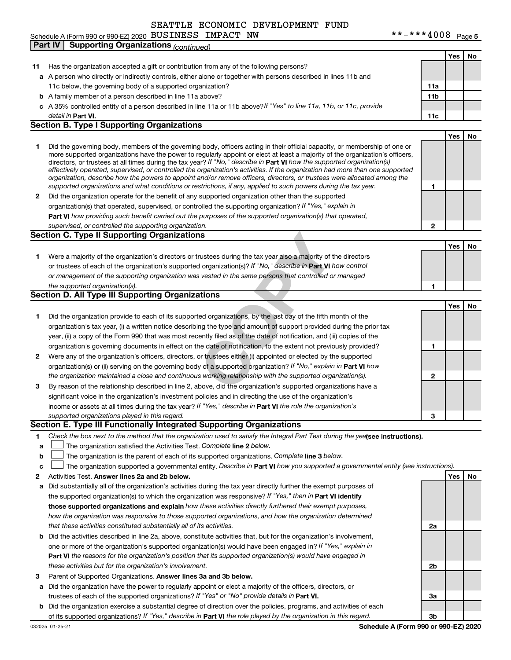Schedule A (Form 990 or 990-EZ) 2020 BUSINESS IMPACT NW  $***-****4008$  Page Has the organization accepted a gift or contribution from any of the following persons? **Part IV Supporting Organizations** *(continued)*

| 11 Has the organization accepted a gift or contribution from any of the following persons?                       |
|------------------------------------------------------------------------------------------------------------------|
| a A person who directly or indirectly controls, either alone or together with persons described in lines 11b and |
| 11c below, the governing body of a supported organization?                                                       |

**b** A family member of a person described in line 11a above?

| c A 35% controlled entity of a person described in line 11a or 11b above?If "Yes" to line 11a, 11b, or 11c, provide |     |
|---------------------------------------------------------------------------------------------------------------------|-----|
| detail in Part VI.                                                                                                  | 11c |

#### **Section B. Type I Supporting Organizations**

| Did the governing body, members of the governing body, officers acting in their official capacity, or membership of one or     |
|--------------------------------------------------------------------------------------------------------------------------------|
| more supported organizations have the power to regularly appoint or elect at least a majority of the organization's officers,  |
| directors, or trustees at all times during the tax year? If "No," describe in Part VI how the supported organization(s)        |
| effectively operated, supervised, or controlled the organization's activities. If the organization had more than one supported |
| organization, describe how the powers to appoint and/or remove officers, directors, or trustees were allocated among the       |
| supported organizations and what conditions or restrictions, if any, applied to such powers during the tax year.               |

**2** Did the organization operate for the benefit of any supported organization other than the supported **Part VI**  *how providing such benefit carried out the purposes of the supported organization(s) that operated,* organization(s) that operated, supervised, or controlled the supporting organization? If "Yes," explain in *supervised, or controlled the supporting organization.*

#### **Section C. Type II Supporting Organizations**

|                                                                                                                      |  | l No |
|----------------------------------------------------------------------------------------------------------------------|--|------|
| Were a majority of the organization's directors or trustees during the tax year also a majority of the directors     |  |      |
| or trustees of each of the organization's supported organization(s)? If "No," describe in <b>Part VI</b> how control |  |      |
| or management of the supporting organization was vested in the same persons that controlled or managed               |  |      |
| the supported organization(s).                                                                                       |  |      |

#### **Section D. All Type III Supporting Organizations**

|              | <b>Section C. Type II Supporting Organizations</b>                                                                        |   |            |     |
|--------------|---------------------------------------------------------------------------------------------------------------------------|---|------------|-----|
|              |                                                                                                                           |   | Yes        | No. |
| 1.           | Were a majority of the organization's directors or trustees during the tax year also a majority of the directors          |   |            |     |
|              | or trustees of each of the organization's supported organization(s)? If "No," describe in Part VI how control             |   |            |     |
|              | or management of the supporting organization was vested in the same persons that controlled or managed                    |   |            |     |
|              | the supported organization(s).                                                                                            |   |            |     |
|              | <b>Section D. All Type III Supporting Organizations</b>                                                                   |   |            |     |
|              |                                                                                                                           |   | <b>Yes</b> | No. |
|              | Did the organization provide to each of its supported organizations, by the last day of the fifth month of the            |   |            |     |
|              | organization's tax year, (i) a written notice describing the type and amount of support provided during the prior tax     |   |            |     |
|              | year, (ii) a copy of the Form 990 that was most recently filed as of the date of notification, and (iii) copies of the    |   |            |     |
|              | organization's governing documents in effect on the date of notification, to the extent not previously provided?          |   |            |     |
| $\mathbf{2}$ | Were any of the organization's officers, directors, or trustees either (i) appointed or elected by the supported          |   |            |     |
|              | organization(s) or (ii) serving on the governing body of a supported organization? If "No," explain in <b>Part VI</b> how |   |            |     |
|              | the organization maintained a close and continuous working relationship with the supported organization(s).               | 2 |            |     |
| 3            | By reason of the relationship described in line 2, above, did the organization's supported organizations have a           |   |            |     |
|              | significant voice in the organization's investment policies and in directing the use of the organization's                |   |            |     |
|              | income or assets at all times during the tax year? If "Yes," describe in <b>Part VI</b> the role the organization's       |   |            |     |
|              | supported organizations played in this regard.                                                                            | 3 |            |     |

#### **Section E. Type III Functionally Integrated Supporting Organizations**

- **1** Check the box next to the method that the organization used to satisfy the Integral Part Test during the yealsee instructions).
- **a The organization satisfied the Activities Test. Complete line 2 below.**
- **b** The organization is the parent of each of its supported organizations. Complete line 3 below.  $\Box$
- **c** The organization supported a governmental entity. Describe in Part VI how you supported a governmental entity (see instructions).  $\Box$
- **2 Answer lines 2a and 2b below. Yes No** Activities Test.
- **a** Did substantially all of the organization's activities during the tax year directly further the exempt purposes of the supported organization(s) to which the organization was responsive? If "Yes," then in Part VI identify **those supported organizations and explain**  *how these activities directly furthered their exempt purposes, how the organization was responsive to those supported organizations, and how the organization determined that these activities constituted substantially all of its activities.*
- **b** Did the activities described in line 2a, above, constitute activities that, but for the organization's involvement, **Part VI**  *the reasons for the organization's position that its supported organization(s) would have engaged in* one or more of the organization's supported organization(s) would have been engaged in? If "Yes," explain in *these activities but for the organization's involvement.*
- 3 Parent of Supported Organizations. Answer lines 3a and 3b below.
- **a** Did the organization have the power to regularly appoint or elect a majority of the officers, directors, or trustees of each of the supported organizations? If "Yes" or "No" provide details in Part VI.
- **b** Did the organization exercise a substantial degree of direction over the policies, programs, and activities of each of its supported organizations? If "Yes," describe in Part VI the role played by the organization in this regard.

**2a**

**2b**

**3a**

**3b**

**11a 11b**

**1**

**2**

**Yes No**

**Yes No**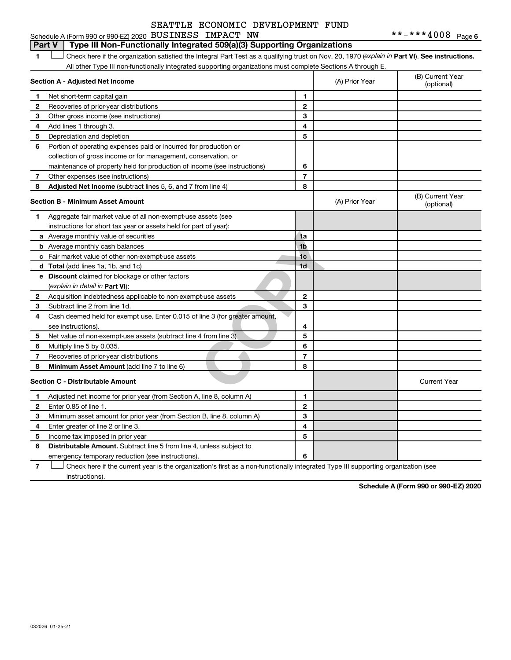$***$   $***$  4008 Page 6 Schedule A (Form 990 or 990-EZ) 2020 BUSINESS IMPACT NW  $***-****4008$  Page

#### **Part V Type III Non-Functionally Integrated 509(a)(3) Supporting Organizations**

1 **Letter See instructions.** Check here if the organization satisfied the Integral Part Test as a qualifying trust on Nov. 20, 1970 (*explain in* Part **VI**). See instructions. All other Type III non-functionally integrated supporting organizations must complete Sections A through E.

|   | Section A - Adjusted Net Income                                             |                | (A) Prior Year | (B) Current Year<br>(optional) |
|---|-----------------------------------------------------------------------------|----------------|----------------|--------------------------------|
| 1 | Net short-term capital gain                                                 | 1              |                |                                |
| 2 | Recoveries of prior-year distributions                                      | $\mathbf{2}$   |                |                                |
| з | Other gross income (see instructions)                                       | 3              |                |                                |
| 4 | Add lines 1 through 3.                                                      | 4              |                |                                |
| 5 | Depreciation and depletion                                                  | 5              |                |                                |
| 6 | Portion of operating expenses paid or incurred for production or            |                |                |                                |
|   | collection of gross income or for management, conservation, or              |                |                |                                |
|   | maintenance of property held for production of income (see instructions)    | 6              |                |                                |
| 7 | Other expenses (see instructions)                                           | $\overline{7}$ |                |                                |
| 8 | <b>Adjusted Net Income</b> (subtract lines 5, 6, and 7 from line 4)         | 8              |                |                                |
|   | <b>Section B - Minimum Asset Amount</b>                                     |                | (A) Prior Year | (B) Current Year<br>(optional) |
| 1 | Aggregate fair market value of all non-exempt-use assets (see               |                |                |                                |
|   | instructions for short tax year or assets held for part of year):           |                |                |                                |
|   | a Average monthly value of securities                                       | 1a             |                |                                |
|   | <b>b</b> Average monthly cash balances                                      | 1b             |                |                                |
|   | c Fair market value of other non-exempt-use assets                          | 1 <sub>c</sub> |                |                                |
|   | <b>d</b> Total (add lines 1a, 1b, and 1c)                                   | 1 <sub>d</sub> |                |                                |
|   | e Discount claimed for blockage or other factors                            |                |                |                                |
|   | (explain in detail in <b>Part VI</b> ):                                     |                |                |                                |
| 2 | Acquisition indebtedness applicable to non-exempt-use assets                | $\mathbf{2}$   |                |                                |
| 3 | Subtract line 2 from line 1d.                                               | 3              |                |                                |
| 4 | Cash deemed held for exempt use. Enter 0.015 of line 3 (for greater amount, |                |                |                                |
|   | see instructions)                                                           | 4              |                |                                |
| 5 | Net value of non-exempt-use assets (subtract line 4 from line 3)            | 5              |                |                                |
| 6 | Multiply line 5 by 0.035.                                                   | 6              |                |                                |
| 7 | Recoveries of prior-year distributions                                      | 7              |                |                                |
| 8 | Minimum Asset Amount (add line 7 to line 6)                                 | 8              |                |                                |
|   | <b>Section C - Distributable Amount</b>                                     |                |                | <b>Current Year</b>            |
| 1 | Adjusted net income for prior year (from Section A, line 8, column A)       | 1              |                |                                |
| 2 | Enter 0.85 of line 1.                                                       | $\mathbf{2}$   |                |                                |
| З | Minimum asset amount for prior year (from Section B, line 8, column A)      | 3              |                |                                |
| 4 | Enter greater of line 2 or line 3.                                          | 4              |                |                                |
| 5 | Income tax imposed in prior year                                            | 5              |                |                                |
| 6 | <b>Distributable Amount.</b> Subtract line 5 from line 4, unless subject to |                |                |                                |
|   | emergency temporary reduction (see instructions).                           | 6              |                |                                |
|   |                                                                             |                |                |                                |

**7** Check here if the current year is the organization's first as a non-functionally integrated Type III supporting organization (see † instructions).

**Schedule A (Form 990 or 990-EZ) 2020**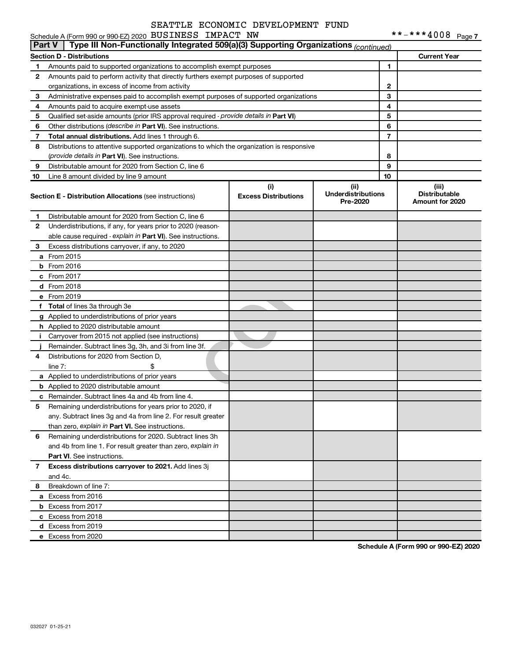|               | Schedule A (Form 990 or 990-EZ) 2020 BUSINESS IMPACT NW                                    |                                    |                                               | **-***4008 Page7                                 |
|---------------|--------------------------------------------------------------------------------------------|------------------------------------|-----------------------------------------------|--------------------------------------------------|
| <b>Part V</b> | Type III Non-Functionally Integrated 509(a)(3) Supporting Organizations (continued)        |                                    |                                               |                                                  |
|               | Section D - Distributions                                                                  |                                    |                                               | <b>Current Year</b>                              |
| 1             | Amounts paid to supported organizations to accomplish exempt purposes                      |                                    | 1                                             |                                                  |
| 2             | Amounts paid to perform activity that directly furthers exempt purposes of supported       |                                    |                                               |                                                  |
|               | organizations, in excess of income from activity                                           |                                    | $\mathbf{2}$                                  |                                                  |
| 3             | Administrative expenses paid to accomplish exempt purposes of supported organizations      | 3                                  |                                               |                                                  |
| 4             | Amounts paid to acquire exempt-use assets                                                  |                                    | 4                                             |                                                  |
| 5             | Qualified set-aside amounts (prior IRS approval required - provide details in Part VI)     |                                    | 5                                             |                                                  |
| 6             | Other distributions (describe in Part VI). See instructions.                               |                                    | 6                                             |                                                  |
| 7             | Total annual distributions. Add lines 1 through 6.                                         |                                    | $\overline{7}$                                |                                                  |
| 8             | Distributions to attentive supported organizations to which the organization is responsive |                                    |                                               |                                                  |
|               | (provide details in Part VI). See instructions.                                            |                                    | 8                                             |                                                  |
| 9             | Distributable amount for 2020 from Section C, line 6                                       |                                    | 9                                             |                                                  |
| 10            | Line 8 amount divided by line 9 amount                                                     |                                    | 10                                            |                                                  |
|               | Section E - Distribution Allocations (see instructions)                                    | (i)<br><b>Excess Distributions</b> | (ii)<br><b>Underdistributions</b><br>Pre-2020 | (iii)<br><b>Distributable</b><br>Amount for 2020 |
| 1             | Distributable amount for 2020 from Section C, line 6                                       |                                    |                                               |                                                  |
| 2             | Underdistributions, if any, for years prior to 2020 (reason-                               |                                    |                                               |                                                  |
|               | able cause required - explain in Part VI). See instructions.                               |                                    |                                               |                                                  |
| 3             | Excess distributions carryover, if any, to 2020                                            |                                    |                                               |                                                  |
|               | <b>a</b> From 2015                                                                         |                                    |                                               |                                                  |
|               | $b$ From 2016                                                                              |                                    |                                               |                                                  |
|               | c From 2017                                                                                |                                    |                                               |                                                  |
|               | d From 2018                                                                                |                                    |                                               |                                                  |
|               | e From 2019                                                                                |                                    |                                               |                                                  |
|               | f Total of lines 3a through 3e                                                             |                                    |                                               |                                                  |
|               | g Applied to underdistributions of prior years                                             |                                    |                                               |                                                  |
|               | h Applied to 2020 distributable amount                                                     |                                    |                                               |                                                  |
| j.            | Carryover from 2015 not applied (see instructions)                                         |                                    |                                               |                                                  |
|               | Remainder. Subtract lines 3g, 3h, and 3i from line 3f.                                     |                                    |                                               |                                                  |
| 4             | Distributions for 2020 from Section D,                                                     |                                    |                                               |                                                  |
|               | \$<br>line $7:$                                                                            |                                    |                                               |                                                  |
|               | a Applied to underdistributions of prior years                                             |                                    |                                               |                                                  |
|               | <b>b</b> Applied to 2020 distributable amount                                              |                                    |                                               |                                                  |
|               | <b>c</b> Remainder. Subtract lines 4a and 4b from line 4.                                  |                                    |                                               |                                                  |
| 5             | Remaining underdistributions for years prior to 2020, if                                   |                                    |                                               |                                                  |
|               | any. Subtract lines 3g and 4a from line 2. For result greater                              |                                    |                                               |                                                  |
|               | than zero, explain in Part VI. See instructions.                                           |                                    |                                               |                                                  |
| 6             | Remaining underdistributions for 2020. Subtract lines 3h                                   |                                    |                                               |                                                  |
|               | and 4b from line 1. For result greater than zero, explain in                               |                                    |                                               |                                                  |
|               | Part VI. See instructions.                                                                 |                                    |                                               |                                                  |
| $\mathbf{7}$  | Excess distributions carryover to 2021. Add lines 3j                                       |                                    |                                               |                                                  |
|               | and 4c.                                                                                    |                                    |                                               |                                                  |
| 8             | Breakdown of line 7:                                                                       |                                    |                                               |                                                  |
|               | a Excess from 2016                                                                         |                                    |                                               |                                                  |
|               | <b>b</b> Excess from 2017                                                                  |                                    |                                               |                                                  |
|               | c Excess from 2018                                                                         |                                    |                                               |                                                  |
|               | d Excess from 2019                                                                         |                                    |                                               |                                                  |
|               | e Excess from 2020                                                                         |                                    |                                               |                                                  |

**Schedule A (Form 990 or 990-EZ) 2020**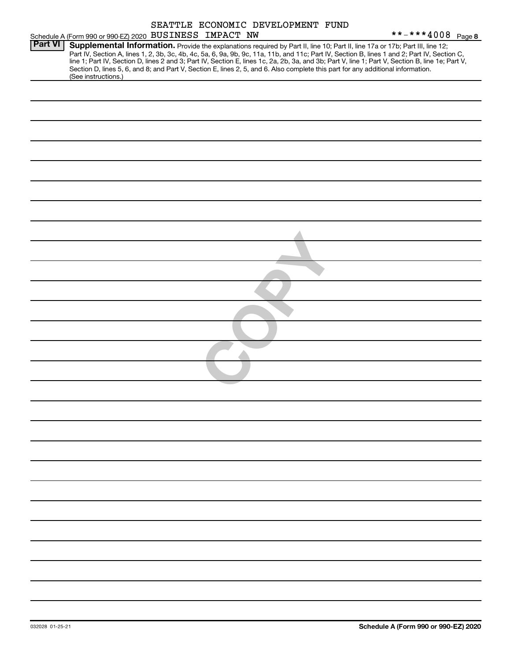|                | Schedule A (Form 990 or 990-EZ) 2020 BUSINESS IMPACT NW |  | SEATTLE ECONOMIC DEVELOPMENT FUND | **-***4008 Page 8                                                                                                                                                                                                                                                                                                                                                                                                                                                                                    |
|----------------|---------------------------------------------------------|--|-----------------------------------|------------------------------------------------------------------------------------------------------------------------------------------------------------------------------------------------------------------------------------------------------------------------------------------------------------------------------------------------------------------------------------------------------------------------------------------------------------------------------------------------------|
| <b>Part VI</b> | (See instructions.)                                     |  |                                   | Supplemental Information. Provide the explanations required by Part II, line 10; Part II, line 17a or 17b; Part III, line 12;<br>Part IV, Section A, lines 1, 2, 3b, 3c, 4b, 4c, 5a, 6, 9a, 9b, 9c, 11a, 11b, and 11c, Part IV, Section B, lines 1 and 2; Part IV, Section C,<br>line 1; Part IV, Section D, lines 2 and 3; Part IV, Section E, lines 1c, 2a, 2b,<br>Section D, lines 5, 6, and 8; and Part V, Section E, lines 2, 5, and 6. Also complete this part for any additional information. |
|                |                                                         |  |                                   |                                                                                                                                                                                                                                                                                                                                                                                                                                                                                                      |
|                |                                                         |  |                                   |                                                                                                                                                                                                                                                                                                                                                                                                                                                                                                      |
|                |                                                         |  |                                   |                                                                                                                                                                                                                                                                                                                                                                                                                                                                                                      |
|                |                                                         |  |                                   |                                                                                                                                                                                                                                                                                                                                                                                                                                                                                                      |
|                |                                                         |  |                                   |                                                                                                                                                                                                                                                                                                                                                                                                                                                                                                      |
|                |                                                         |  |                                   |                                                                                                                                                                                                                                                                                                                                                                                                                                                                                                      |
|                |                                                         |  |                                   |                                                                                                                                                                                                                                                                                                                                                                                                                                                                                                      |
|                |                                                         |  |                                   |                                                                                                                                                                                                                                                                                                                                                                                                                                                                                                      |
|                |                                                         |  |                                   |                                                                                                                                                                                                                                                                                                                                                                                                                                                                                                      |
|                |                                                         |  |                                   |                                                                                                                                                                                                                                                                                                                                                                                                                                                                                                      |
|                |                                                         |  |                                   |                                                                                                                                                                                                                                                                                                                                                                                                                                                                                                      |
|                |                                                         |  |                                   |                                                                                                                                                                                                                                                                                                                                                                                                                                                                                                      |
|                |                                                         |  |                                   |                                                                                                                                                                                                                                                                                                                                                                                                                                                                                                      |
|                |                                                         |  |                                   |                                                                                                                                                                                                                                                                                                                                                                                                                                                                                                      |
|                |                                                         |  |                                   |                                                                                                                                                                                                                                                                                                                                                                                                                                                                                                      |
|                |                                                         |  |                                   |                                                                                                                                                                                                                                                                                                                                                                                                                                                                                                      |
|                |                                                         |  |                                   |                                                                                                                                                                                                                                                                                                                                                                                                                                                                                                      |
|                |                                                         |  |                                   |                                                                                                                                                                                                                                                                                                                                                                                                                                                                                                      |
|                |                                                         |  |                                   |                                                                                                                                                                                                                                                                                                                                                                                                                                                                                                      |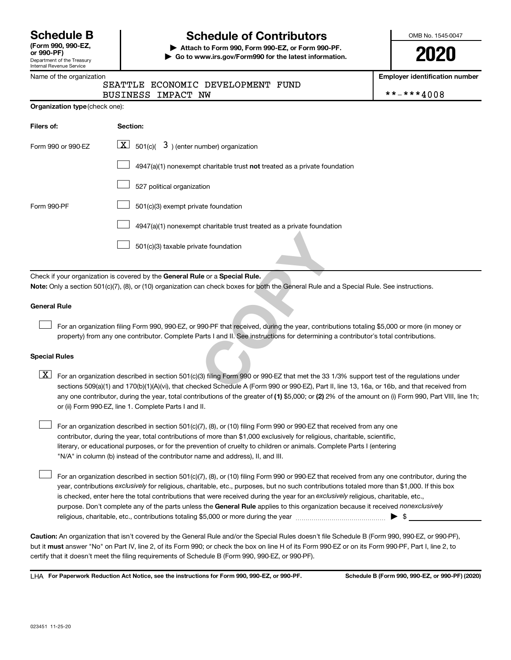Department of the Treasury Internal Revenue Service **(Form 990, 990-EZ,**

**Organization type** (check one):

### **Schedule B Schedule of Contributors**

**or 990-PF) | Attach to Form 990, Form 990-EZ, or Form 990-PF. | Go to www.irs.gov/Form990 for the latest information.** OMB No. 1545-0047

**2020**

**Employer identification number**

| Name of the organization |                    |                                   |  |
|--------------------------|--------------------|-----------------------------------|--|
|                          |                    | SEATTLE ECONOMIC DEVELOPMENT FUND |  |
|                          | BUSINESS IMPACT NW |                                   |  |

 $***-***4008$ 

| Filers of:           |                    | Section:                                                                                                                                                                                                                                                                                |
|----------------------|--------------------|-----------------------------------------------------------------------------------------------------------------------------------------------------------------------------------------------------------------------------------------------------------------------------------------|
|                      | Form 990 or 990-EZ | $\underline{\mathbf{X}}$ 501(c)( $3$ ) (enter number) organization                                                                                                                                                                                                                      |
|                      |                    | 4947(a)(1) nonexempt charitable trust not treated as a private foundation                                                                                                                                                                                                               |
|                      |                    | 527 political organization                                                                                                                                                                                                                                                              |
| Form 990-PF          |                    | 501(c)(3) exempt private foundation                                                                                                                                                                                                                                                     |
|                      |                    | 4947(a)(1) nonexempt charitable trust treated as a private foundation                                                                                                                                                                                                                   |
|                      |                    | 501(c)(3) taxable private foundation                                                                                                                                                                                                                                                    |
|                      |                    |                                                                                                                                                                                                                                                                                         |
|                      |                    | Check if your organization is covered by the General Rule or a Special Rule.                                                                                                                                                                                                            |
|                      |                    | Note: Only a section 501(c)(7), (8), or (10) organization can check boxes for both the General Rule and a Special Rule. See instructions.                                                                                                                                               |
| <b>General Rule</b>  |                    |                                                                                                                                                                                                                                                                                         |
|                      |                    | For an organization filing Form 990, 990-EZ, or 990-PF that received, during the year, contributions totaling \$5,000 or more (in money or<br>property) from any one contributor. Complete Parts I and II. See instructions for determining a contributor's total contributions.        |
| <b>Special Rules</b> |                    |                                                                                                                                                                                                                                                                                         |
| $\mathbf{X}$         |                    | For an organization described in section 501(c)(3) filing Form 990 or 990-EZ that met the 33 1/3% support test of the regulations under<br>sections 509(a)(1) and 170(b)(1)(A)(vi), that checked Schedule A (Form 990 or 990-EZ), Part II, line 13, 16a, or 16b, and that received fror |

#### **General Rule**

 $\Box$ 

#### **Special Rules**

- any one contributor, during the year, total contributions of the greater of (1) \$5,000; or (2) 2% of the amount on (i) Form 990, Part VIII, line 1h;  $\boxed{\text{X}}$  For an organization described in section 501(c)(3) filing Form 990 or 990-EZ that met the 33 1/3% support test of the regulations under sections 509(a)(1) and 170(b)(1)(A)(vi), that checked Schedule A (Form 990 or 990-EZ), Part II, line 13, 16a, or 16b, and that received from or (ii) Form 990-EZ, line 1. Complete Parts I and II.
- For an organization described in section 501(c)(7), (8), or (10) filing Form 990 or 990-EZ that received from any one contributor, during the year, total contributions of more than \$1,000 exclusively for religious, charitable, scientific, literary, or educational purposes, or for the prevention of cruelty to children or animals. Complete Parts I (entering "N/A" in column (b) instead of the contributor name and address), II, and III.  $\Box$

purpose. Don't complete any of the parts unless the General Rule applies to this organization because it received nonexclusively year, contributions exclusively for religious, charitable, etc., purposes, but no such contributions totaled more than \$1,000. If this box is checked, enter here the total contributions that were received during the year for an exclusively religious, charitable, etc., For an organization described in section 501(c)(7), (8), or (10) filing Form 990 or 990-EZ that received from any one contributor, during the religious, charitable, etc., contributions totaling \$5,000 or more during the year  $~\ldots\ldots\ldots\ldots\ldots\ldots\ldots\ldots\blacktriangleright~$ \$

**Caution:**  An organization that isn't covered by the General Rule and/or the Special Rules doesn't file Schedule B (Form 990, 990-EZ, or 990-PF),  **must** but it answer "No" on Part IV, line 2, of its Form 990; or check the box on line H of its Form 990-EZ or on its Form 990-PF, Part I, line 2, to certify that it doesn't meet the filing requirements of Schedule B (Form 990, 990-EZ, or 990-PF).

**For Paperwork Reduction Act Notice, see the instructions for Form 990, 990-EZ, or 990-PF. Schedule B (Form 990, 990-EZ, or 990-PF) (2020)** LHA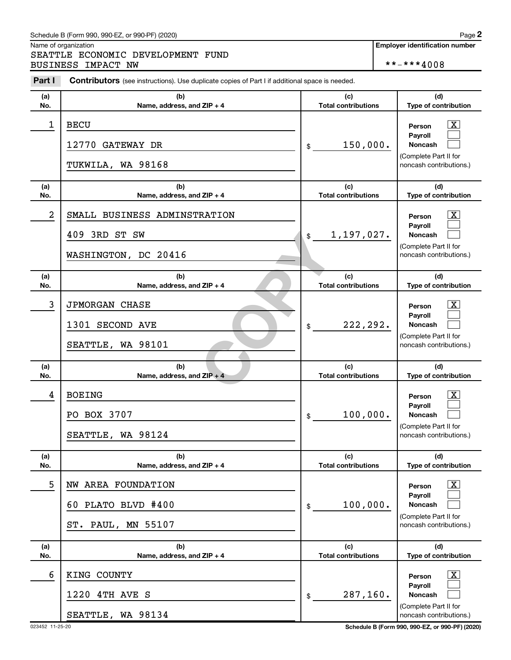#### Schedule B (Form 990, 990-EZ, or 990-PF) (2020)

Name of organization

SEATTLE ECONOMIC DEVELOPMENT FUND BUSINESS IMPACT NW  $***-*4008$ 

| Part I     | Contributors (see instructions). Use duplicate copies of Part I if additional space is needed. |                                              |                                                                                                                                            |
|------------|------------------------------------------------------------------------------------------------|----------------------------------------------|--------------------------------------------------------------------------------------------------------------------------------------------|
| (a)        | (b)                                                                                            | (c)                                          | (d)                                                                                                                                        |
| No.        | Name, address, and ZIP + 4                                                                     | <b>Total contributions</b>                   | Type of contribution                                                                                                                       |
| 1          | <b>BECU</b><br>12770 GATEWAY DR<br>TUKWILA, WA 98168                                           | 150,000.<br>\$                               | $\overline{\mathbf{X}}$<br>Person<br>Payroll<br><b>Noncash</b><br>(Complete Part II for<br>noncash contributions.)                         |
| (a)        | (b)                                                                                            | (c)                                          | (d)                                                                                                                                        |
| No.        | Name, address, and ZIP + 4                                                                     | <b>Total contributions</b>                   | Type of contribution                                                                                                                       |
| 2          | SMALL BUSINESS ADMINSTRATION<br>409 3RD ST SW                                                  | 1,197,027.<br>\$                             | $\overline{\mathbf{X}}$<br>Person<br>Payroll<br><b>Noncash</b>                                                                             |
|            | WASHINGTON, DC 20416                                                                           |                                              | (Complete Part II for<br>noncash contributions.)                                                                                           |
| (a)<br>No. | (b)<br>Name, address, and ZIP + 4                                                              | (c)<br><b>Total contributions</b>            | (d)<br>Type of contribution                                                                                                                |
| 3          | <b>JPMORGAN CHASE</b><br>1301 SECOND AVE<br>SEATTLE, WA 98101                                  | 222,292.<br>\$                               | $\overline{\mathbf{X}}$<br>Person<br>Payroll<br>Noncash<br>(Complete Part II for<br>noncash contributions.)                                |
| (a)        | (b)                                                                                            | (c)                                          | (d)                                                                                                                                        |
| No.<br>4   | Name, address, and ZIP + 4<br><b>BOEING</b><br>PO BOX 3707<br>SEATTLE, WA 98124                | <b>Total contributions</b><br>100,000.<br>\$ | Type of contribution<br>$\overline{\mathbf{X}}$<br>Person<br>Payroll<br><b>Noncash</b><br>(Complete Part II for<br>noncash contributions.) |
| (a)<br>No. | (b)<br>Name, address, and ZIP + 4                                                              | (c)<br><b>Total contributions</b>            | (d)<br>Type of contribution                                                                                                                |
| 5          | NW AREA FOUNDATION<br>60 PLATO BLVD #400<br>ST. PAUL, MN 55107                                 | 100,000.<br>\$                               | $\overline{\text{X}}$<br>Person<br>Payroll<br><b>Noncash</b><br>(Complete Part II for<br>noncash contributions.)                           |
| (a)<br>No. | (b)<br>Name, address, and ZIP + 4                                                              | (c)<br><b>Total contributions</b>            | (d)<br>Type of contribution                                                                                                                |
| 6          | KING COUNTY<br>1220<br>4TH AVE S                                                               | 287,160.<br>\$                               | $\overline{\text{X}}$<br>Person<br>Payroll<br><b>Noncash</b><br>(Complete Part II for                                                      |
|            | SEATTLE, WA 98134                                                                              |                                              | noncash contributions.)                                                                                                                    |

023452 11-25-20 **Schedule B (Form 990, 990-EZ, or 990-PF) (2020)**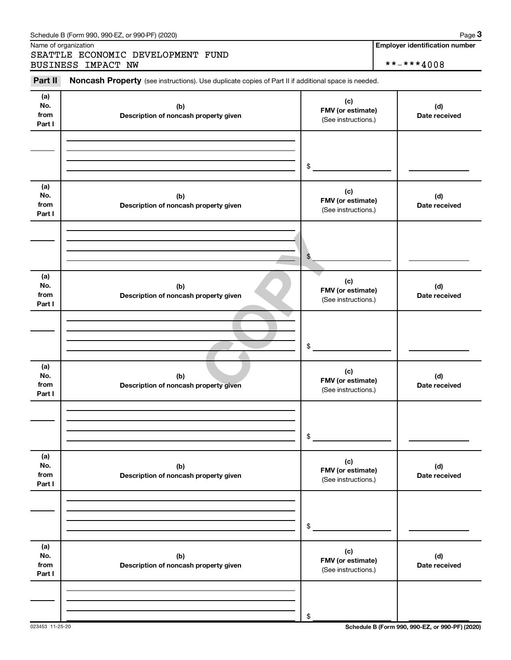Name of organization

SEATTLE ECONOMIC DEVELOPMENT FUND BUSINESS IMPACT NW \*\*-\*\*\*4008

#### FMV (or estin<br>
(See instruct<br>
(See instruct<br>
See instruct<br>
FMV (or estin<br>
(C)<br>
FMV (or estin<br>
(See instruct<br>
(See instruct<br>
(See instruct **(a) No. from Part I (c) FMV (or estimate) (b) Description of noncash property given (d) Date received (a) No. from Part I (c) FMV (or estimate) (b) Description of noncash property given (d) Date received (a) No. from Part I (c) FMV (or estimate) (b) Description of noncash property given (d) Date received (a) No. from Part I (c) FMV (or estimate) (b) Description of noncash property given (d) Date received (a) No. from Part I (c) FMV (or estimate) (b) Description of noncash property given (d) Date received (a) No. from Part I (c) FMV (or estimate) (b) Description of noncash property given (d) Date received** Part II Noncash Property (see instructions). Use duplicate copies of Part II if additional space is needed. (See instructions.) \$ (See instructions.) \$ (See instructions.) \$ (See instructions.) \$ (See instructions.) \$ (See instructions.) \$

023453 11-25-20 **Schedule B (Form 990, 990-EZ, or 990-PF) (2020)**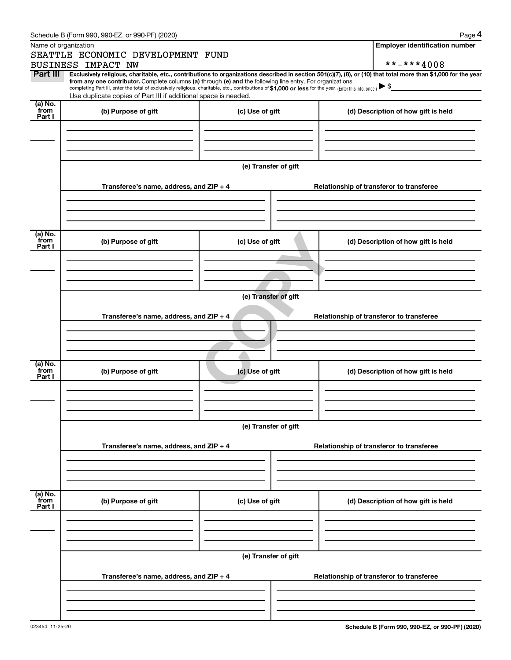| Schedule B (Form 990, 990-EZ, or 990-PF) (2020) | Page |
|-------------------------------------------------|------|
|-------------------------------------------------|------|

|--|--|

|                           | Name of organization<br>SEATTLE ECONOMIC DEVELOPMENT FUND<br>BUSINESS IMPACT NW                                                                                                                                                                                                                                                                                                                                                                                                                                |                      | <b>Employer identification number</b><br>**-***4008 |
|---------------------------|----------------------------------------------------------------------------------------------------------------------------------------------------------------------------------------------------------------------------------------------------------------------------------------------------------------------------------------------------------------------------------------------------------------------------------------------------------------------------------------------------------------|----------------------|-----------------------------------------------------|
| Part III                  | Exclusively religious, charitable, etc., contributions to organizations described in section 501(c)(7), (8), or (10) that total more than \$1,000 for the year<br>from any one contributor. Complete columns (a) through (e) and the following line entry. For organizations<br>completing Part III, enter the total of exclusively religious, charitable, etc., contributions of \$1,000 or less for the year. (Enter this info. once.) \$<br>Use duplicate copies of Part III if additional space is needed. |                      |                                                     |
| (a) No.<br>from<br>Part I | (b) Purpose of gift                                                                                                                                                                                                                                                                                                                                                                                                                                                                                            | (c) Use of gift      | (d) Description of how gift is held                 |
|                           | Transferee's name, address, and ZIP + 4                                                                                                                                                                                                                                                                                                                                                                                                                                                                        | (e) Transfer of gift | Relationship of transferor to transferee            |
|                           |                                                                                                                                                                                                                                                                                                                                                                                                                                                                                                                |                      |                                                     |
| (a) No.<br>from<br>Part I | (b) Purpose of gift                                                                                                                                                                                                                                                                                                                                                                                                                                                                                            | (c) Use of gift      | (d) Description of how gift is held                 |
|                           | Transferee's name, address, and ZIP + 4                                                                                                                                                                                                                                                                                                                                                                                                                                                                        | (e) Transfer of gift | Relationship of transferor to transferee            |
| (a) No.<br>from<br>Part I | (b) Purpose of gift                                                                                                                                                                                                                                                                                                                                                                                                                                                                                            | (c) Use of gift      | (d) Description of how gift is held                 |
|                           |                                                                                                                                                                                                                                                                                                                                                                                                                                                                                                                | (e) Transfer of gift |                                                     |
|                           | Transferee's name, address, and ZIP + 4                                                                                                                                                                                                                                                                                                                                                                                                                                                                        |                      | Relationship of transferor to transferee            |
| (a) No.<br>from<br>Part I | (b) Purpose of gift                                                                                                                                                                                                                                                                                                                                                                                                                                                                                            | (c) Use of gift      | (d) Description of how gift is held                 |
|                           | Transferee's name, address, and ZIP + 4                                                                                                                                                                                                                                                                                                                                                                                                                                                                        | (e) Transfer of gift | Relationship of transferor to transferee            |
|                           |                                                                                                                                                                                                                                                                                                                                                                                                                                                                                                                |                      |                                                     |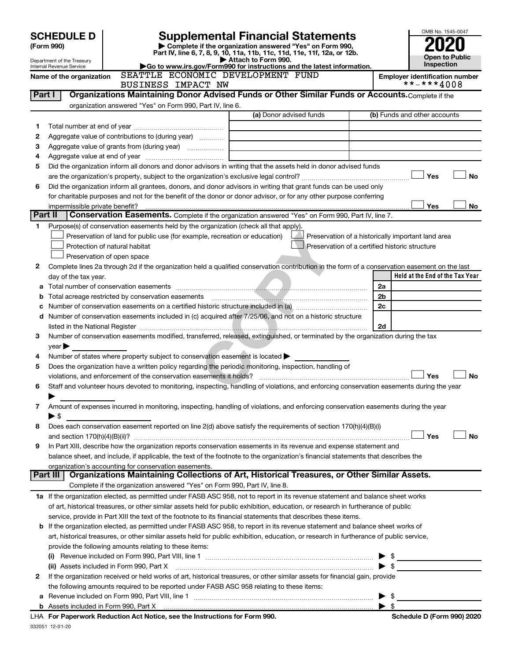|         | <b>Supplemental Financial Statements</b><br><b>SCHEDULE D</b>                                                                                                                 |                         | OMB No. 1545-0047                     |  |  |
|---------|-------------------------------------------------------------------------------------------------------------------------------------------------------------------------------|-------------------------|---------------------------------------|--|--|
|         | Complete if the organization answered "Yes" on Form 990,<br>(Form 990)                                                                                                        |                         |                                       |  |  |
|         | Part IV, line 6, 7, 8, 9, 10, 11a, 11b, 11c, 11d, 11e, 11f, 12a, or 12b.<br>Attach to Form 990.<br>Department of the Treasury                                                 |                         | Open to Public                        |  |  |
|         | Go to www.irs.gov/Form990 for instructions and the latest information.<br>Internal Revenue Service                                                                            |                         | <b>Inspection</b>                     |  |  |
|         | SEATTLE ECONOMIC DEVELOPMENT FUND<br>Name of the organization                                                                                                                 |                         | <b>Employer identification number</b> |  |  |
|         | BUSINESS IMPACT NW                                                                                                                                                            |                         | **-***4008                            |  |  |
| Part I  | Organizations Maintaining Donor Advised Funds or Other Similar Funds or Accounts. Complete if the                                                                             |                         |                                       |  |  |
|         | organization answered "Yes" on Form 990, Part IV, line 6.<br>(a) Donor advised funds                                                                                          |                         | (b) Funds and other accounts          |  |  |
|         |                                                                                                                                                                               |                         |                                       |  |  |
| 1       |                                                                                                                                                                               |                         |                                       |  |  |
| 2       | Aggregate value of contributions to (during year)                                                                                                                             |                         |                                       |  |  |
| з<br>4  |                                                                                                                                                                               |                         |                                       |  |  |
| 5       | Did the organization inform all donors and donor advisors in writing that the assets held in donor advised funds                                                              |                         |                                       |  |  |
|         |                                                                                                                                                                               |                         | Yes<br><b>No</b>                      |  |  |
| 6       | Did the organization inform all grantees, donors, and donor advisors in writing that grant funds can be used only                                                             |                         |                                       |  |  |
|         | for charitable purposes and not for the benefit of the donor or donor advisor, or for any other purpose conferring                                                            |                         |                                       |  |  |
|         | impermissible private benefit?                                                                                                                                                |                         | Yes<br>No                             |  |  |
| Part II | Conservation Easements. Complete if the organization answered "Yes" on Form 990, Part IV, line 7.                                                                             |                         |                                       |  |  |
| 1.      | Purpose(s) of conservation easements held by the organization (check all that apply).                                                                                         |                         |                                       |  |  |
|         | Preservation of land for public use (for example, recreation or education)<br>Preservation of a historically important land area                                              |                         |                                       |  |  |
|         | Protection of natural habitat<br>Preservation of a certified historic structure                                                                                               |                         |                                       |  |  |
|         | Preservation of open space                                                                                                                                                    |                         |                                       |  |  |
| 2       | Complete lines 2a through 2d if the organization held a qualified conservation contribution in the form of a conservation easement on the last                                |                         |                                       |  |  |
|         | day of the tax year.                                                                                                                                                          |                         | Held at the End of the Tax Year       |  |  |
| а       |                                                                                                                                                                               | 2a                      |                                       |  |  |
|         | Total acreage restricted by conservation easements                                                                                                                            | 2 <sub>b</sub>          |                                       |  |  |
|         |                                                                                                                                                                               | 2c                      |                                       |  |  |
| d       | Number of conservation easements included in (c) acquired after 7/25/06, and not on a historic structure                                                                      |                         |                                       |  |  |
|         | listed in the National Register [111] March 1999 (120 Meters 1999 March 1999 Meters 1999 Meters 1999 Meters 1                                                                 | 2d                      |                                       |  |  |
| 3       | Number of conservation easements modified, transferred, released, extinguished, or terminated by the organization during the tax                                              |                         |                                       |  |  |
|         | $\vee$ ear $\blacktriangleright$                                                                                                                                              |                         |                                       |  |  |
| 4       | Number of states where property subject to conservation easement is located >                                                                                                 |                         |                                       |  |  |
| 5       | Does the organization have a written policy regarding the periodic monitoring, inspection, handling of<br>violations, and enforcement of the conservation easements it holds? |                         | Yes<br>No                             |  |  |
| 6       | Staff and volunteer hours devoted to monitoring, inspecting, handling of violations, and enforcing conservation easements during the year                                     |                         |                                       |  |  |
|         |                                                                                                                                                                               |                         |                                       |  |  |
| 7       | Amount of expenses incurred in monitoring, inspecting, handling of violations, and enforcing conservation easements during the year                                           |                         |                                       |  |  |
|         | ▶ \$                                                                                                                                                                          |                         |                                       |  |  |
| 8       | Does each conservation easement reported on line 2(d) above satisfy the requirements of section 170(h)(4)(B)(i)                                                               |                         |                                       |  |  |
|         |                                                                                                                                                                               |                         | Yes<br><b>No</b>                      |  |  |
| 9       | In Part XIII, describe how the organization reports conservation easements in its revenue and expense statement and                                                           |                         |                                       |  |  |
|         | balance sheet, and include, if applicable, the text of the footnote to the organization's financial statements that describes the                                             |                         |                                       |  |  |
|         | organization's accounting for conservation easements.                                                                                                                         |                         |                                       |  |  |
|         | Organizations Maintaining Collections of Art, Historical Treasures, or Other Similar Assets.<br>Part III                                                                      |                         |                                       |  |  |
|         | Complete if the organization answered "Yes" on Form 990, Part IV, line 8.                                                                                                     |                         |                                       |  |  |
|         | 1a If the organization elected, as permitted under FASB ASC 958, not to report in its revenue statement and balance sheet works                                               |                         |                                       |  |  |
|         | of art, historical treasures, or other similar assets held for public exhibition, education, or research in furtherance of public                                             |                         |                                       |  |  |
|         | service, provide in Part XIII the text of the footnote to its financial statements that describes these items.                                                                |                         |                                       |  |  |
|         | <b>b</b> If the organization elected, as permitted under FASB ASC 958, to report in its revenue statement and balance sheet works of                                          |                         |                                       |  |  |
|         | art, historical treasures, or other similar assets held for public exhibition, education, or research in furtherance of public service,                                       |                         |                                       |  |  |
|         | provide the following amounts relating to these items:                                                                                                                        |                         |                                       |  |  |
|         |                                                                                                                                                                               |                         |                                       |  |  |
|         | (ii) Assets included in Form 990, Part X                                                                                                                                      | $\blacktriangleright$ s |                                       |  |  |
| 2       | If the organization received or held works of art, historical treasures, or other similar assets for financial gain, provide                                                  |                         |                                       |  |  |
|         | the following amounts required to be reported under FASB ASC 958 relating to these items:                                                                                     |                         |                                       |  |  |
| а       |                                                                                                                                                                               |                         | -\$                                   |  |  |
|         | <b>In class of the contract Pressure OOO</b>                                                                                                                                  |                         | <b>D. E.  0001.0000</b>               |  |  |

032051 12-01-20 **For Paperwork Reduction Act Notice, see the Instructions for Form 990. Schedule D (Form 990) 2020** LHA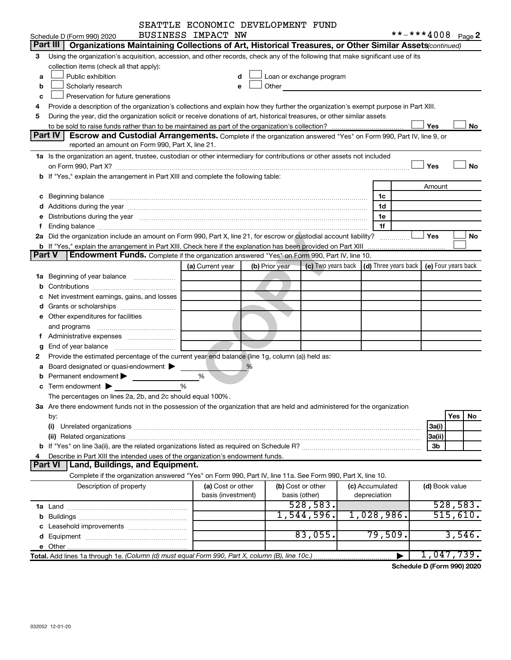| **-***4008 Page 2<br>BUSINESS IMPACT NW<br>Schedule D (Form 990) 2020<br>Part III<br><b>Organizations Maintaining Collections of Art, Historical Treasures, or Other Similar Assets</b> <i>continued</i> )<br>Using the organization's acquisition, accession, and other records, check any of the following that make significant use of its<br>3<br>collection items (check all that apply):<br>Public exhibition<br>Loan or exchange program<br>d<br>a<br>Other and the contract of the contract of the contract of the contract of the contract of the contract of the contract of the contract of the contract of the contract of the contract of the contract of the contract of the<br>Scholarly research<br>b<br>e<br>Preservation for future generations<br>c<br>Provide a description of the organization's collections and explain how they further the organization's exempt purpose in Part XIII.<br>4<br>During the year, did the organization solicit or receive donations of art, historical treasures, or other similar assets<br>5<br>Yes<br>No<br>Part IV<br><b>Escrow and Custodial Arrangements.</b> Complete if the organization answered "Yes" on Form 990, Part IV, line 9, or<br>reported an amount on Form 990, Part X, line 21.<br>1a Is the organization an agent, trustee, custodian or other intermediary for contributions or other assets not included<br>Yes<br>No<br>on Form 990, Part X? <b>Entitled Strategie Control</b> and Terms and Terms and Terms and Terms and Terms and Terms and<br>b If "Yes," explain the arrangement in Part XIII and complete the following table:<br>Amount<br>c Beginning balance <b>communications</b> and a construction of the construction of the construction of the construction of the construction of the construction of the construction of the construction of the construction of the<br>1c<br>1d<br>Distributions during the year manufactured and an account of the year manufactured and the year manufactured and the year manufactured and the year manufactured and the year manufactured and the year manufactured and the y<br>1e<br>1f<br>2a Did the organization include an amount on Form 990, Part X, line 21, for escrow or custodial account liability?<br>Yes<br>No<br><b>b</b> If "Yes," explain the arrangement in Part XIII. Check here if the explanation has been provided on Part XIII<br><b>Part V</b><br>Endowment Funds. Complete if the organization answered "Yes" on Form 990, Part IV, line 10.<br>$\vert$ (d) Three years back $\vert$ (e) Four years back<br>(c) Two years back<br>(a) Current year<br>(b) Prior year<br>Net investment earnings, gains, and losses<br>Other expenditures for facilities<br>е<br>Provide the estimated percentage of the current year end balance (line 1g, column (a)) held as:<br>2<br>Board designated or quasi-endowment<br>%<br>а<br>Permanent endowment ><br>%<br><b>c</b> Term endowment $\blacktriangleright$<br>%<br>The percentages on lines 2a, 2b, and 2c should equal 100%.<br>3a Are there endowment funds not in the possession of the organization that are held and administered for the organization<br>Yes<br>No<br>by:<br>3a(i)<br>(i)<br>3a(ii)<br>3b<br>Describe in Part XIII the intended uses of the organization's endowment funds.<br>4<br>Land, Buildings, and Equipment.<br><b>Part VI</b><br>Complete if the organization answered "Yes" on Form 990, Part IV, line 11a. See Form 990, Part X, line 10.<br>Description of property<br>(a) Cost or other<br>(b) Cost or other<br>(c) Accumulated<br>(d) Book value<br>basis (investment)<br>depreciation<br>basis (other)<br>528,583.<br>528,583.<br>$1,028,986$ .<br>515,610.<br>1,544,596.<br>b<br>Leasehold improvements<br>79,509.<br>3,546.<br>83,055.<br>1,047,739.<br>Total. Add lines 1a through 1e. (Column (d) must equal Form 990, Part X, column (B), line 10c.) |  | SEATTLE ECONOMIC DEVELOPMENT FUND |  |  |  |
|-------------------------------------------------------------------------------------------------------------------------------------------------------------------------------------------------------------------------------------------------------------------------------------------------------------------------------------------------------------------------------------------------------------------------------------------------------------------------------------------------------------------------------------------------------------------------------------------------------------------------------------------------------------------------------------------------------------------------------------------------------------------------------------------------------------------------------------------------------------------------------------------------------------------------------------------------------------------------------------------------------------------------------------------------------------------------------------------------------------------------------------------------------------------------------------------------------------------------------------------------------------------------------------------------------------------------------------------------------------------------------------------------------------------------------------------------------------------------------------------------------------------------------------------------------------------------------------------------------------------------------------------------------------------------------------------------------------------------------------------------------------------------------------------------------------------------------------------------------------------------------------------------------------------------------------------------------------------------------------------------------------------------------------------------------------------------------------------------------------------------------------------------------------------------------------------------------------------------------------------------------------------------------------------------------------------------------------------------------------------------------------------------------------------------------------------------------------------------------------------------------------------------------------------------------------------------------------------------------------------------------------------------------------------------------------------------------------------------------------------------------------------------------------------------------------------------------------------------------------------------------------------------------------------------------------------------------------------------------------------------------------------------------------------------------------------------------------------------------------------------------------------------------------------------------------------------------------------------------------------------------------------------------------------------------------------------------------------------------------------------------------------------------------------------------------------------------------------------------------------------------------------------------------------------------------------------------------------------------------------------------------------------------------------------------------------------------------------------------------------------------------------------------------------------------------------------------------------------------------------------------------------------------|--|-----------------------------------|--|--|--|
|                                                                                                                                                                                                                                                                                                                                                                                                                                                                                                                                                                                                                                                                                                                                                                                                                                                                                                                                                                                                                                                                                                                                                                                                                                                                                                                                                                                                                                                                                                                                                                                                                                                                                                                                                                                                                                                                                                                                                                                                                                                                                                                                                                                                                                                                                                                                                                                                                                                                                                                                                                                                                                                                                                                                                                                                                                                                                                                                                                                                                                                                                                                                                                                                                                                                                                                                                                                                                                                                                                                                                                                                                                                                                                                                                                                                                                                                                                       |  |                                   |  |  |  |
|                                                                                                                                                                                                                                                                                                                                                                                                                                                                                                                                                                                                                                                                                                                                                                                                                                                                                                                                                                                                                                                                                                                                                                                                                                                                                                                                                                                                                                                                                                                                                                                                                                                                                                                                                                                                                                                                                                                                                                                                                                                                                                                                                                                                                                                                                                                                                                                                                                                                                                                                                                                                                                                                                                                                                                                                                                                                                                                                                                                                                                                                                                                                                                                                                                                                                                                                                                                                                                                                                                                                                                                                                                                                                                                                                                                                                                                                                                       |  |                                   |  |  |  |
|                                                                                                                                                                                                                                                                                                                                                                                                                                                                                                                                                                                                                                                                                                                                                                                                                                                                                                                                                                                                                                                                                                                                                                                                                                                                                                                                                                                                                                                                                                                                                                                                                                                                                                                                                                                                                                                                                                                                                                                                                                                                                                                                                                                                                                                                                                                                                                                                                                                                                                                                                                                                                                                                                                                                                                                                                                                                                                                                                                                                                                                                                                                                                                                                                                                                                                                                                                                                                                                                                                                                                                                                                                                                                                                                                                                                                                                                                                       |  |                                   |  |  |  |
|                                                                                                                                                                                                                                                                                                                                                                                                                                                                                                                                                                                                                                                                                                                                                                                                                                                                                                                                                                                                                                                                                                                                                                                                                                                                                                                                                                                                                                                                                                                                                                                                                                                                                                                                                                                                                                                                                                                                                                                                                                                                                                                                                                                                                                                                                                                                                                                                                                                                                                                                                                                                                                                                                                                                                                                                                                                                                                                                                                                                                                                                                                                                                                                                                                                                                                                                                                                                                                                                                                                                                                                                                                                                                                                                                                                                                                                                                                       |  |                                   |  |  |  |
|                                                                                                                                                                                                                                                                                                                                                                                                                                                                                                                                                                                                                                                                                                                                                                                                                                                                                                                                                                                                                                                                                                                                                                                                                                                                                                                                                                                                                                                                                                                                                                                                                                                                                                                                                                                                                                                                                                                                                                                                                                                                                                                                                                                                                                                                                                                                                                                                                                                                                                                                                                                                                                                                                                                                                                                                                                                                                                                                                                                                                                                                                                                                                                                                                                                                                                                                                                                                                                                                                                                                                                                                                                                                                                                                                                                                                                                                                                       |  |                                   |  |  |  |
|                                                                                                                                                                                                                                                                                                                                                                                                                                                                                                                                                                                                                                                                                                                                                                                                                                                                                                                                                                                                                                                                                                                                                                                                                                                                                                                                                                                                                                                                                                                                                                                                                                                                                                                                                                                                                                                                                                                                                                                                                                                                                                                                                                                                                                                                                                                                                                                                                                                                                                                                                                                                                                                                                                                                                                                                                                                                                                                                                                                                                                                                                                                                                                                                                                                                                                                                                                                                                                                                                                                                                                                                                                                                                                                                                                                                                                                                                                       |  |                                   |  |  |  |
|                                                                                                                                                                                                                                                                                                                                                                                                                                                                                                                                                                                                                                                                                                                                                                                                                                                                                                                                                                                                                                                                                                                                                                                                                                                                                                                                                                                                                                                                                                                                                                                                                                                                                                                                                                                                                                                                                                                                                                                                                                                                                                                                                                                                                                                                                                                                                                                                                                                                                                                                                                                                                                                                                                                                                                                                                                                                                                                                                                                                                                                                                                                                                                                                                                                                                                                                                                                                                                                                                                                                                                                                                                                                                                                                                                                                                                                                                                       |  |                                   |  |  |  |
|                                                                                                                                                                                                                                                                                                                                                                                                                                                                                                                                                                                                                                                                                                                                                                                                                                                                                                                                                                                                                                                                                                                                                                                                                                                                                                                                                                                                                                                                                                                                                                                                                                                                                                                                                                                                                                                                                                                                                                                                                                                                                                                                                                                                                                                                                                                                                                                                                                                                                                                                                                                                                                                                                                                                                                                                                                                                                                                                                                                                                                                                                                                                                                                                                                                                                                                                                                                                                                                                                                                                                                                                                                                                                                                                                                                                                                                                                                       |  |                                   |  |  |  |
|                                                                                                                                                                                                                                                                                                                                                                                                                                                                                                                                                                                                                                                                                                                                                                                                                                                                                                                                                                                                                                                                                                                                                                                                                                                                                                                                                                                                                                                                                                                                                                                                                                                                                                                                                                                                                                                                                                                                                                                                                                                                                                                                                                                                                                                                                                                                                                                                                                                                                                                                                                                                                                                                                                                                                                                                                                                                                                                                                                                                                                                                                                                                                                                                                                                                                                                                                                                                                                                                                                                                                                                                                                                                                                                                                                                                                                                                                                       |  |                                   |  |  |  |
|                                                                                                                                                                                                                                                                                                                                                                                                                                                                                                                                                                                                                                                                                                                                                                                                                                                                                                                                                                                                                                                                                                                                                                                                                                                                                                                                                                                                                                                                                                                                                                                                                                                                                                                                                                                                                                                                                                                                                                                                                                                                                                                                                                                                                                                                                                                                                                                                                                                                                                                                                                                                                                                                                                                                                                                                                                                                                                                                                                                                                                                                                                                                                                                                                                                                                                                                                                                                                                                                                                                                                                                                                                                                                                                                                                                                                                                                                                       |  |                                   |  |  |  |
|                                                                                                                                                                                                                                                                                                                                                                                                                                                                                                                                                                                                                                                                                                                                                                                                                                                                                                                                                                                                                                                                                                                                                                                                                                                                                                                                                                                                                                                                                                                                                                                                                                                                                                                                                                                                                                                                                                                                                                                                                                                                                                                                                                                                                                                                                                                                                                                                                                                                                                                                                                                                                                                                                                                                                                                                                                                                                                                                                                                                                                                                                                                                                                                                                                                                                                                                                                                                                                                                                                                                                                                                                                                                                                                                                                                                                                                                                                       |  |                                   |  |  |  |
|                                                                                                                                                                                                                                                                                                                                                                                                                                                                                                                                                                                                                                                                                                                                                                                                                                                                                                                                                                                                                                                                                                                                                                                                                                                                                                                                                                                                                                                                                                                                                                                                                                                                                                                                                                                                                                                                                                                                                                                                                                                                                                                                                                                                                                                                                                                                                                                                                                                                                                                                                                                                                                                                                                                                                                                                                                                                                                                                                                                                                                                                                                                                                                                                                                                                                                                                                                                                                                                                                                                                                                                                                                                                                                                                                                                                                                                                                                       |  |                                   |  |  |  |
|                                                                                                                                                                                                                                                                                                                                                                                                                                                                                                                                                                                                                                                                                                                                                                                                                                                                                                                                                                                                                                                                                                                                                                                                                                                                                                                                                                                                                                                                                                                                                                                                                                                                                                                                                                                                                                                                                                                                                                                                                                                                                                                                                                                                                                                                                                                                                                                                                                                                                                                                                                                                                                                                                                                                                                                                                                                                                                                                                                                                                                                                                                                                                                                                                                                                                                                                                                                                                                                                                                                                                                                                                                                                                                                                                                                                                                                                                                       |  |                                   |  |  |  |
|                                                                                                                                                                                                                                                                                                                                                                                                                                                                                                                                                                                                                                                                                                                                                                                                                                                                                                                                                                                                                                                                                                                                                                                                                                                                                                                                                                                                                                                                                                                                                                                                                                                                                                                                                                                                                                                                                                                                                                                                                                                                                                                                                                                                                                                                                                                                                                                                                                                                                                                                                                                                                                                                                                                                                                                                                                                                                                                                                                                                                                                                                                                                                                                                                                                                                                                                                                                                                                                                                                                                                                                                                                                                                                                                                                                                                                                                                                       |  |                                   |  |  |  |
|                                                                                                                                                                                                                                                                                                                                                                                                                                                                                                                                                                                                                                                                                                                                                                                                                                                                                                                                                                                                                                                                                                                                                                                                                                                                                                                                                                                                                                                                                                                                                                                                                                                                                                                                                                                                                                                                                                                                                                                                                                                                                                                                                                                                                                                                                                                                                                                                                                                                                                                                                                                                                                                                                                                                                                                                                                                                                                                                                                                                                                                                                                                                                                                                                                                                                                                                                                                                                                                                                                                                                                                                                                                                                                                                                                                                                                                                                                       |  |                                   |  |  |  |
|                                                                                                                                                                                                                                                                                                                                                                                                                                                                                                                                                                                                                                                                                                                                                                                                                                                                                                                                                                                                                                                                                                                                                                                                                                                                                                                                                                                                                                                                                                                                                                                                                                                                                                                                                                                                                                                                                                                                                                                                                                                                                                                                                                                                                                                                                                                                                                                                                                                                                                                                                                                                                                                                                                                                                                                                                                                                                                                                                                                                                                                                                                                                                                                                                                                                                                                                                                                                                                                                                                                                                                                                                                                                                                                                                                                                                                                                                                       |  |                                   |  |  |  |
|                                                                                                                                                                                                                                                                                                                                                                                                                                                                                                                                                                                                                                                                                                                                                                                                                                                                                                                                                                                                                                                                                                                                                                                                                                                                                                                                                                                                                                                                                                                                                                                                                                                                                                                                                                                                                                                                                                                                                                                                                                                                                                                                                                                                                                                                                                                                                                                                                                                                                                                                                                                                                                                                                                                                                                                                                                                                                                                                                                                                                                                                                                                                                                                                                                                                                                                                                                                                                                                                                                                                                                                                                                                                                                                                                                                                                                                                                                       |  |                                   |  |  |  |
|                                                                                                                                                                                                                                                                                                                                                                                                                                                                                                                                                                                                                                                                                                                                                                                                                                                                                                                                                                                                                                                                                                                                                                                                                                                                                                                                                                                                                                                                                                                                                                                                                                                                                                                                                                                                                                                                                                                                                                                                                                                                                                                                                                                                                                                                                                                                                                                                                                                                                                                                                                                                                                                                                                                                                                                                                                                                                                                                                                                                                                                                                                                                                                                                                                                                                                                                                                                                                                                                                                                                                                                                                                                                                                                                                                                                                                                                                                       |  |                                   |  |  |  |
|                                                                                                                                                                                                                                                                                                                                                                                                                                                                                                                                                                                                                                                                                                                                                                                                                                                                                                                                                                                                                                                                                                                                                                                                                                                                                                                                                                                                                                                                                                                                                                                                                                                                                                                                                                                                                                                                                                                                                                                                                                                                                                                                                                                                                                                                                                                                                                                                                                                                                                                                                                                                                                                                                                                                                                                                                                                                                                                                                                                                                                                                                                                                                                                                                                                                                                                                                                                                                                                                                                                                                                                                                                                                                                                                                                                                                                                                                                       |  |                                   |  |  |  |
|                                                                                                                                                                                                                                                                                                                                                                                                                                                                                                                                                                                                                                                                                                                                                                                                                                                                                                                                                                                                                                                                                                                                                                                                                                                                                                                                                                                                                                                                                                                                                                                                                                                                                                                                                                                                                                                                                                                                                                                                                                                                                                                                                                                                                                                                                                                                                                                                                                                                                                                                                                                                                                                                                                                                                                                                                                                                                                                                                                                                                                                                                                                                                                                                                                                                                                                                                                                                                                                                                                                                                                                                                                                                                                                                                                                                                                                                                                       |  |                                   |  |  |  |
|                                                                                                                                                                                                                                                                                                                                                                                                                                                                                                                                                                                                                                                                                                                                                                                                                                                                                                                                                                                                                                                                                                                                                                                                                                                                                                                                                                                                                                                                                                                                                                                                                                                                                                                                                                                                                                                                                                                                                                                                                                                                                                                                                                                                                                                                                                                                                                                                                                                                                                                                                                                                                                                                                                                                                                                                                                                                                                                                                                                                                                                                                                                                                                                                                                                                                                                                                                                                                                                                                                                                                                                                                                                                                                                                                                                                                                                                                                       |  |                                   |  |  |  |
|                                                                                                                                                                                                                                                                                                                                                                                                                                                                                                                                                                                                                                                                                                                                                                                                                                                                                                                                                                                                                                                                                                                                                                                                                                                                                                                                                                                                                                                                                                                                                                                                                                                                                                                                                                                                                                                                                                                                                                                                                                                                                                                                                                                                                                                                                                                                                                                                                                                                                                                                                                                                                                                                                                                                                                                                                                                                                                                                                                                                                                                                                                                                                                                                                                                                                                                                                                                                                                                                                                                                                                                                                                                                                                                                                                                                                                                                                                       |  |                                   |  |  |  |
|                                                                                                                                                                                                                                                                                                                                                                                                                                                                                                                                                                                                                                                                                                                                                                                                                                                                                                                                                                                                                                                                                                                                                                                                                                                                                                                                                                                                                                                                                                                                                                                                                                                                                                                                                                                                                                                                                                                                                                                                                                                                                                                                                                                                                                                                                                                                                                                                                                                                                                                                                                                                                                                                                                                                                                                                                                                                                                                                                                                                                                                                                                                                                                                                                                                                                                                                                                                                                                                                                                                                                                                                                                                                                                                                                                                                                                                                                                       |  |                                   |  |  |  |
|                                                                                                                                                                                                                                                                                                                                                                                                                                                                                                                                                                                                                                                                                                                                                                                                                                                                                                                                                                                                                                                                                                                                                                                                                                                                                                                                                                                                                                                                                                                                                                                                                                                                                                                                                                                                                                                                                                                                                                                                                                                                                                                                                                                                                                                                                                                                                                                                                                                                                                                                                                                                                                                                                                                                                                                                                                                                                                                                                                                                                                                                                                                                                                                                                                                                                                                                                                                                                                                                                                                                                                                                                                                                                                                                                                                                                                                                                                       |  |                                   |  |  |  |
|                                                                                                                                                                                                                                                                                                                                                                                                                                                                                                                                                                                                                                                                                                                                                                                                                                                                                                                                                                                                                                                                                                                                                                                                                                                                                                                                                                                                                                                                                                                                                                                                                                                                                                                                                                                                                                                                                                                                                                                                                                                                                                                                                                                                                                                                                                                                                                                                                                                                                                                                                                                                                                                                                                                                                                                                                                                                                                                                                                                                                                                                                                                                                                                                                                                                                                                                                                                                                                                                                                                                                                                                                                                                                                                                                                                                                                                                                                       |  |                                   |  |  |  |
|                                                                                                                                                                                                                                                                                                                                                                                                                                                                                                                                                                                                                                                                                                                                                                                                                                                                                                                                                                                                                                                                                                                                                                                                                                                                                                                                                                                                                                                                                                                                                                                                                                                                                                                                                                                                                                                                                                                                                                                                                                                                                                                                                                                                                                                                                                                                                                                                                                                                                                                                                                                                                                                                                                                                                                                                                                                                                                                                                                                                                                                                                                                                                                                                                                                                                                                                                                                                                                                                                                                                                                                                                                                                                                                                                                                                                                                                                                       |  |                                   |  |  |  |
|                                                                                                                                                                                                                                                                                                                                                                                                                                                                                                                                                                                                                                                                                                                                                                                                                                                                                                                                                                                                                                                                                                                                                                                                                                                                                                                                                                                                                                                                                                                                                                                                                                                                                                                                                                                                                                                                                                                                                                                                                                                                                                                                                                                                                                                                                                                                                                                                                                                                                                                                                                                                                                                                                                                                                                                                                                                                                                                                                                                                                                                                                                                                                                                                                                                                                                                                                                                                                                                                                                                                                                                                                                                                                                                                                                                                                                                                                                       |  |                                   |  |  |  |
|                                                                                                                                                                                                                                                                                                                                                                                                                                                                                                                                                                                                                                                                                                                                                                                                                                                                                                                                                                                                                                                                                                                                                                                                                                                                                                                                                                                                                                                                                                                                                                                                                                                                                                                                                                                                                                                                                                                                                                                                                                                                                                                                                                                                                                                                                                                                                                                                                                                                                                                                                                                                                                                                                                                                                                                                                                                                                                                                                                                                                                                                                                                                                                                                                                                                                                                                                                                                                                                                                                                                                                                                                                                                                                                                                                                                                                                                                                       |  |                                   |  |  |  |
|                                                                                                                                                                                                                                                                                                                                                                                                                                                                                                                                                                                                                                                                                                                                                                                                                                                                                                                                                                                                                                                                                                                                                                                                                                                                                                                                                                                                                                                                                                                                                                                                                                                                                                                                                                                                                                                                                                                                                                                                                                                                                                                                                                                                                                                                                                                                                                                                                                                                                                                                                                                                                                                                                                                                                                                                                                                                                                                                                                                                                                                                                                                                                                                                                                                                                                                                                                                                                                                                                                                                                                                                                                                                                                                                                                                                                                                                                                       |  |                                   |  |  |  |
|                                                                                                                                                                                                                                                                                                                                                                                                                                                                                                                                                                                                                                                                                                                                                                                                                                                                                                                                                                                                                                                                                                                                                                                                                                                                                                                                                                                                                                                                                                                                                                                                                                                                                                                                                                                                                                                                                                                                                                                                                                                                                                                                                                                                                                                                                                                                                                                                                                                                                                                                                                                                                                                                                                                                                                                                                                                                                                                                                                                                                                                                                                                                                                                                                                                                                                                                                                                                                                                                                                                                                                                                                                                                                                                                                                                                                                                                                                       |  |                                   |  |  |  |
|                                                                                                                                                                                                                                                                                                                                                                                                                                                                                                                                                                                                                                                                                                                                                                                                                                                                                                                                                                                                                                                                                                                                                                                                                                                                                                                                                                                                                                                                                                                                                                                                                                                                                                                                                                                                                                                                                                                                                                                                                                                                                                                                                                                                                                                                                                                                                                                                                                                                                                                                                                                                                                                                                                                                                                                                                                                                                                                                                                                                                                                                                                                                                                                                                                                                                                                                                                                                                                                                                                                                                                                                                                                                                                                                                                                                                                                                                                       |  |                                   |  |  |  |
|                                                                                                                                                                                                                                                                                                                                                                                                                                                                                                                                                                                                                                                                                                                                                                                                                                                                                                                                                                                                                                                                                                                                                                                                                                                                                                                                                                                                                                                                                                                                                                                                                                                                                                                                                                                                                                                                                                                                                                                                                                                                                                                                                                                                                                                                                                                                                                                                                                                                                                                                                                                                                                                                                                                                                                                                                                                                                                                                                                                                                                                                                                                                                                                                                                                                                                                                                                                                                                                                                                                                                                                                                                                                                                                                                                                                                                                                                                       |  |                                   |  |  |  |
|                                                                                                                                                                                                                                                                                                                                                                                                                                                                                                                                                                                                                                                                                                                                                                                                                                                                                                                                                                                                                                                                                                                                                                                                                                                                                                                                                                                                                                                                                                                                                                                                                                                                                                                                                                                                                                                                                                                                                                                                                                                                                                                                                                                                                                                                                                                                                                                                                                                                                                                                                                                                                                                                                                                                                                                                                                                                                                                                                                                                                                                                                                                                                                                                                                                                                                                                                                                                                                                                                                                                                                                                                                                                                                                                                                                                                                                                                                       |  |                                   |  |  |  |
|                                                                                                                                                                                                                                                                                                                                                                                                                                                                                                                                                                                                                                                                                                                                                                                                                                                                                                                                                                                                                                                                                                                                                                                                                                                                                                                                                                                                                                                                                                                                                                                                                                                                                                                                                                                                                                                                                                                                                                                                                                                                                                                                                                                                                                                                                                                                                                                                                                                                                                                                                                                                                                                                                                                                                                                                                                                                                                                                                                                                                                                                                                                                                                                                                                                                                                                                                                                                                                                                                                                                                                                                                                                                                                                                                                                                                                                                                                       |  |                                   |  |  |  |
|                                                                                                                                                                                                                                                                                                                                                                                                                                                                                                                                                                                                                                                                                                                                                                                                                                                                                                                                                                                                                                                                                                                                                                                                                                                                                                                                                                                                                                                                                                                                                                                                                                                                                                                                                                                                                                                                                                                                                                                                                                                                                                                                                                                                                                                                                                                                                                                                                                                                                                                                                                                                                                                                                                                                                                                                                                                                                                                                                                                                                                                                                                                                                                                                                                                                                                                                                                                                                                                                                                                                                                                                                                                                                                                                                                                                                                                                                                       |  |                                   |  |  |  |
|                                                                                                                                                                                                                                                                                                                                                                                                                                                                                                                                                                                                                                                                                                                                                                                                                                                                                                                                                                                                                                                                                                                                                                                                                                                                                                                                                                                                                                                                                                                                                                                                                                                                                                                                                                                                                                                                                                                                                                                                                                                                                                                                                                                                                                                                                                                                                                                                                                                                                                                                                                                                                                                                                                                                                                                                                                                                                                                                                                                                                                                                                                                                                                                                                                                                                                                                                                                                                                                                                                                                                                                                                                                                                                                                                                                                                                                                                                       |  |                                   |  |  |  |
|                                                                                                                                                                                                                                                                                                                                                                                                                                                                                                                                                                                                                                                                                                                                                                                                                                                                                                                                                                                                                                                                                                                                                                                                                                                                                                                                                                                                                                                                                                                                                                                                                                                                                                                                                                                                                                                                                                                                                                                                                                                                                                                                                                                                                                                                                                                                                                                                                                                                                                                                                                                                                                                                                                                                                                                                                                                                                                                                                                                                                                                                                                                                                                                                                                                                                                                                                                                                                                                                                                                                                                                                                                                                                                                                                                                                                                                                                                       |  |                                   |  |  |  |
|                                                                                                                                                                                                                                                                                                                                                                                                                                                                                                                                                                                                                                                                                                                                                                                                                                                                                                                                                                                                                                                                                                                                                                                                                                                                                                                                                                                                                                                                                                                                                                                                                                                                                                                                                                                                                                                                                                                                                                                                                                                                                                                                                                                                                                                                                                                                                                                                                                                                                                                                                                                                                                                                                                                                                                                                                                                                                                                                                                                                                                                                                                                                                                                                                                                                                                                                                                                                                                                                                                                                                                                                                                                                                                                                                                                                                                                                                                       |  |                                   |  |  |  |
|                                                                                                                                                                                                                                                                                                                                                                                                                                                                                                                                                                                                                                                                                                                                                                                                                                                                                                                                                                                                                                                                                                                                                                                                                                                                                                                                                                                                                                                                                                                                                                                                                                                                                                                                                                                                                                                                                                                                                                                                                                                                                                                                                                                                                                                                                                                                                                                                                                                                                                                                                                                                                                                                                                                                                                                                                                                                                                                                                                                                                                                                                                                                                                                                                                                                                                                                                                                                                                                                                                                                                                                                                                                                                                                                                                                                                                                                                                       |  |                                   |  |  |  |
|                                                                                                                                                                                                                                                                                                                                                                                                                                                                                                                                                                                                                                                                                                                                                                                                                                                                                                                                                                                                                                                                                                                                                                                                                                                                                                                                                                                                                                                                                                                                                                                                                                                                                                                                                                                                                                                                                                                                                                                                                                                                                                                                                                                                                                                                                                                                                                                                                                                                                                                                                                                                                                                                                                                                                                                                                                                                                                                                                                                                                                                                                                                                                                                                                                                                                                                                                                                                                                                                                                                                                                                                                                                                                                                                                                                                                                                                                                       |  |                                   |  |  |  |
|                                                                                                                                                                                                                                                                                                                                                                                                                                                                                                                                                                                                                                                                                                                                                                                                                                                                                                                                                                                                                                                                                                                                                                                                                                                                                                                                                                                                                                                                                                                                                                                                                                                                                                                                                                                                                                                                                                                                                                                                                                                                                                                                                                                                                                                                                                                                                                                                                                                                                                                                                                                                                                                                                                                                                                                                                                                                                                                                                                                                                                                                                                                                                                                                                                                                                                                                                                                                                                                                                                                                                                                                                                                                                                                                                                                                                                                                                                       |  |                                   |  |  |  |
|                                                                                                                                                                                                                                                                                                                                                                                                                                                                                                                                                                                                                                                                                                                                                                                                                                                                                                                                                                                                                                                                                                                                                                                                                                                                                                                                                                                                                                                                                                                                                                                                                                                                                                                                                                                                                                                                                                                                                                                                                                                                                                                                                                                                                                                                                                                                                                                                                                                                                                                                                                                                                                                                                                                                                                                                                                                                                                                                                                                                                                                                                                                                                                                                                                                                                                                                                                                                                                                                                                                                                                                                                                                                                                                                                                                                                                                                                                       |  |                                   |  |  |  |
|                                                                                                                                                                                                                                                                                                                                                                                                                                                                                                                                                                                                                                                                                                                                                                                                                                                                                                                                                                                                                                                                                                                                                                                                                                                                                                                                                                                                                                                                                                                                                                                                                                                                                                                                                                                                                                                                                                                                                                                                                                                                                                                                                                                                                                                                                                                                                                                                                                                                                                                                                                                                                                                                                                                                                                                                                                                                                                                                                                                                                                                                                                                                                                                                                                                                                                                                                                                                                                                                                                                                                                                                                                                                                                                                                                                                                                                                                                       |  |                                   |  |  |  |
|                                                                                                                                                                                                                                                                                                                                                                                                                                                                                                                                                                                                                                                                                                                                                                                                                                                                                                                                                                                                                                                                                                                                                                                                                                                                                                                                                                                                                                                                                                                                                                                                                                                                                                                                                                                                                                                                                                                                                                                                                                                                                                                                                                                                                                                                                                                                                                                                                                                                                                                                                                                                                                                                                                                                                                                                                                                                                                                                                                                                                                                                                                                                                                                                                                                                                                                                                                                                                                                                                                                                                                                                                                                                                                                                                                                                                                                                                                       |  |                                   |  |  |  |
|                                                                                                                                                                                                                                                                                                                                                                                                                                                                                                                                                                                                                                                                                                                                                                                                                                                                                                                                                                                                                                                                                                                                                                                                                                                                                                                                                                                                                                                                                                                                                                                                                                                                                                                                                                                                                                                                                                                                                                                                                                                                                                                                                                                                                                                                                                                                                                                                                                                                                                                                                                                                                                                                                                                                                                                                                                                                                                                                                                                                                                                                                                                                                                                                                                                                                                                                                                                                                                                                                                                                                                                                                                                                                                                                                                                                                                                                                                       |  |                                   |  |  |  |
|                                                                                                                                                                                                                                                                                                                                                                                                                                                                                                                                                                                                                                                                                                                                                                                                                                                                                                                                                                                                                                                                                                                                                                                                                                                                                                                                                                                                                                                                                                                                                                                                                                                                                                                                                                                                                                                                                                                                                                                                                                                                                                                                                                                                                                                                                                                                                                                                                                                                                                                                                                                                                                                                                                                                                                                                                                                                                                                                                                                                                                                                                                                                                                                                                                                                                                                                                                                                                                                                                                                                                                                                                                                                                                                                                                                                                                                                                                       |  |                                   |  |  |  |
|                                                                                                                                                                                                                                                                                                                                                                                                                                                                                                                                                                                                                                                                                                                                                                                                                                                                                                                                                                                                                                                                                                                                                                                                                                                                                                                                                                                                                                                                                                                                                                                                                                                                                                                                                                                                                                                                                                                                                                                                                                                                                                                                                                                                                                                                                                                                                                                                                                                                                                                                                                                                                                                                                                                                                                                                                                                                                                                                                                                                                                                                                                                                                                                                                                                                                                                                                                                                                                                                                                                                                                                                                                                                                                                                                                                                                                                                                                       |  |                                   |  |  |  |
|                                                                                                                                                                                                                                                                                                                                                                                                                                                                                                                                                                                                                                                                                                                                                                                                                                                                                                                                                                                                                                                                                                                                                                                                                                                                                                                                                                                                                                                                                                                                                                                                                                                                                                                                                                                                                                                                                                                                                                                                                                                                                                                                                                                                                                                                                                                                                                                                                                                                                                                                                                                                                                                                                                                                                                                                                                                                                                                                                                                                                                                                                                                                                                                                                                                                                                                                                                                                                                                                                                                                                                                                                                                                                                                                                                                                                                                                                                       |  |                                   |  |  |  |
|                                                                                                                                                                                                                                                                                                                                                                                                                                                                                                                                                                                                                                                                                                                                                                                                                                                                                                                                                                                                                                                                                                                                                                                                                                                                                                                                                                                                                                                                                                                                                                                                                                                                                                                                                                                                                                                                                                                                                                                                                                                                                                                                                                                                                                                                                                                                                                                                                                                                                                                                                                                                                                                                                                                                                                                                                                                                                                                                                                                                                                                                                                                                                                                                                                                                                                                                                                                                                                                                                                                                                                                                                                                                                                                                                                                                                                                                                                       |  |                                   |  |  |  |
|                                                                                                                                                                                                                                                                                                                                                                                                                                                                                                                                                                                                                                                                                                                                                                                                                                                                                                                                                                                                                                                                                                                                                                                                                                                                                                                                                                                                                                                                                                                                                                                                                                                                                                                                                                                                                                                                                                                                                                                                                                                                                                                                                                                                                                                                                                                                                                                                                                                                                                                                                                                                                                                                                                                                                                                                                                                                                                                                                                                                                                                                                                                                                                                                                                                                                                                                                                                                                                                                                                                                                                                                                                                                                                                                                                                                                                                                                                       |  |                                   |  |  |  |
|                                                                                                                                                                                                                                                                                                                                                                                                                                                                                                                                                                                                                                                                                                                                                                                                                                                                                                                                                                                                                                                                                                                                                                                                                                                                                                                                                                                                                                                                                                                                                                                                                                                                                                                                                                                                                                                                                                                                                                                                                                                                                                                                                                                                                                                                                                                                                                                                                                                                                                                                                                                                                                                                                                                                                                                                                                                                                                                                                                                                                                                                                                                                                                                                                                                                                                                                                                                                                                                                                                                                                                                                                                                                                                                                                                                                                                                                                                       |  |                                   |  |  |  |
|                                                                                                                                                                                                                                                                                                                                                                                                                                                                                                                                                                                                                                                                                                                                                                                                                                                                                                                                                                                                                                                                                                                                                                                                                                                                                                                                                                                                                                                                                                                                                                                                                                                                                                                                                                                                                                                                                                                                                                                                                                                                                                                                                                                                                                                                                                                                                                                                                                                                                                                                                                                                                                                                                                                                                                                                                                                                                                                                                                                                                                                                                                                                                                                                                                                                                                                                                                                                                                                                                                                                                                                                                                                                                                                                                                                                                                                                                                       |  |                                   |  |  |  |
|                                                                                                                                                                                                                                                                                                                                                                                                                                                                                                                                                                                                                                                                                                                                                                                                                                                                                                                                                                                                                                                                                                                                                                                                                                                                                                                                                                                                                                                                                                                                                                                                                                                                                                                                                                                                                                                                                                                                                                                                                                                                                                                                                                                                                                                                                                                                                                                                                                                                                                                                                                                                                                                                                                                                                                                                                                                                                                                                                                                                                                                                                                                                                                                                                                                                                                                                                                                                                                                                                                                                                                                                                                                                                                                                                                                                                                                                                                       |  |                                   |  |  |  |

**Schedule D (Form 990) 2020**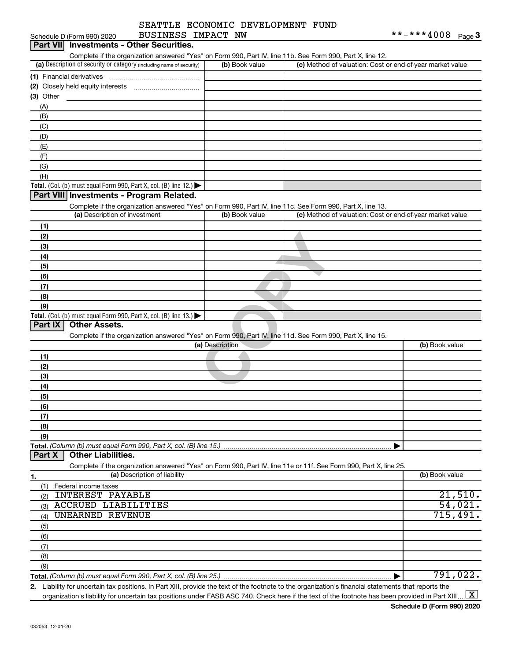|                            | SEATTLE ECONOMIC DEVELOPMENT FUND |                      |  |
|----------------------------|-----------------------------------|----------------------|--|
| Schedule D (Form 990) 2020 | BUSINESS IMPACT NW                | **-***4008 $_{Page}$ |  |

| Part VII Investments - Other Securities.                                                                                                    |                 |                                                           | . ugu -        |
|---------------------------------------------------------------------------------------------------------------------------------------------|-----------------|-----------------------------------------------------------|----------------|
| Complete if the organization answered "Yes" on Form 990, Part IV, line 11b. See Form 990, Part X, line 12.                                  |                 |                                                           |                |
| (a) Description of security or category (including name of security)                                                                        | (b) Book value  | (c) Method of valuation: Cost or end-of-year market value |                |
| (1) Financial derivatives                                                                                                                   |                 |                                                           |                |
| (2) Closely held equity interests                                                                                                           |                 |                                                           |                |
| (3) Other                                                                                                                                   |                 |                                                           |                |
| (A)                                                                                                                                         |                 |                                                           |                |
| (B)                                                                                                                                         |                 |                                                           |                |
| (C)                                                                                                                                         |                 |                                                           |                |
| (D)                                                                                                                                         |                 |                                                           |                |
| (E)                                                                                                                                         |                 |                                                           |                |
| (F)                                                                                                                                         |                 |                                                           |                |
| (G)                                                                                                                                         |                 |                                                           |                |
| (H)                                                                                                                                         |                 |                                                           |                |
| Total. (Col. (b) must equal Form 990, Part X, col. (B) line 12.) $\blacktriangleright$                                                      |                 |                                                           |                |
| Part VIII Investments - Program Related.                                                                                                    |                 |                                                           |                |
| Complete if the organization answered "Yes" on Form 990, Part IV, line 11c. See Form 990, Part X, line 13.<br>(a) Description of investment |                 | (c) Method of valuation: Cost or end-of-year market value |                |
|                                                                                                                                             | (b) Book value  |                                                           |                |
| (1)                                                                                                                                         |                 |                                                           |                |
| (2)                                                                                                                                         |                 |                                                           |                |
| (3)                                                                                                                                         |                 |                                                           |                |
| (4)                                                                                                                                         |                 |                                                           |                |
| (5)                                                                                                                                         |                 |                                                           |                |
| (6)                                                                                                                                         |                 |                                                           |                |
| (7)                                                                                                                                         |                 |                                                           |                |
| (8)                                                                                                                                         |                 |                                                           |                |
| (9)<br>Total. (Col. (b) must equal Form 990, Part X, col. (B) line $13.$ )                                                                  |                 |                                                           |                |
| <b>Other Assets.</b><br>Part IX                                                                                                             |                 |                                                           |                |
| Complete if the organization answered "Yes" on Form 990, Part IV, line 11d. See Form 990, Part X, line 15.                                  |                 |                                                           |                |
|                                                                                                                                             | (a) Description |                                                           | (b) Book value |
| (1)                                                                                                                                         |                 |                                                           |                |
| (2)                                                                                                                                         |                 |                                                           |                |
| (3)                                                                                                                                         |                 |                                                           |                |
| (4)                                                                                                                                         |                 |                                                           |                |
| (5)                                                                                                                                         |                 |                                                           |                |
| (6)                                                                                                                                         |                 |                                                           |                |
| (7)                                                                                                                                         |                 |                                                           |                |
| (8)                                                                                                                                         |                 |                                                           |                |
| (9)                                                                                                                                         |                 |                                                           |                |
| Total. (Column (b) must equal Form 990, Part X, col. (B) line 15.)                                                                          |                 |                                                           |                |
| <b>Other Liabilities.</b><br>Part X                                                                                                         |                 |                                                           |                |
| Complete if the organization answered "Yes" on Form 990, Part IV, line 11e or 11f. See Form 990, Part X, line 25.                           |                 |                                                           |                |
| (a) Description of liability<br>1.                                                                                                          |                 |                                                           | (b) Book value |
| (1)<br>Federal income taxes                                                                                                                 |                 |                                                           |                |
| INTEREST PAYABLE<br>(2)                                                                                                                     |                 |                                                           | 21,510.        |
| <b>ACCRUED LIABILITIES</b><br>(3)                                                                                                           |                 |                                                           | 54,021.        |
| UNEARNED REVENUE<br>(4)                                                                                                                     |                 |                                                           | 715,491.       |
| (5)                                                                                                                                         |                 |                                                           |                |
| (6)                                                                                                                                         |                 |                                                           |                |
| (7)                                                                                                                                         |                 |                                                           |                |
| (8)                                                                                                                                         |                 |                                                           |                |
| (9)                                                                                                                                         |                 |                                                           |                |
| Total. (Column (b) must equal Form 990, Part X, col. (B) line 25.)                                                                          |                 |                                                           | 791,022.       |
| Lightlity for upportain tax positions. In Dart VIII, provide the taxt                                                                       |                 | aanojal ototomonto that ronorto                           |                |

**2.** Liability for uncertain tax positions. In Part XIII, provide the text of the footnote to the organization's financial statements that reports the organization's liability for uncertain tax positions under FASB ASC 740. Check here if the text of the footnote has been provided in Part XIII..  $\boxed{\text{X}}$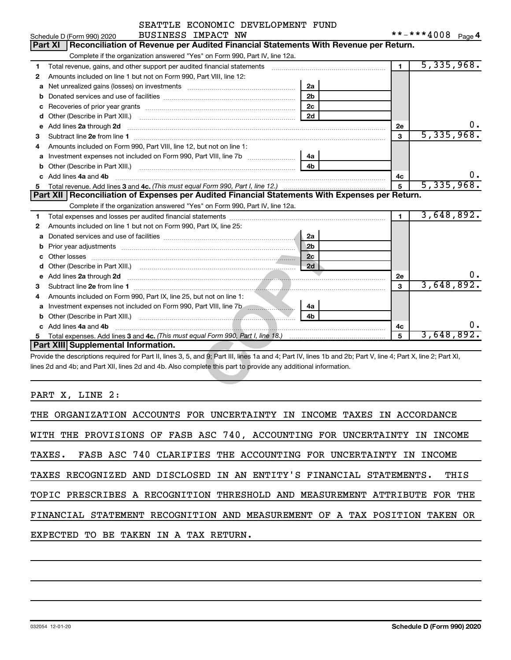|                     | SEATTLE ECONOMIC DEVELOPMENT FUND |                     |
|---------------------|-----------------------------------|---------------------|
| RIISTNESS TMPACT NW |                                   | **_*** <i>1</i> 008 |

| <b>Part XI</b><br>Reconciliation of Revenue per Audited Financial Statements With Revenue per Return.<br>Complete if the organization answered "Yes" on Form 990, Part IV, line 12a.<br>Total revenue, gains, and other support per audited financial statements [[[[[[[[[[[[[[[[[[[[[[[[]]]]]]]]]]]]<br>1<br>Amounts included on line 1 but not on Form 990, Part VIII, line 12:<br>2<br>2a<br>Net unrealized gains (losses) on investments [111] [12] matter contracts and a local metal and a local metal m<br>a<br>2 <sub>b</sub><br>b | $\blacksquare$ | 5,335,968. |
|--------------------------------------------------------------------------------------------------------------------------------------------------------------------------------------------------------------------------------------------------------------------------------------------------------------------------------------------------------------------------------------------------------------------------------------------------------------------------------------------------------------------------------------------|----------------|------------|
|                                                                                                                                                                                                                                                                                                                                                                                                                                                                                                                                            |                |            |
|                                                                                                                                                                                                                                                                                                                                                                                                                                                                                                                                            |                |            |
|                                                                                                                                                                                                                                                                                                                                                                                                                                                                                                                                            |                |            |
|                                                                                                                                                                                                                                                                                                                                                                                                                                                                                                                                            |                |            |
|                                                                                                                                                                                                                                                                                                                                                                                                                                                                                                                                            |                |            |
|                                                                                                                                                                                                                                                                                                                                                                                                                                                                                                                                            |                |            |
| 2 <sub>c</sub><br>с                                                                                                                                                                                                                                                                                                                                                                                                                                                                                                                        |                |            |
| 2d<br>d                                                                                                                                                                                                                                                                                                                                                                                                                                                                                                                                    |                |            |
| e Add lines 2a through 2d                                                                                                                                                                                                                                                                                                                                                                                                                                                                                                                  | <b>2e</b>      | ο.         |
| 3                                                                                                                                                                                                                                                                                                                                                                                                                                                                                                                                          | 3              | 5,335,968. |
| Amounts included on Form 990, Part VIII, line 12, but not on line 1:<br>4                                                                                                                                                                                                                                                                                                                                                                                                                                                                  |                |            |
| a Investment expenses not included on Form 990, Part VIII, line 7b<br>4a                                                                                                                                                                                                                                                                                                                                                                                                                                                                   |                |            |
| 4 <sub>b</sub><br>Other (Describe in Part XIII.) [1001] [2010] [2010] [2010] [3010] [3010] [3010] [3010] [3010] [3010] [3010] [3010] [3010] [3010] [3010] [3010] [3010] [3010] [3010] [3010] [3010] [3010] [3010] [3010] [3010] [3010] [3010] [3<br>b                                                                                                                                                                                                                                                                                      |                |            |
| c Add lines 4a and 4b                                                                                                                                                                                                                                                                                                                                                                                                                                                                                                                      | 4с             | υ.         |
| 5                                                                                                                                                                                                                                                                                                                                                                                                                                                                                                                                          | 5              | 5,335,968. |
| Part XII   Reconciliation of Expenses per Audited Financial Statements With Expenses per Return.                                                                                                                                                                                                                                                                                                                                                                                                                                           |                |            |
| Complete if the organization answered "Yes" on Form 990, Part IV, line 12a.                                                                                                                                                                                                                                                                                                                                                                                                                                                                |                |            |
| 1                                                                                                                                                                                                                                                                                                                                                                                                                                                                                                                                          | $\blacksquare$ | 3,648,892. |
| Amounts included on line 1 but not on Form 990, Part IX, line 25:<br>2                                                                                                                                                                                                                                                                                                                                                                                                                                                                     |                |            |
| 2a<br>a                                                                                                                                                                                                                                                                                                                                                                                                                                                                                                                                    |                |            |
| 2 <sub>b</sub>                                                                                                                                                                                                                                                                                                                                                                                                                                                                                                                             |                |            |
| 2c                                                                                                                                                                                                                                                                                                                                                                                                                                                                                                                                         |                |            |
| 2d<br>d                                                                                                                                                                                                                                                                                                                                                                                                                                                                                                                                    |                |            |
| Add lines 2a through 2d <b>contained a contained a contained a contained a contained a contained a contained a contained a contact a contact a contact a contact a contact a contact a contact a contact a contact a contact a c</b><br>e                                                                                                                                                                                                                                                                                                  | <b>2e</b>      | υ.         |
| 3                                                                                                                                                                                                                                                                                                                                                                                                                                                                                                                                          | 3              | 3,648,892. |
| Amounts included on Form 990, Part IX, line 25, but not on line 1:<br>4                                                                                                                                                                                                                                                                                                                                                                                                                                                                    |                |            |
| 4a                                                                                                                                                                                                                                                                                                                                                                                                                                                                                                                                         |                |            |
| 4 <sub>h</sub>                                                                                                                                                                                                                                                                                                                                                                                                                                                                                                                             |                |            |
| c Add lines 4a and 4b                                                                                                                                                                                                                                                                                                                                                                                                                                                                                                                      | 4с             | υ.         |
|                                                                                                                                                                                                                                                                                                                                                                                                                                                                                                                                            | 5              | 3,648,892. |
| Part XIII Supplemental Information.                                                                                                                                                                                                                                                                                                                                                                                                                                                                                                        |                |            |
| Provide the descriptions required for Part II, lines 3, 5, and 9; Part III, lines 1a and 4; Part IV, lines 1b and 2b; Part V, line 4; Part X, line 2; Part XI,                                                                                                                                                                                                                                                                                                                                                                             |                |            |
| lines 2d and 4b; and Part XII, lines 2d and 4b. Also complete this part to provide any additional information.                                                                                                                                                                                                                                                                                                                                                                                                                             |                |            |
|                                                                                                                                                                                                                                                                                                                                                                                                                                                                                                                                            |                |            |
|                                                                                                                                                                                                                                                                                                                                                                                                                                                                                                                                            |                |            |

PART X, LINE 2:

| THE ORGANIZATION ACCOUNTS FOR UNCERTAINTY IN INCOME TAXES IN ACCORDANCE    |
|----------------------------------------------------------------------------|
| WITH THE PROVISIONS OF FASB ASC 740, ACCOUNTING FOR UNCERTAINTY IN INCOME  |
| TAXES. FASB ASC 740 CLARIFIES THE ACCOUNTING FOR UNCERTAINTY IN INCOME     |
| TAXES RECOGNIZED AND DISCLOSED IN AN ENTITY'S FINANCIAL STATEMENTS. THIS   |
| TOPIC PRESCRIBES A RECOGNITION THRESHOLD AND MEASUREMENT ATTRIBUTE FOR THE |
| FINANCIAL STATEMENT RECOGNITION AND MEASUREMENT OF A TAX POSITION TAKEN OR |
| EXPECTED TO BE TAKEN IN A TAX RETURN.                                      |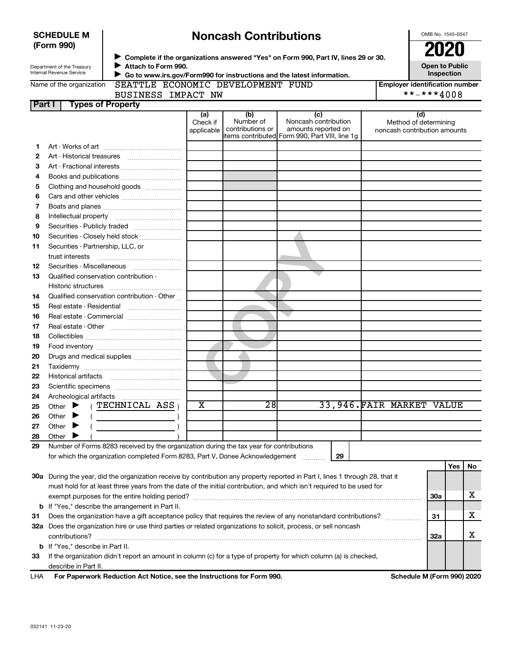|        | Attach to Form 990.<br>Department of the Treasury<br>Internal Revenue Service                                                  | > Complete if the organizations answered "Yes" on Form 990, Part IV, lines 29 or 30.<br>Go to www.irs.gov/Form990 for instructions and the latest information. |                                      |                                                                                                                       |                                                     | <b>Open to Public</b><br><b>Inspection</b> |     |    |
|--------|--------------------------------------------------------------------------------------------------------------------------------|----------------------------------------------------------------------------------------------------------------------------------------------------------------|--------------------------------------|-----------------------------------------------------------------------------------------------------------------------|-----------------------------------------------------|--------------------------------------------|-----|----|
|        | SEATTLE ECONOMIC DEVELOPMENT FUND<br>Name of the organization<br><b>BUSINESS IMPACT NW</b>                                     |                                                                                                                                                                |                                      |                                                                                                                       | <b>Employer identification number</b><br>**-***4008 |                                            |     |    |
| Part I | <b>Types of Property</b>                                                                                                       |                                                                                                                                                                |                                      |                                                                                                                       |                                                     |                                            |     |    |
|        |                                                                                                                                | (a)<br>Check if<br>applicable                                                                                                                                  | (b)<br>Number of<br>contributions or | (c)<br>Noncash contribution<br>amounts reported on<br>items contributed Form 990, Part VIII, line 1g                  | noncash contribution amounts                        | (d)<br>Method of determining               |     |    |
| 1      |                                                                                                                                |                                                                                                                                                                |                                      |                                                                                                                       |                                                     |                                            |     |    |
| 2      |                                                                                                                                |                                                                                                                                                                |                                      |                                                                                                                       |                                                     |                                            |     |    |
| З      |                                                                                                                                |                                                                                                                                                                |                                      |                                                                                                                       |                                                     |                                            |     |    |
| 4      |                                                                                                                                |                                                                                                                                                                |                                      |                                                                                                                       |                                                     |                                            |     |    |
| 5      | Clothing and household goods                                                                                                   |                                                                                                                                                                |                                      |                                                                                                                       |                                                     |                                            |     |    |
| 6      |                                                                                                                                |                                                                                                                                                                |                                      |                                                                                                                       |                                                     |                                            |     |    |
| 7      |                                                                                                                                |                                                                                                                                                                |                                      |                                                                                                                       |                                                     |                                            |     |    |
| 8      |                                                                                                                                |                                                                                                                                                                |                                      |                                                                                                                       |                                                     |                                            |     |    |
| 9      |                                                                                                                                |                                                                                                                                                                |                                      |                                                                                                                       |                                                     |                                            |     |    |
| 10     | Securities - Closely held stock                                                                                                |                                                                                                                                                                |                                      |                                                                                                                       |                                                     |                                            |     |    |
| 11     | Securities - Partnership, LLC, or                                                                                              |                                                                                                                                                                |                                      |                                                                                                                       |                                                     |                                            |     |    |
|        |                                                                                                                                |                                                                                                                                                                |                                      |                                                                                                                       |                                                     |                                            |     |    |
| 12     |                                                                                                                                |                                                                                                                                                                |                                      |                                                                                                                       |                                                     |                                            |     |    |
| 13     | Qualified conservation contribution -                                                                                          |                                                                                                                                                                |                                      |                                                                                                                       |                                                     |                                            |     |    |
|        |                                                                                                                                |                                                                                                                                                                |                                      |                                                                                                                       |                                                     |                                            |     |    |
| 14     | Qualified conservation contribution - Other                                                                                    |                                                                                                                                                                |                                      |                                                                                                                       |                                                     |                                            |     |    |
| 15     |                                                                                                                                |                                                                                                                                                                |                                      |                                                                                                                       |                                                     |                                            |     |    |
| 16     | Real estate - Commercial                                                                                                       |                                                                                                                                                                |                                      |                                                                                                                       |                                                     |                                            |     |    |
| 17     |                                                                                                                                |                                                                                                                                                                |                                      |                                                                                                                       |                                                     |                                            |     |    |
| 18     |                                                                                                                                |                                                                                                                                                                |                                      |                                                                                                                       |                                                     |                                            |     |    |
| 19     |                                                                                                                                |                                                                                                                                                                |                                      |                                                                                                                       |                                                     |                                            |     |    |
| 20     | Drugs and medical supplies                                                                                                     |                                                                                                                                                                |                                      |                                                                                                                       |                                                     |                                            |     |    |
| 21     |                                                                                                                                |                                                                                                                                                                |                                      |                                                                                                                       |                                                     |                                            |     |    |
| 22     |                                                                                                                                |                                                                                                                                                                |                                      |                                                                                                                       |                                                     |                                            |     |    |
| 23     |                                                                                                                                |                                                                                                                                                                |                                      |                                                                                                                       |                                                     |                                            |     |    |
| 24     |                                                                                                                                |                                                                                                                                                                |                                      |                                                                                                                       |                                                     |                                            |     |    |
| 25     | Other $\blacktriangleright$ (TECHNICAL ASS)                                                                                    | х                                                                                                                                                              | 28                                   |                                                                                                                       | 33,946.FAIR MARKET VALUE                            |                                            |     |    |
| 26     | Other $\triangleright$                                                                                                         |                                                                                                                                                                |                                      |                                                                                                                       |                                                     |                                            |     |    |
| 27     | Other                                                                                                                          |                                                                                                                                                                |                                      |                                                                                                                       |                                                     |                                            |     |    |
| 28     | Other                                                                                                                          |                                                                                                                                                                |                                      |                                                                                                                       |                                                     |                                            |     |    |
| 29     | Number of Forms 8283 received by the organization during the tax year for contributions                                        |                                                                                                                                                                |                                      |                                                                                                                       |                                                     |                                            |     |    |
|        | for which the organization completed Form 8283, Part V, Donee Acknowledgement                                                  |                                                                                                                                                                |                                      | 29                                                                                                                    |                                                     |                                            |     |    |
|        |                                                                                                                                |                                                                                                                                                                |                                      |                                                                                                                       |                                                     |                                            | Yes | No |
|        | 30a During the year, did the organization receive by contribution any property reported in Part I, lines 1 through 28, that it |                                                                                                                                                                |                                      |                                                                                                                       |                                                     |                                            |     |    |
|        |                                                                                                                                |                                                                                                                                                                |                                      | must hold for at least three years from the date of the initial contribution, and which isn't required to be used for |                                                     |                                            |     |    |
|        |                                                                                                                                |                                                                                                                                                                |                                      |                                                                                                                       |                                                     |                                            |     |    |
|        |                                                                                                                                |                                                                                                                                                                |                                      |                                                                                                                       |                                                     | 30a                                        |     | x  |
|        | exempt purposes for the entire holding period?<br><b>b</b> If "Yes," describe the arrangement in Part II.                      |                                                                                                                                                                |                                      |                                                                                                                       |                                                     |                                            |     |    |

| <b>b</b> If "Yes." describe in Part II.                                                                              |
|----------------------------------------------------------------------------------------------------------------------|
| 33 If the organization didn't report an amount in column (c) for a type of property for which column (a) is checked, |
| describe in Part II.                                                                                                 |

 $contributions?$   $\ldots$   $\ldots$   $\ldots$   $\ldots$   $\ldots$   $\ldots$   $\ldots$   $\ldots$   $\ldots$   $\ldots$   $\ldots$   $\ldots$   $\ldots$   $\ldots$   $\ldots$   $\ldots$   $\ldots$   $\ldots$   $\ldots$   $\ldots$   $\ldots$   $\ldots$   $\ldots$   $\ldots$   $\ldots$   $\ldots$   $\ldots$   $\ldots$   $\ldots$   $\ldots$   $\ldots$   $\ldots$   $\ldots$   $\ldots$   $\ldots$   $\ldots$ 

| LHA For Paperwork Reduction Act Notice, see the Instructions for Form 990. | Schedule M (Form 990) 2020 |
|----------------------------------------------------------------------------|----------------------------|
|                                                                            |                            |

**32a**

X

**SCHEDULE M (Form 990)**

### **Noncash Contributions**

| __<br>۰.<br>$\frac{1}{2}$ |  |
|---------------------------|--|
|---------------------------|--|

OMB No. 1545-0047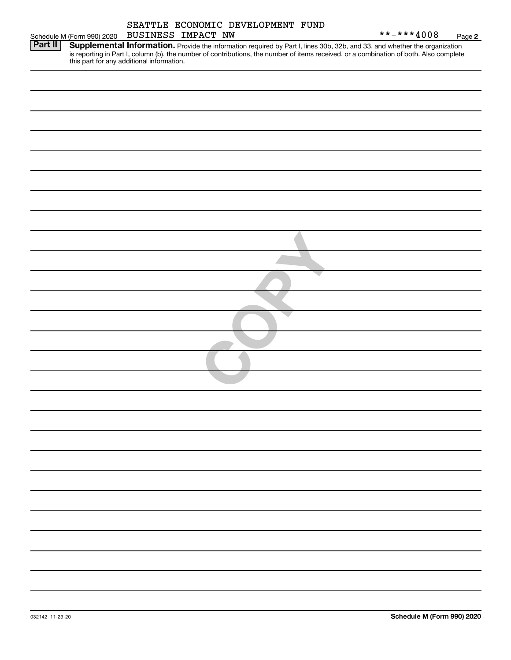|                |                            |                    | SEATTLE ECONOMIC DEVELOPMENT FUND                                                                                                                                                                                                                                                                              |            |        |
|----------------|----------------------------|--------------------|----------------------------------------------------------------------------------------------------------------------------------------------------------------------------------------------------------------------------------------------------------------------------------------------------------------|------------|--------|
|                | Schedule M (Form 990) 2020 | BUSINESS IMPACT NW |                                                                                                                                                                                                                                                                                                                | **-***4008 | Page 2 |
| <b>Part II</b> |                            |                    | Supplemental Information. Provide the information required by Part I, lines 30b, 32b, and 33, and whether the organization<br>is reporting in Part I, column (b), the number of contributions, the number of items received, or a combination of both. Also complete this part for any additional information. |            |        |
|                |                            |                    |                                                                                                                                                                                                                                                                                                                |            |        |
|                |                            |                    |                                                                                                                                                                                                                                                                                                                |            |        |
|                |                            |                    |                                                                                                                                                                                                                                                                                                                |            |        |
|                |                            |                    |                                                                                                                                                                                                                                                                                                                |            |        |
|                |                            |                    |                                                                                                                                                                                                                                                                                                                |            |        |
|                |                            |                    |                                                                                                                                                                                                                                                                                                                |            |        |
|                |                            |                    |                                                                                                                                                                                                                                                                                                                |            |        |
|                |                            |                    |                                                                                                                                                                                                                                                                                                                |            |        |
|                |                            |                    |                                                                                                                                                                                                                                                                                                                |            |        |
|                |                            |                    |                                                                                                                                                                                                                                                                                                                |            |        |
|                |                            |                    |                                                                                                                                                                                                                                                                                                                |            |        |
|                |                            |                    |                                                                                                                                                                                                                                                                                                                |            |        |
|                |                            |                    |                                                                                                                                                                                                                                                                                                                |            |        |
|                |                            |                    |                                                                                                                                                                                                                                                                                                                |            |        |
|                |                            |                    |                                                                                                                                                                                                                                                                                                                |            |        |
|                |                            |                    |                                                                                                                                                                                                                                                                                                                |            |        |
|                |                            |                    |                                                                                                                                                                                                                                                                                                                |            |        |
|                |                            |                    |                                                                                                                                                                                                                                                                                                                |            |        |
|                |                            |                    |                                                                                                                                                                                                                                                                                                                |            |        |
|                |                            |                    |                                                                                                                                                                                                                                                                                                                |            |        |
|                |                            |                    |                                                                                                                                                                                                                                                                                                                |            |        |
|                |                            |                    |                                                                                                                                                                                                                                                                                                                |            |        |
|                |                            |                    |                                                                                                                                                                                                                                                                                                                |            |        |
|                |                            |                    |                                                                                                                                                                                                                                                                                                                |            |        |
|                |                            |                    |                                                                                                                                                                                                                                                                                                                |            |        |
|                |                            |                    |                                                                                                                                                                                                                                                                                                                |            |        |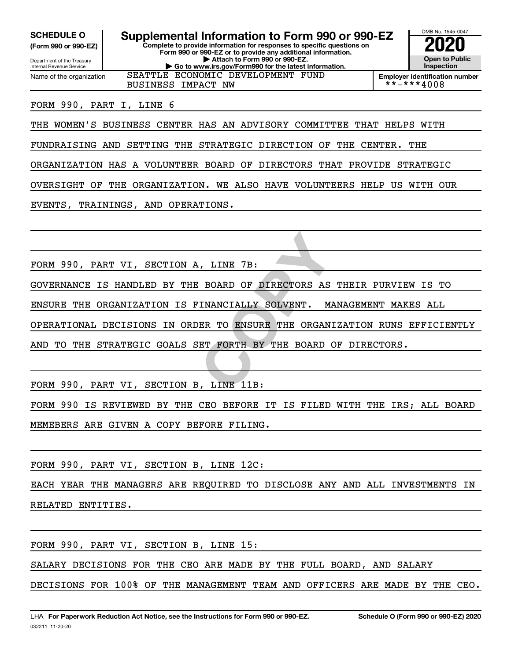Internal Revenue Service

Department of the Treasury **(Form 990 or 990-EZ)**

Name of the organization

**Complete to provide information for responses to specific questions on Form 990 or 990-EZ or to provide any additional information. | Attach to Form 990 or 990-EZ. | Go to www.irs.gov/Form990 for the latest information. SCHEDULE O Supplemental Information to Form 990 or 990-EZ 2020**<br>(Form 990 or 990-EZ) Complete to provide information for responses to specific questions on

OMB No. 1545-0047 **Open to Public Inspection**

**Employer identification number**<br> $** - * * * 4008$ 

#### FORM 990, PART I, LINE 6

THE WOMEN'S BUSINESS CENTER HAS AN ADVISORY COMMITTEE THAT HELPS WITH

FUNDRAISING AND SETTING THE STRATEGIC DIRECTION OF THE CENTER. THE

SEATTLE ECONOMIC DEVELOPMENT FUND

BUSINESS IMPACT NW

ORGANIZATION HAS A VOLUNTEER BOARD OF DIRECTORS THAT PROVIDE STRATEGIC

OVERSIGHT OF THE ORGANIZATION. WE ALSO HAVE VOLUNTEERS HELP US WITH OUR

EVENTS, TRAININGS, AND OPERATIONS.

FORM 990, PART VI, SECTION A, LINE 7B:

FINE 7B:<br>
BOARD OF DIRECTORS AS THEI<br>
INANCIALLY SOLVENT. MANAGE<br>
ER TO ENSURE THE ORGANIZATI<br>
ET FORTH BY THE BOARD OF DI<br>
FILITE TORTH BY THE BOARD OF DI GOVERNANCE IS HANDLED BY THE BOARD OF DIRECTORS AS THEIR PURVIEW IS TO ENSURE THE ORGANIZATION IS FINANCIALLY SOLVENT. MANAGEMENT MAKES ALL OPERATIONAL DECISIONS IN ORDER TO ENSURE THE ORGANIZATION RUNS EFFICIENTLY

AND TO THE STRATEGIC GOALS SET FORTH BY THE BOARD OF DIRECTORS.

FORM 990, PART VI, SECTION B, LINE 11B:

FORM 990 IS REVIEWED BY THE CEO BEFORE IT IS FILED WITH THE IRS; ALL BOARD MEMEBERS ARE GIVEN A COPY BEFORE FILING.

FORM 990, PART VI, SECTION B, LINE 12C:

EACH YEAR THE MANAGERS ARE REQUIRED TO DISCLOSE ANY AND ALL INVESTMENTS IN RELATED ENTITIES.

FORM 990, PART VI, SECTION B, LINE 15:

SALARY DECISIONS FOR THE CEO ARE MADE BY THE FULL BOARD, AND SALARY

DECISIONS FOR 100% OF THE MANAGEMENT TEAM AND OFFICERS ARE MADE BY THE CEO.